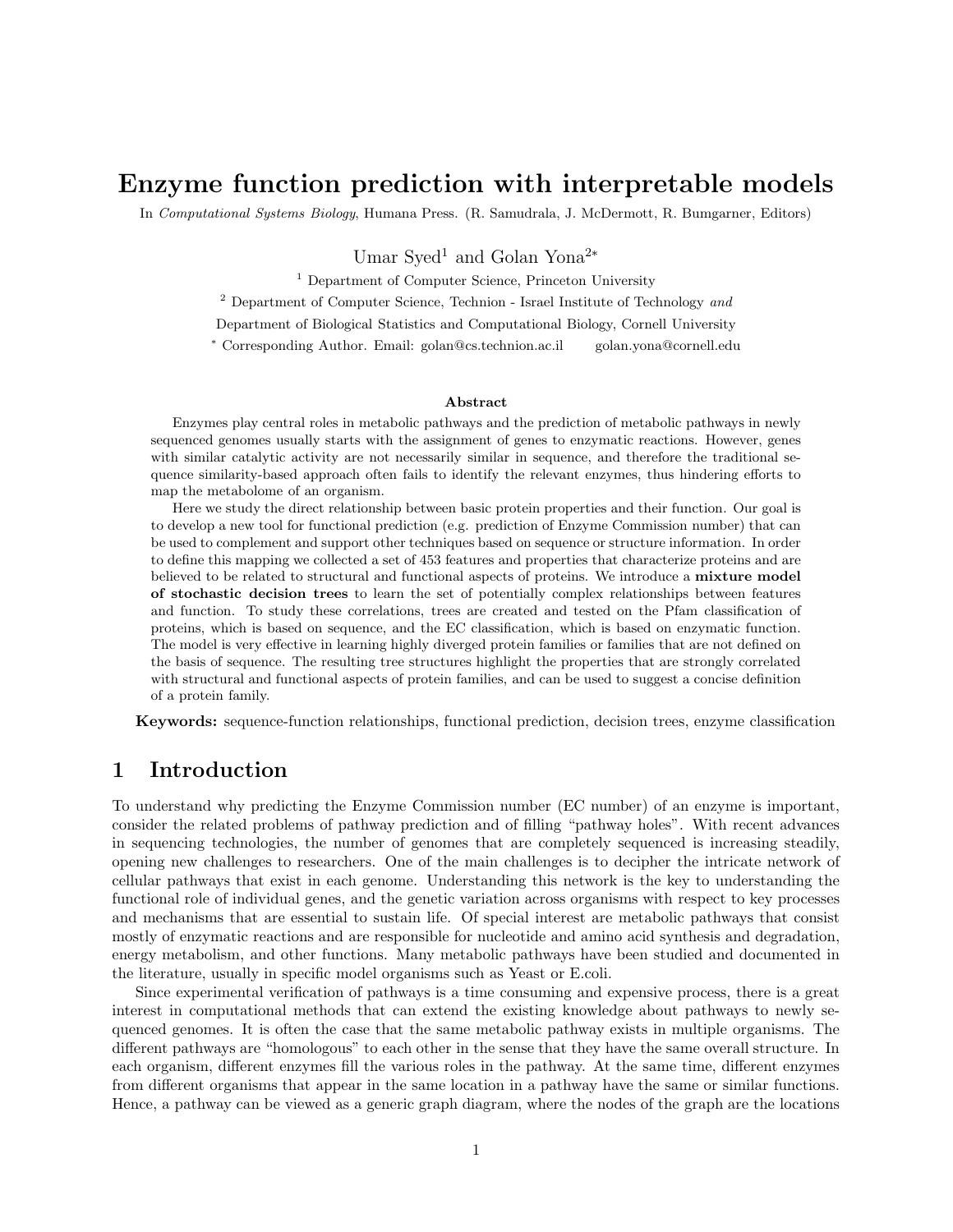# Enzyme function prediction with interpretable models

In Computational Systems Biology, Humana Press. (R. Samudrala, J. McDermott, R. Bumgarner, Editors)

Umar Syed<sup>1</sup> and Golan Yona<sup>2∗</sup>

<sup>1</sup> Department of Computer Science, Princeton University

<sup>2</sup> Department of Computer Science, Technion - Israel Institute of Technology and

Department of Biological Statistics and Computational Biology, Cornell University

<sup>∗</sup> Corresponding Author. Email: golan@cs.technion.ac.il golan.yona@cornell.edu

#### Abstract

Enzymes play central roles in metabolic pathways and the prediction of metabolic pathways in newly sequenced genomes usually starts with the assignment of genes to enzymatic reactions. However, genes with similar catalytic activity are not necessarily similar in sequence, and therefore the traditional sequence similarity-based approach often fails to identify the relevant enzymes, thus hindering efforts to map the metabolome of an organism.

Here we study the direct relationship between basic protein properties and their function. Our goal is to develop a new tool for functional prediction (e.g. prediction of Enzyme Commission number) that can be used to complement and support other techniques based on sequence or structure information. In order to define this mapping we collected a set of 453 features and properties that characterize proteins and are believed to be related to structural and functional aspects of proteins. We introduce a mixture model of stochastic decision trees to learn the set of potentially complex relationships between features and function. To study these correlations, trees are created and tested on the Pfam classification of proteins, which is based on sequence, and the EC classification, which is based on enzymatic function. The model is very effective in learning highly diverged protein families or families that are not defined on the basis of sequence. The resulting tree structures highlight the properties that are strongly correlated with structural and functional aspects of protein families, and can be used to suggest a concise definition of a protein family.

Keywords: sequence-function relationships, functional prediction, decision trees, enzyme classification

## 1 Introduction

To understand why predicting the Enzyme Commission number (EC number) of an enzyme is important, consider the related problems of pathway prediction and of filling "pathway holes". With recent advances in sequencing technologies, the number of genomes that are completely sequenced is increasing steadily, opening new challenges to researchers. One of the main challenges is to decipher the intricate network of cellular pathways that exist in each genome. Understanding this network is the key to understanding the functional role of individual genes, and the genetic variation across organisms with respect to key processes and mechanisms that are essential to sustain life. Of special interest are metabolic pathways that consist mostly of enzymatic reactions and are responsible for nucleotide and amino acid synthesis and degradation, energy metabolism, and other functions. Many metabolic pathways have been studied and documented in the literature, usually in specific model organisms such as Yeast or E.coli.

Since experimental verification of pathways is a time consuming and expensive process, there is a great interest in computational methods that can extend the existing knowledge about pathways to newly sequenced genomes. It is often the case that the same metabolic pathway exists in multiple organisms. The different pathways are "homologous" to each other in the sense that they have the same overall structure. In each organism, different enzymes fill the various roles in the pathway. At the same time, different enzymes from different organisms that appear in the same location in a pathway have the same or similar functions. Hence, a pathway can be viewed as a generic graph diagram, where the nodes of the graph are the locations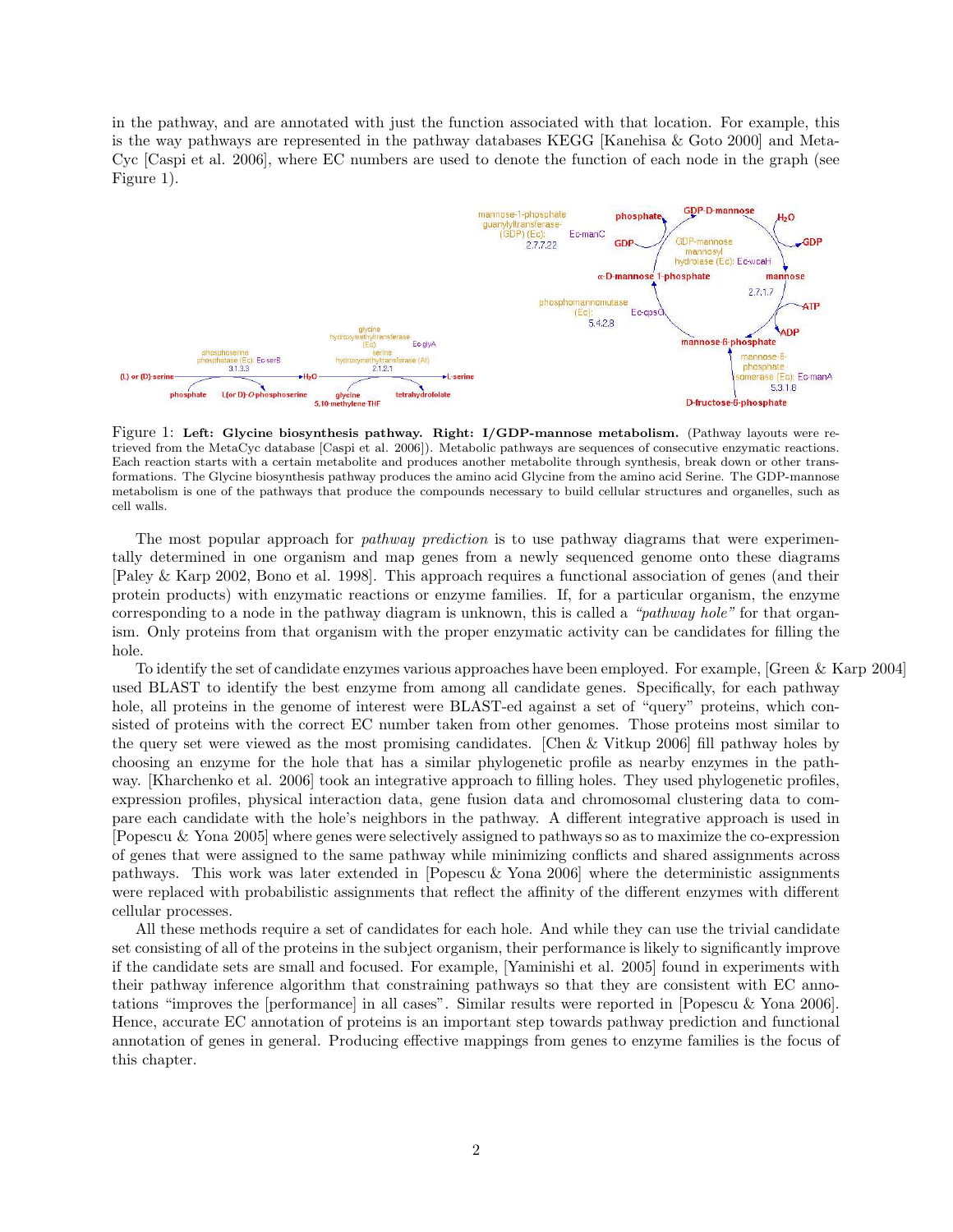in the pathway, and are annotated with just the function associated with that location. For example, this is the way pathways are represented in the pathway databases KEGG [Kanehisa & Goto 2000] and Meta-Cyc [Caspi et al. 2006], where EC numbers are used to denote the function of each node in the graph (see Figure 1).



Figure 1: Left: Glycine biosynthesis pathway. Right: I/GDP-mannose metabolism. (Pathway layouts were retrieved from the MetaCyc database [Caspi et al. 2006]). Metabolic pathways are sequences of consecutive enzymatic reactions. Each reaction starts with a certain metabolite and produces another metabolite through synthesis, break down or other transformations. The Glycine biosynthesis pathway produces the amino acid Glycine from the amino acid Serine. The GDP-mannose metabolism is one of the pathways that produce the compounds necessary to build cellular structures and organelles, such as cell walls.

The most popular approach for *pathway prediction* is to use pathway diagrams that were experimentally determined in one organism and map genes from a newly sequenced genome onto these diagrams [Paley & Karp 2002, Bono et al. 1998]. This approach requires a functional association of genes (and their protein products) with enzymatic reactions or enzyme families. If, for a particular organism, the enzyme corresponding to a node in the pathway diagram is unknown, this is called a "pathway hole" for that organism. Only proteins from that organism with the proper enzymatic activity can be candidates for filling the hole.

To identify the set of candidate enzymes various approaches have been employed. For example, [Green & Karp 2004] used BLAST to identify the best enzyme from among all candidate genes. Specifically, for each pathway hole, all proteins in the genome of interest were BLAST-ed against a set of "query" proteins, which consisted of proteins with the correct EC number taken from other genomes. Those proteins most similar to the query set were viewed as the most promising candidates. [Chen & Vitkup 2006] fill pathway holes by choosing an enzyme for the hole that has a similar phylogenetic profile as nearby enzymes in the pathway. [Kharchenko et al. 2006] took an integrative approach to filling holes. They used phylogenetic profiles, expression profiles, physical interaction data, gene fusion data and chromosomal clustering data to compare each candidate with the hole's neighbors in the pathway. A different integrative approach is used in [Popescu & Yona 2005] where genes were selectively assigned to pathways so as to maximize the co-expression of genes that were assigned to the same pathway while minimizing conflicts and shared assignments across pathways. This work was later extended in [Popescu & Yona 2006] where the deterministic assignments were replaced with probabilistic assignments that reflect the affinity of the different enzymes with different cellular processes.

All these methods require a set of candidates for each hole. And while they can use the trivial candidate set consisting of all of the proteins in the subject organism, their performance is likely to significantly improve if the candidate sets are small and focused. For example, [Yaminishi et al. 2005] found in experiments with their pathway inference algorithm that constraining pathways so that they are consistent with EC annotations "improves the [performance] in all cases". Similar results were reported in [Popescu & Yona 2006]. Hence, accurate EC annotation of proteins is an important step towards pathway prediction and functional annotation of genes in general. Producing effective mappings from genes to enzyme families is the focus of this chapter.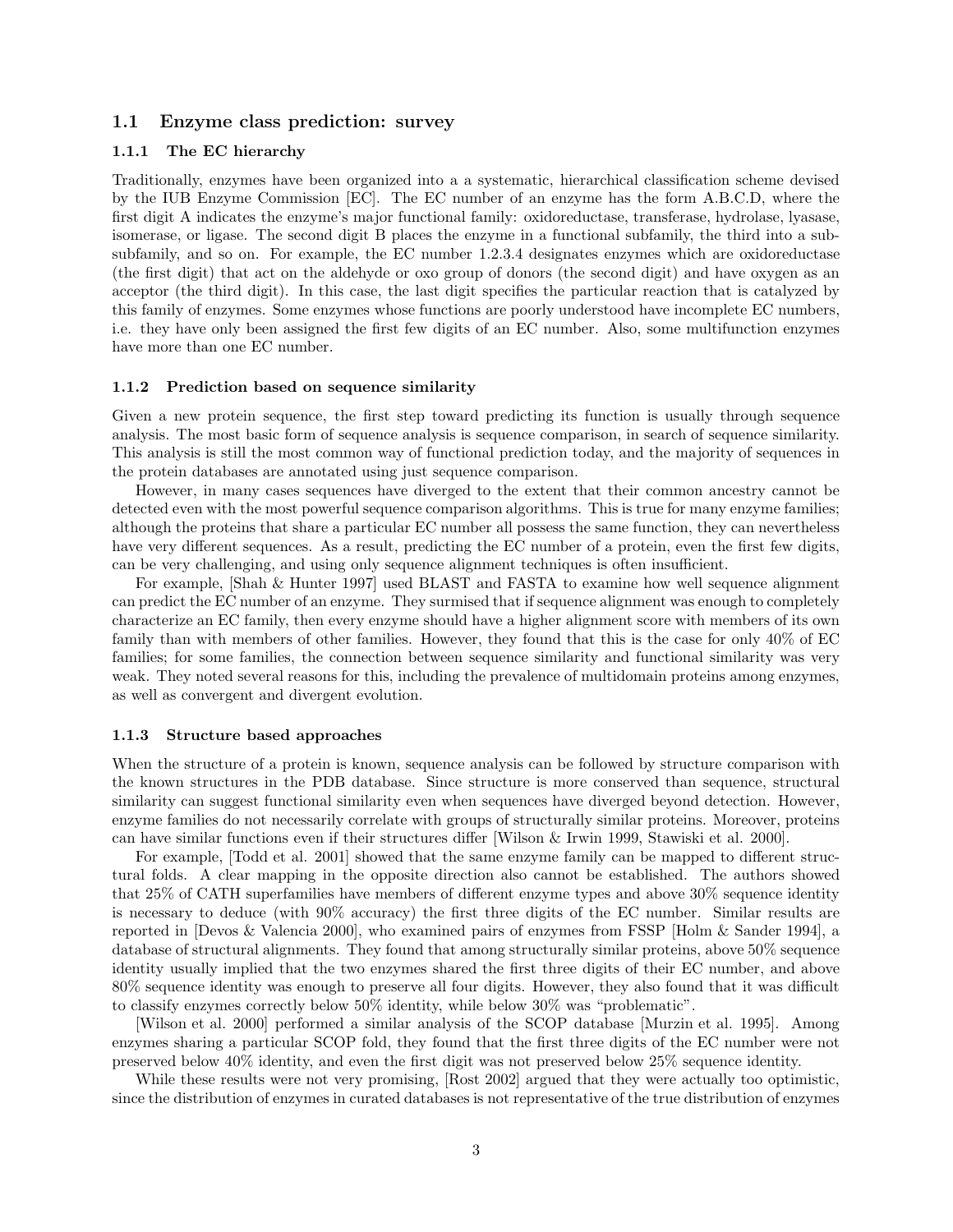### 1.1 Enzyme class prediction: survey

### 1.1.1 The EC hierarchy

Traditionally, enzymes have been organized into a a systematic, hierarchical classification scheme devised by the IUB Enzyme Commission [EC]. The EC number of an enzyme has the form A.B.C.D, where the first digit A indicates the enzyme's major functional family: oxidoreductase, transferase, hydrolase, lyasase, isomerase, or ligase. The second digit B places the enzyme in a functional subfamily, the third into a subsubfamily, and so on. For example, the EC number 1.2.3.4 designates enzymes which are oxidoreductase (the first digit) that act on the aldehyde or oxo group of donors (the second digit) and have oxygen as an acceptor (the third digit). In this case, the last digit specifies the particular reaction that is catalyzed by this family of enzymes. Some enzymes whose functions are poorly understood have incomplete EC numbers, i.e. they have only been assigned the first few digits of an EC number. Also, some multifunction enzymes have more than one EC number.

#### 1.1.2 Prediction based on sequence similarity

Given a new protein sequence, the first step toward predicting its function is usually through sequence analysis. The most basic form of sequence analysis is sequence comparison, in search of sequence similarity. This analysis is still the most common way of functional prediction today, and the majority of sequences in the protein databases are annotated using just sequence comparison.

However, in many cases sequences have diverged to the extent that their common ancestry cannot be detected even with the most powerful sequence comparison algorithms. This is true for many enzyme families; although the proteins that share a particular EC number all possess the same function, they can nevertheless have very different sequences. As a result, predicting the EC number of a protein, even the first few digits, can be very challenging, and using only sequence alignment techniques is often insufficient.

For example, [Shah & Hunter 1997] used BLAST and FASTA to examine how well sequence alignment can predict the EC number of an enzyme. They surmised that if sequence alignment was enough to completely characterize an EC family, then every enzyme should have a higher alignment score with members of its own family than with members of other families. However, they found that this is the case for only 40% of EC families; for some families, the connection between sequence similarity and functional similarity was very weak. They noted several reasons for this, including the prevalence of multidomain proteins among enzymes, as well as convergent and divergent evolution.

#### 1.1.3 Structure based approaches

When the structure of a protein is known, sequence analysis can be followed by structure comparison with the known structures in the PDB database. Since structure is more conserved than sequence, structural similarity can suggest functional similarity even when sequences have diverged beyond detection. However, enzyme families do not necessarily correlate with groups of structurally similar proteins. Moreover, proteins can have similar functions even if their structures differ [Wilson & Irwin 1999, Stawiski et al. 2000].

For example, [Todd et al. 2001] showed that the same enzyme family can be mapped to different structural folds. A clear mapping in the opposite direction also cannot be established. The authors showed that 25% of CATH superfamilies have members of different enzyme types and above 30% sequence identity is necessary to deduce (with 90% accuracy) the first three digits of the EC number. Similar results are reported in [Devos & Valencia 2000], who examined pairs of enzymes from FSSP [Holm & Sander 1994], a database of structural alignments. They found that among structurally similar proteins, above 50% sequence identity usually implied that the two enzymes shared the first three digits of their EC number, and above 80% sequence identity was enough to preserve all four digits. However, they also found that it was difficult to classify enzymes correctly below 50% identity, while below 30% was "problematic".

[Wilson et al. 2000] performed a similar analysis of the SCOP database [Murzin et al. 1995]. Among enzymes sharing a particular SCOP fold, they found that the first three digits of the EC number were not preserved below 40% identity, and even the first digit was not preserved below 25% sequence identity.

While these results were not very promising, [Rost 2002] argued that they were actually too optimistic, since the distribution of enzymes in curated databases is not representative of the true distribution of enzymes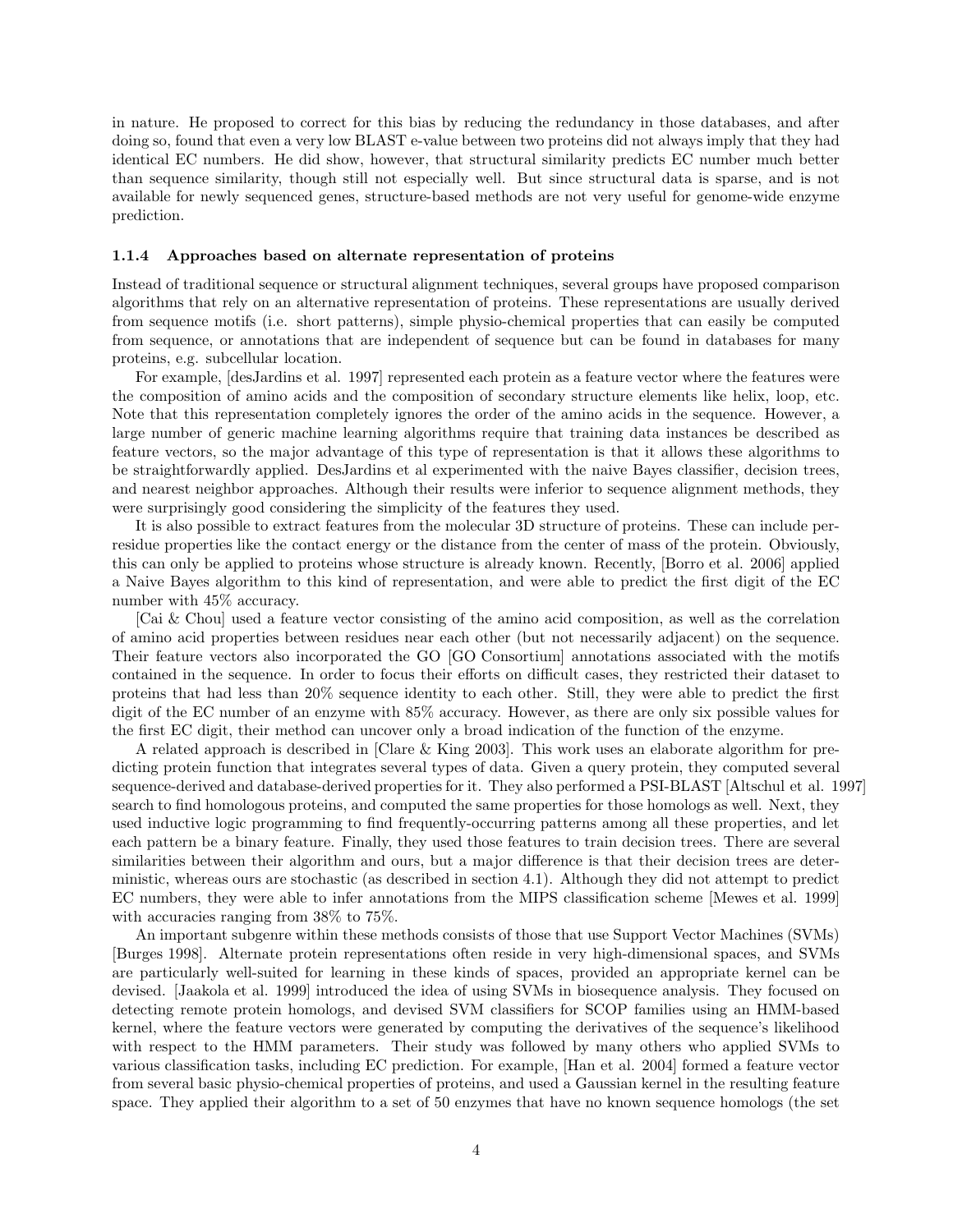in nature. He proposed to correct for this bias by reducing the redundancy in those databases, and after doing so, found that even a very low BLAST e-value between two proteins did not always imply that they had identical EC numbers. He did show, however, that structural similarity predicts EC number much better than sequence similarity, though still not especially well. But since structural data is sparse, and is not available for newly sequenced genes, structure-based methods are not very useful for genome-wide enzyme prediction.

#### 1.1.4 Approaches based on alternate representation of proteins

Instead of traditional sequence or structural alignment techniques, several groups have proposed comparison algorithms that rely on an alternative representation of proteins. These representations are usually derived from sequence motifs (i.e. short patterns), simple physio-chemical properties that can easily be computed from sequence, or annotations that are independent of sequence but can be found in databases for many proteins, e.g. subcellular location.

For example, [desJardins et al. 1997] represented each protein as a feature vector where the features were the composition of amino acids and the composition of secondary structure elements like helix, loop, etc. Note that this representation completely ignores the order of the amino acids in the sequence. However, a large number of generic machine learning algorithms require that training data instances be described as feature vectors, so the major advantage of this type of representation is that it allows these algorithms to be straightforwardly applied. DesJardins et al experimented with the naive Bayes classifier, decision trees, and nearest neighbor approaches. Although their results were inferior to sequence alignment methods, they were surprisingly good considering the simplicity of the features they used.

It is also possible to extract features from the molecular 3D structure of proteins. These can include perresidue properties like the contact energy or the distance from the center of mass of the protein. Obviously, this can only be applied to proteins whose structure is already known. Recently, [Borro et al. 2006] applied a Naive Bayes algorithm to this kind of representation, and were able to predict the first digit of the EC number with 45% accuracy.

[Cai & Chou] used a feature vector consisting of the amino acid composition, as well as the correlation of amino acid properties between residues near each other (but not necessarily adjacent) on the sequence. Their feature vectors also incorporated the GO [GO Consortium] annotations associated with the motifs contained in the sequence. In order to focus their efforts on difficult cases, they restricted their dataset to proteins that had less than 20% sequence identity to each other. Still, they were able to predict the first digit of the EC number of an enzyme with 85% accuracy. However, as there are only six possible values for the first EC digit, their method can uncover only a broad indication of the function of the enzyme.

A related approach is described in [Clare & King 2003]. This work uses an elaborate algorithm for predicting protein function that integrates several types of data. Given a query protein, they computed several sequence-derived and database-derived properties for it. They also performed a PSI-BLAST [Altschul et al. 1997] search to find homologous proteins, and computed the same properties for those homologs as well. Next, they used inductive logic programming to find frequently-occurring patterns among all these properties, and let each pattern be a binary feature. Finally, they used those features to train decision trees. There are several similarities between their algorithm and ours, but a major difference is that their decision trees are deterministic, whereas ours are stochastic (as described in section 4.1). Although they did not attempt to predict EC numbers, they were able to infer annotations from the MIPS classification scheme [Mewes et al. 1999] with accuracies ranging from 38% to 75%.

An important subgenre within these methods consists of those that use Support Vector Machines (SVMs) [Burges 1998]. Alternate protein representations often reside in very high-dimensional spaces, and SVMs are particularly well-suited for learning in these kinds of spaces, provided an appropriate kernel can be devised. [Jaakola et al. 1999] introduced the idea of using SVMs in biosequence analysis. They focused on detecting remote protein homologs, and devised SVM classifiers for SCOP families using an HMM-based kernel, where the feature vectors were generated by computing the derivatives of the sequence's likelihood with respect to the HMM parameters. Their study was followed by many others who applied SVMs to various classification tasks, including EC prediction. For example, [Han et al. 2004] formed a feature vector from several basic physio-chemical properties of proteins, and used a Gaussian kernel in the resulting feature space. They applied their algorithm to a set of 50 enzymes that have no known sequence homologs (the set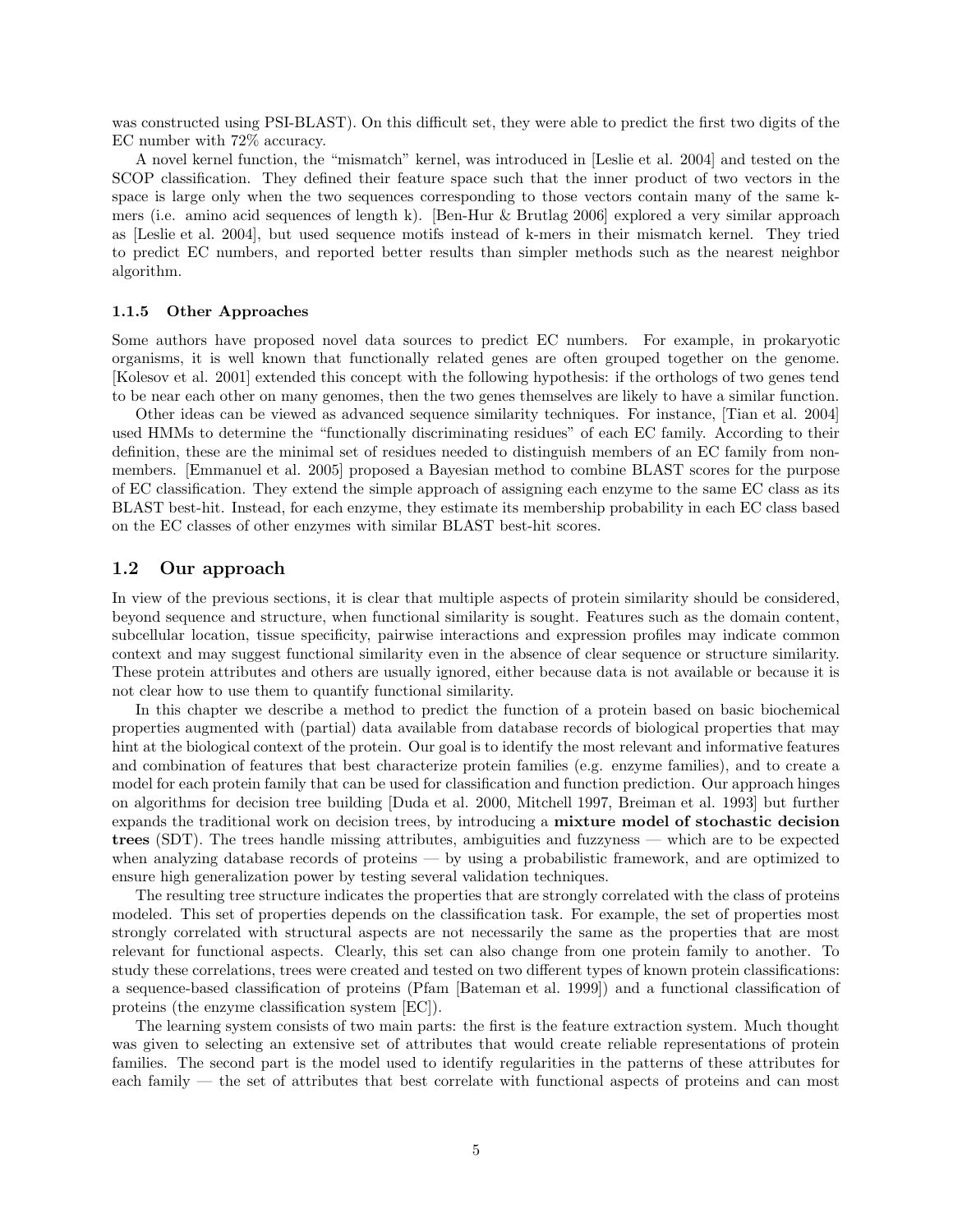was constructed using PSI-BLAST). On this difficult set, they were able to predict the first two digits of the EC number with 72% accuracy.

A novel kernel function, the "mismatch" kernel, was introduced in [Leslie et al. 2004] and tested on the SCOP classification. They defined their feature space such that the inner product of two vectors in the space is large only when the two sequences corresponding to those vectors contain many of the same kmers (i.e. amino acid sequences of length k). [Ben-Hur & Brutlag 2006] explored a very similar approach as [Leslie et al. 2004], but used sequence motifs instead of k-mers in their mismatch kernel. They tried to predict EC numbers, and reported better results than simpler methods such as the nearest neighbor algorithm.

#### 1.1.5 Other Approaches

Some authors have proposed novel data sources to predict EC numbers. For example, in prokaryotic organisms, it is well known that functionally related genes are often grouped together on the genome. [Kolesov et al. 2001] extended this concept with the following hypothesis: if the orthologs of two genes tend to be near each other on many genomes, then the two genes themselves are likely to have a similar function.

Other ideas can be viewed as advanced sequence similarity techniques. For instance, [Tian et al. 2004] used HMMs to determine the "functionally discriminating residues" of each EC family. According to their definition, these are the minimal set of residues needed to distinguish members of an EC family from nonmembers. [Emmanuel et al. 2005] proposed a Bayesian method to combine BLAST scores for the purpose of EC classification. They extend the simple approach of assigning each enzyme to the same EC class as its BLAST best-hit. Instead, for each enzyme, they estimate its membership probability in each EC class based on the EC classes of other enzymes with similar BLAST best-hit scores.

## 1.2 Our approach

In view of the previous sections, it is clear that multiple aspects of protein similarity should be considered, beyond sequence and structure, when functional similarity is sought. Features such as the domain content, subcellular location, tissue specificity, pairwise interactions and expression profiles may indicate common context and may suggest functional similarity even in the absence of clear sequence or structure similarity. These protein attributes and others are usually ignored, either because data is not available or because it is not clear how to use them to quantify functional similarity.

In this chapter we describe a method to predict the function of a protein based on basic biochemical properties augmented with (partial) data available from database records of biological properties that may hint at the biological context of the protein. Our goal is to identify the most relevant and informative features and combination of features that best characterize protein families (e.g. enzyme families), and to create a model for each protein family that can be used for classification and function prediction. Our approach hinges on algorithms for decision tree building [Duda et al. 2000, Mitchell 1997, Breiman et al. 1993] but further expands the traditional work on decision trees, by introducing a mixture model of stochastic decision trees (SDT). The trees handle missing attributes, ambiguities and fuzzyness — which are to be expected when analyzing database records of proteins — by using a probabilistic framework, and are optimized to ensure high generalization power by testing several validation techniques.

The resulting tree structure indicates the properties that are strongly correlated with the class of proteins modeled. This set of properties depends on the classification task. For example, the set of properties most strongly correlated with structural aspects are not necessarily the same as the properties that are most relevant for functional aspects. Clearly, this set can also change from one protein family to another. To study these correlations, trees were created and tested on two different types of known protein classifications: a sequence-based classification of proteins (Pfam [Bateman et al. 1999]) and a functional classification of proteins (the enzyme classification system [EC]).

The learning system consists of two main parts: the first is the feature extraction system. Much thought was given to selecting an extensive set of attributes that would create reliable representations of protein families. The second part is the model used to identify regularities in the patterns of these attributes for each family — the set of attributes that best correlate with functional aspects of proteins and can most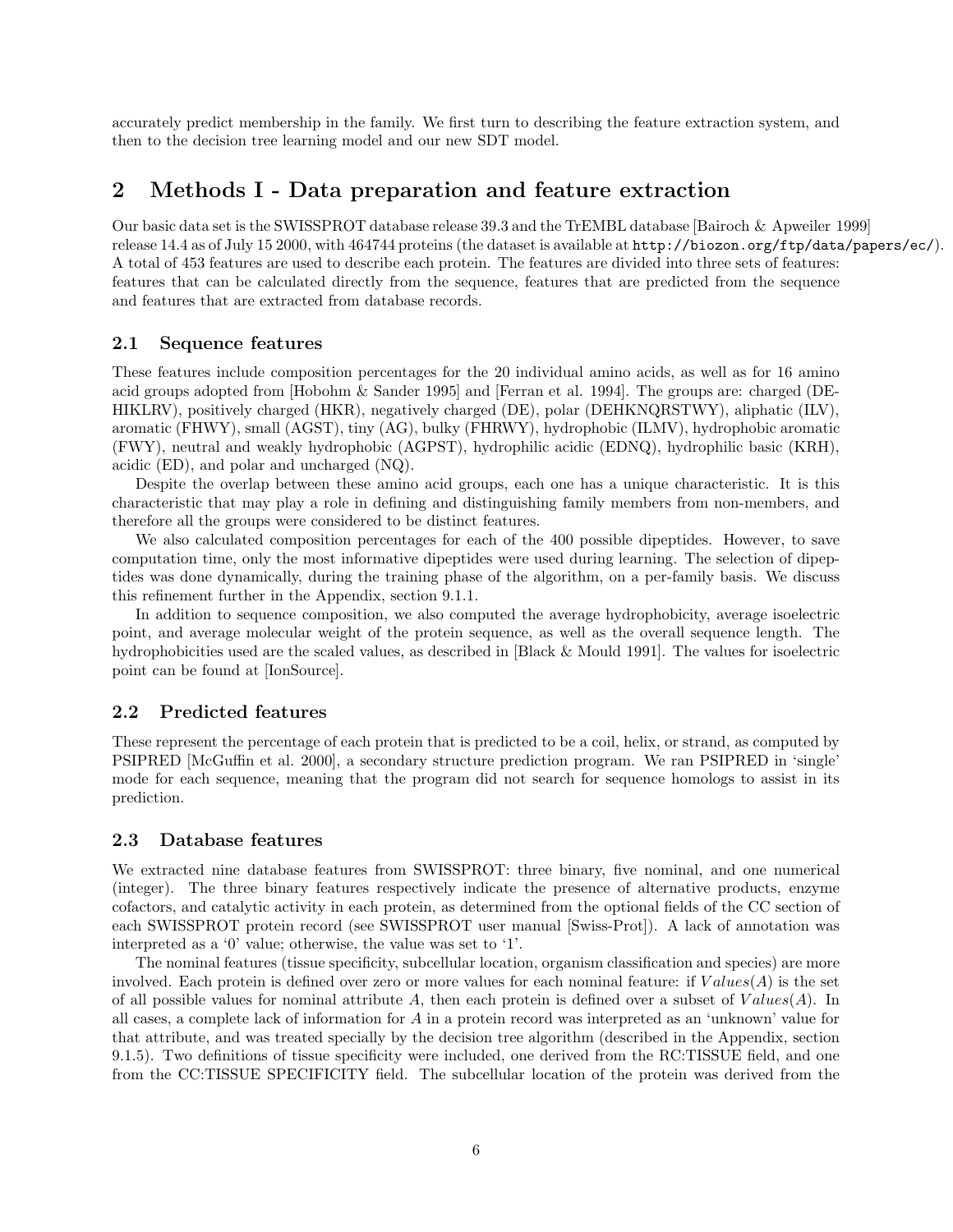accurately predict membership in the family. We first turn to describing the feature extraction system, and then to the decision tree learning model and our new SDT model.

## 2 Methods I - Data preparation and feature extraction

Our basic data set is the SWISSPROT database release 39.3 and the TrEMBL database [Bairoch & Apweiler 1999] release 14.4 as of July 15 2000, with 464744 proteins (the dataset is available at http://biozon.org/ftp/data/papers/ec/). A total of 453 features are used to describe each protein. The features are divided into three sets of features: features that can be calculated directly from the sequence, features that are predicted from the sequence and features that are extracted from database records.

## 2.1 Sequence features

These features include composition percentages for the 20 individual amino acids, as well as for 16 amino acid groups adopted from [Hobohm & Sander 1995] and [Ferran et al. 1994]. The groups are: charged (DE-HIKLRV), positively charged (HKR), negatively charged (DE), polar (DEHKNQRSTWY), aliphatic (ILV), aromatic (FHWY), small (AGST), tiny (AG), bulky (FHRWY), hydrophobic (ILMV), hydrophobic aromatic (FWY), neutral and weakly hydrophobic (AGPST), hydrophilic acidic (EDNQ), hydrophilic basic (KRH), acidic (ED), and polar and uncharged (NQ).

Despite the overlap between these amino acid groups, each one has a unique characteristic. It is this characteristic that may play a role in defining and distinguishing family members from non-members, and therefore all the groups were considered to be distinct features.

We also calculated composition percentages for each of the 400 possible dipeptides. However, to save computation time, only the most informative dipeptides were used during learning. The selection of dipeptides was done dynamically, during the training phase of the algorithm, on a per-family basis. We discuss this refinement further in the Appendix, section 9.1.1.

In addition to sequence composition, we also computed the average hydrophobicity, average isoelectric point, and average molecular weight of the protein sequence, as well as the overall sequence length. The hydrophobicities used are the scaled values, as described in [Black & Mould 1991]. The values for isoelectric point can be found at [IonSource].

### 2.2 Predicted features

These represent the percentage of each protein that is predicted to be a coil, helix, or strand, as computed by PSIPRED [McGuffin et al. 2000], a secondary structure prediction program. We ran PSIPRED in 'single' mode for each sequence, meaning that the program did not search for sequence homologs to assist in its prediction.

### 2.3 Database features

We extracted nine database features from SWISSPROT: three binary, five nominal, and one numerical (integer). The three binary features respectively indicate the presence of alternative products, enzyme cofactors, and catalytic activity in each protein, as determined from the optional fields of the CC section of each SWISSPROT protein record (see SWISSPROT user manual [Swiss-Prot]). A lack of annotation was interpreted as a '0' value; otherwise, the value was set to '1'.

The nominal features (tissue specificity, subcellular location, organism classification and species) are more involved. Each protein is defined over zero or more values for each nominal feature: if  $Values(A)$  is the set of all possible values for nominal attribute A, then each protein is defined over a subset of  $Values(A)$ . In all cases, a complete lack of information for A in a protein record was interpreted as an 'unknown' value for that attribute, and was treated specially by the decision tree algorithm (described in the Appendix, section 9.1.5). Two definitions of tissue specificity were included, one derived from the RC:TISSUE field, and one from the CC:TISSUE SPECIFICITY field. The subcellular location of the protein was derived from the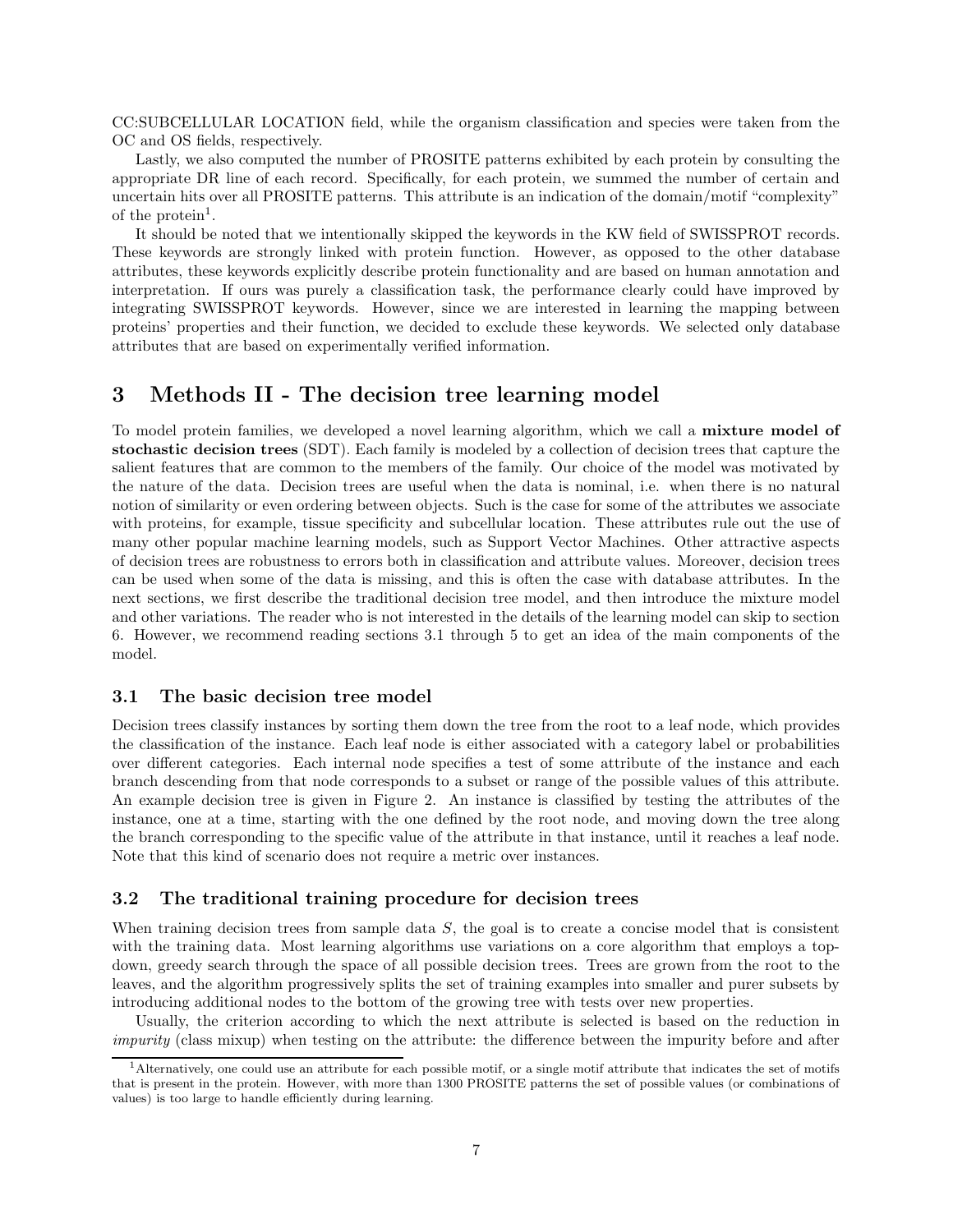CC:SUBCELLULAR LOCATION field, while the organism classification and species were taken from the OC and OS fields, respectively.

Lastly, we also computed the number of PROSITE patterns exhibited by each protein by consulting the appropriate DR line of each record. Specifically, for each protein, we summed the number of certain and uncertain hits over all PROSITE patterns. This attribute is an indication of the domain/motif "complexity" of the protein<sup>1</sup>.

It should be noted that we intentionally skipped the keywords in the KW field of SWISSPROT records. These keywords are strongly linked with protein function. However, as opposed to the other database attributes, these keywords explicitly describe protein functionality and are based on human annotation and interpretation. If ours was purely a classification task, the performance clearly could have improved by integrating SWISSPROT keywords. However, since we are interested in learning the mapping between proteins' properties and their function, we decided to exclude these keywords. We selected only database attributes that are based on experimentally verified information.

## 3 Methods II - The decision tree learning model

To model protein families, we developed a novel learning algorithm, which we call a mixture model of stochastic decision trees (SDT). Each family is modeled by a collection of decision trees that capture the salient features that are common to the members of the family. Our choice of the model was motivated by the nature of the data. Decision trees are useful when the data is nominal, i.e. when there is no natural notion of similarity or even ordering between objects. Such is the case for some of the attributes we associate with proteins, for example, tissue specificity and subcellular location. These attributes rule out the use of many other popular machine learning models, such as Support Vector Machines. Other attractive aspects of decision trees are robustness to errors both in classification and attribute values. Moreover, decision trees can be used when some of the data is missing, and this is often the case with database attributes. In the next sections, we first describe the traditional decision tree model, and then introduce the mixture model and other variations. The reader who is not interested in the details of the learning model can skip to section 6. However, we recommend reading sections 3.1 through 5 to get an idea of the main components of the model.

### 3.1 The basic decision tree model

Decision trees classify instances by sorting them down the tree from the root to a leaf node, which provides the classification of the instance. Each leaf node is either associated with a category label or probabilities over different categories. Each internal node specifies a test of some attribute of the instance and each branch descending from that node corresponds to a subset or range of the possible values of this attribute. An example decision tree is given in Figure 2. An instance is classified by testing the attributes of the instance, one at a time, starting with the one defined by the root node, and moving down the tree along the branch corresponding to the specific value of the attribute in that instance, until it reaches a leaf node. Note that this kind of scenario does not require a metric over instances.

## 3.2 The traditional training procedure for decision trees

When training decision trees from sample data  $S$ , the goal is to create a concise model that is consistent with the training data. Most learning algorithms use variations on a core algorithm that employs a topdown, greedy search through the space of all possible decision trees. Trees are grown from the root to the leaves, and the algorithm progressively splits the set of training examples into smaller and purer subsets by introducing additional nodes to the bottom of the growing tree with tests over new properties.

Usually, the criterion according to which the next attribute is selected is based on the reduction in impurity (class mixup) when testing on the attribute: the difference between the impurity before and after

<sup>&</sup>lt;sup>1</sup>Alternatively, one could use an attribute for each possible motif, or a single motif attribute that indicates the set of motifs that is present in the protein. However, with more than 1300 PROSITE patterns the set of possible values (or combinations of values) is too large to handle efficiently during learning.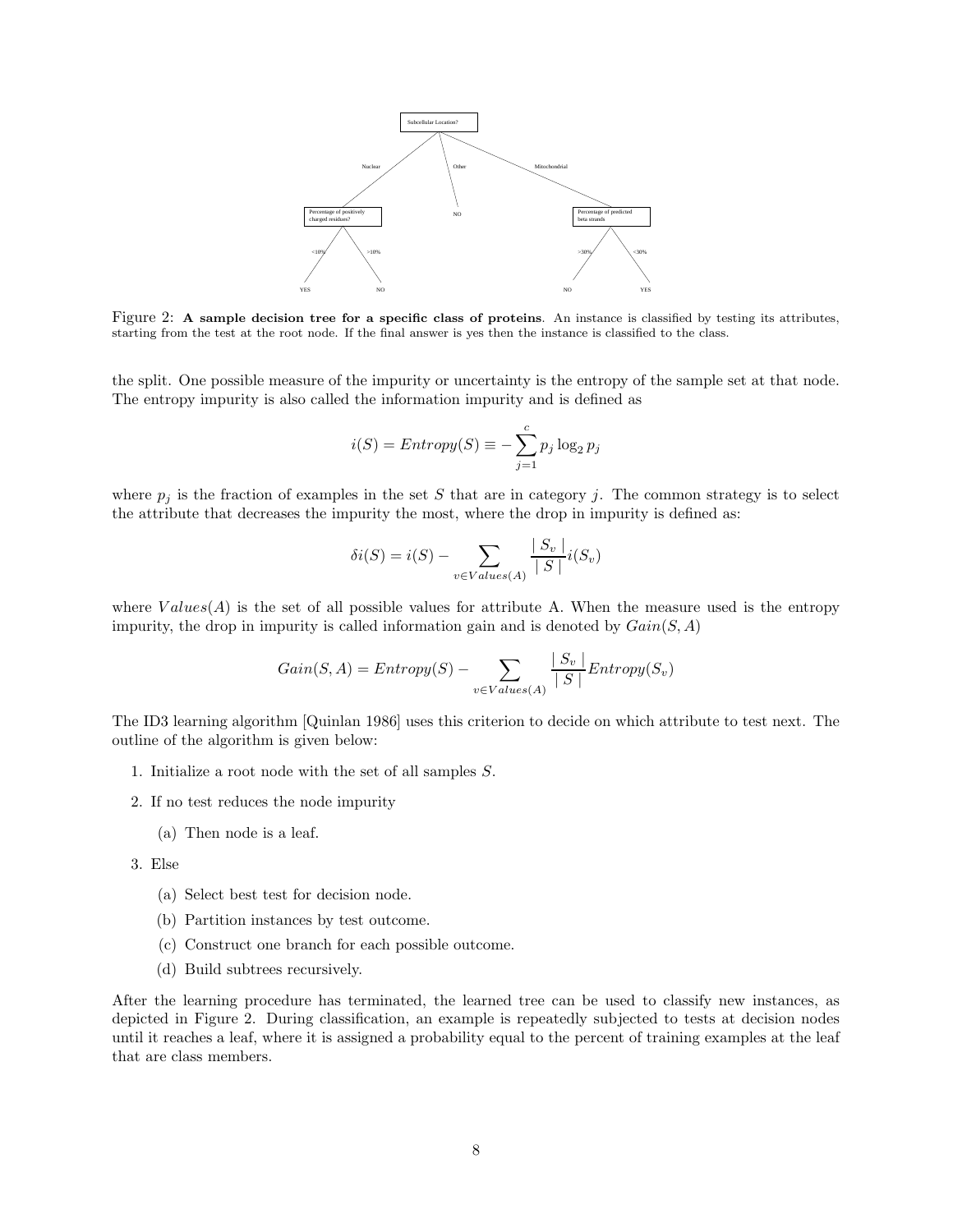

Figure 2: A sample decision tree for a specific class of proteins. An instance is classified by testing its attributes, starting from the test at the root node. If the final answer is yes then the instance is classified to the class.

the split. One possible measure of the impurity or uncertainty is the entropy of the sample set at that node. The entropy impurity is also called the information impurity and is defined as

$$
i(S) = Entropy(S) \equiv -\sum_{j=1}^{c} p_j \log_2 p_j
$$

where  $p_j$  is the fraction of examples in the set S that are in category j. The common strategy is to select the attribute that decreases the impurity the most, where the drop in impurity is defined as:

$$
\delta i(S) = i(S) - \sum_{v \in Values(A)} \frac{|S_v|}{|S|} i(S_v)
$$

where  $Values(A)$  is the set of all possible values for attribute A. When the measure used is the entropy impurity, the drop in impurity is called information gain and is denoted by  $Gain(S, A)$ 

$$
Gain(S, A) = Entropy(S) - \sum_{v \in Values(A)} \frac{|S_v|}{|S|} Entropy(S_v)
$$

The ID3 learning algorithm [Quinlan 1986] uses this criterion to decide on which attribute to test next. The outline of the algorithm is given below:

- 1. Initialize a root node with the set of all samples S.
- 2. If no test reduces the node impurity
	- (a) Then node is a leaf.
- 3. Else
	- (a) Select best test for decision node.
	- (b) Partition instances by test outcome.
	- (c) Construct one branch for each possible outcome.
	- (d) Build subtrees recursively.

After the learning procedure has terminated, the learned tree can be used to classify new instances, as depicted in Figure 2. During classification, an example is repeatedly subjected to tests at decision nodes until it reaches a leaf, where it is assigned a probability equal to the percent of training examples at the leaf that are class members.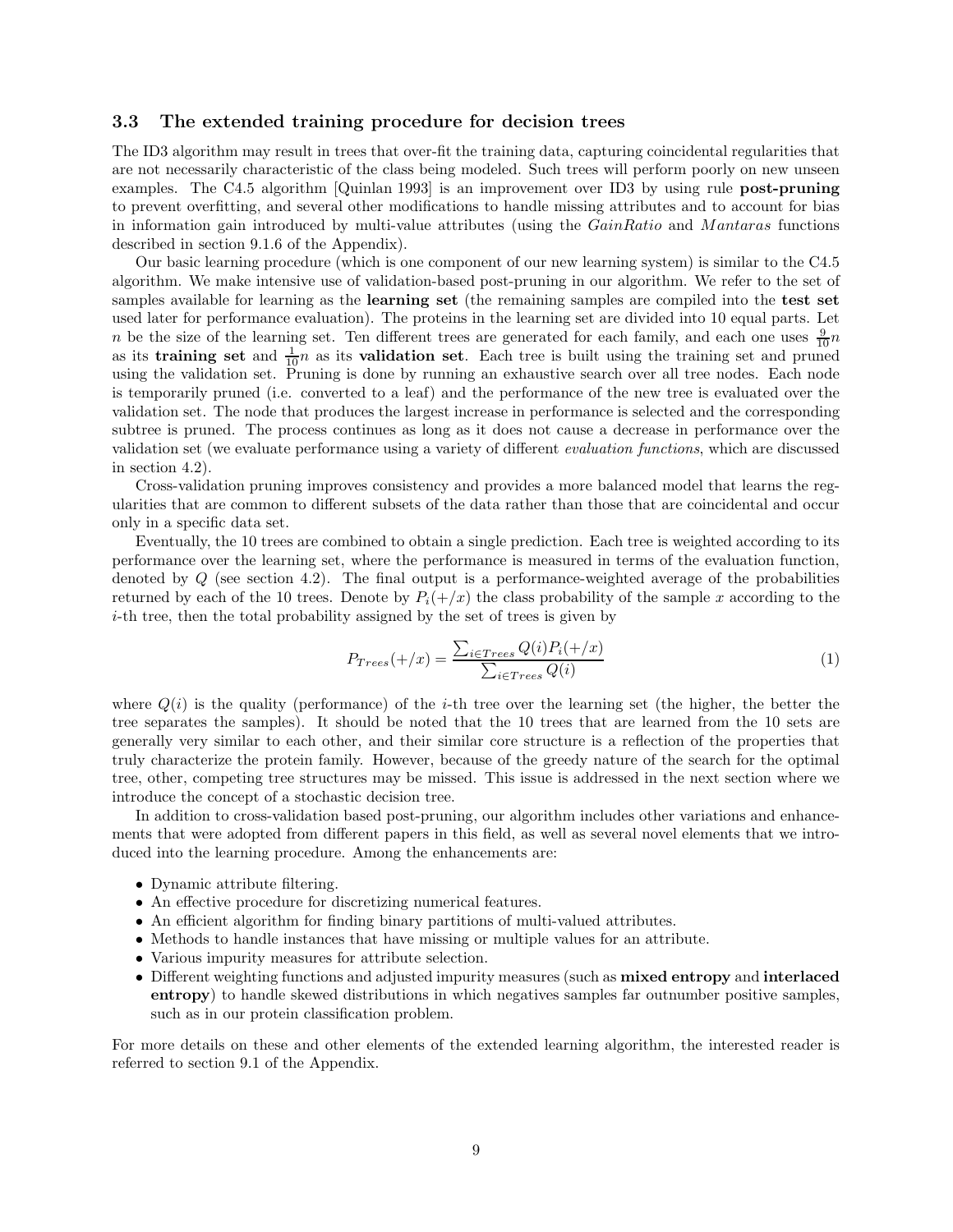### 3.3 The extended training procedure for decision trees

The ID3 algorithm may result in trees that over-fit the training data, capturing coincidental regularities that are not necessarily characteristic of the class being modeled. Such trees will perform poorly on new unseen examples. The C4.5 algorithm [Quinlan 1993] is an improvement over ID3 by using rule post-pruning to prevent overfitting, and several other modifications to handle missing attributes and to account for bias in information gain introduced by multi-value attributes (using the GainRatio and Mantaras functions described in section 9.1.6 of the Appendix).

Our basic learning procedure (which is one component of our new learning system) is similar to the C4.5 algorithm. We make intensive use of validation-based post-pruning in our algorithm. We refer to the set of samples available for learning as the **learning set** (the remaining samples are compiled into the **test set** used later for performance evaluation). The proteins in the learning set are divided into 10 equal parts. Let n be the size of the learning set. Ten different trees are generated for each family, and each one uses  $\frac{9}{10}n$ as its **training set** and  $\frac{1}{10}n$  as its **validation set**. Each tree is built using the training set and pruned using the validation set. Pruning is done by running an exhaustive search over all tree nodes. Each node is temporarily pruned (i.e. converted to a leaf) and the performance of the new tree is evaluated over the validation set. The node that produces the largest increase in performance is selected and the corresponding subtree is pruned. The process continues as long as it does not cause a decrease in performance over the validation set (we evaluate performance using a variety of different evaluation functions, which are discussed in section 4.2).

Cross-validation pruning improves consistency and provides a more balanced model that learns the regularities that are common to different subsets of the data rather than those that are coincidental and occur only in a specific data set.

Eventually, the 10 trees are combined to obtain a single prediction. Each tree is weighted according to its performance over the learning set, where the performance is measured in terms of the evaluation function, denoted by Q (see section 4.2). The final output is a performance-weighted average of the probabilities returned by each of the 10 trees. Denote by  $P_i(+x)$  the class probability of the sample x according to the i-th tree, then the total probability assigned by the set of trees is given by

$$
P_{Trees}(+/x) = \frac{\sum_{i \in Trees} Q(i)P_i(+/x)}{\sum_{i \in Trees} Q(i)} \tag{1}
$$

where  $Q(i)$  is the quality (performance) of the *i*-th tree over the learning set (the higher, the better the tree separates the samples). It should be noted that the 10 trees that are learned from the 10 sets are generally very similar to each other, and their similar core structure is a reflection of the properties that truly characterize the protein family. However, because of the greedy nature of the search for the optimal tree, other, competing tree structures may be missed. This issue is addressed in the next section where we introduce the concept of a stochastic decision tree.

In addition to cross-validation based post-pruning, our algorithm includes other variations and enhancements that were adopted from different papers in this field, as well as several novel elements that we introduced into the learning procedure. Among the enhancements are:

- Dynamic attribute filtering.
- An effective procedure for discretizing numerical features.
- An efficient algorithm for finding binary partitions of multi-valued attributes.
- Methods to handle instances that have missing or multiple values for an attribute.
- Various impurity measures for attribute selection.
- Different weighting functions and adjusted impurity measures (such as **mixed entropy** and **interlaced** entropy) to handle skewed distributions in which negatives samples far outnumber positive samples, such as in our protein classification problem.

For more details on these and other elements of the extended learning algorithm, the interested reader is referred to section 9.1 of the Appendix.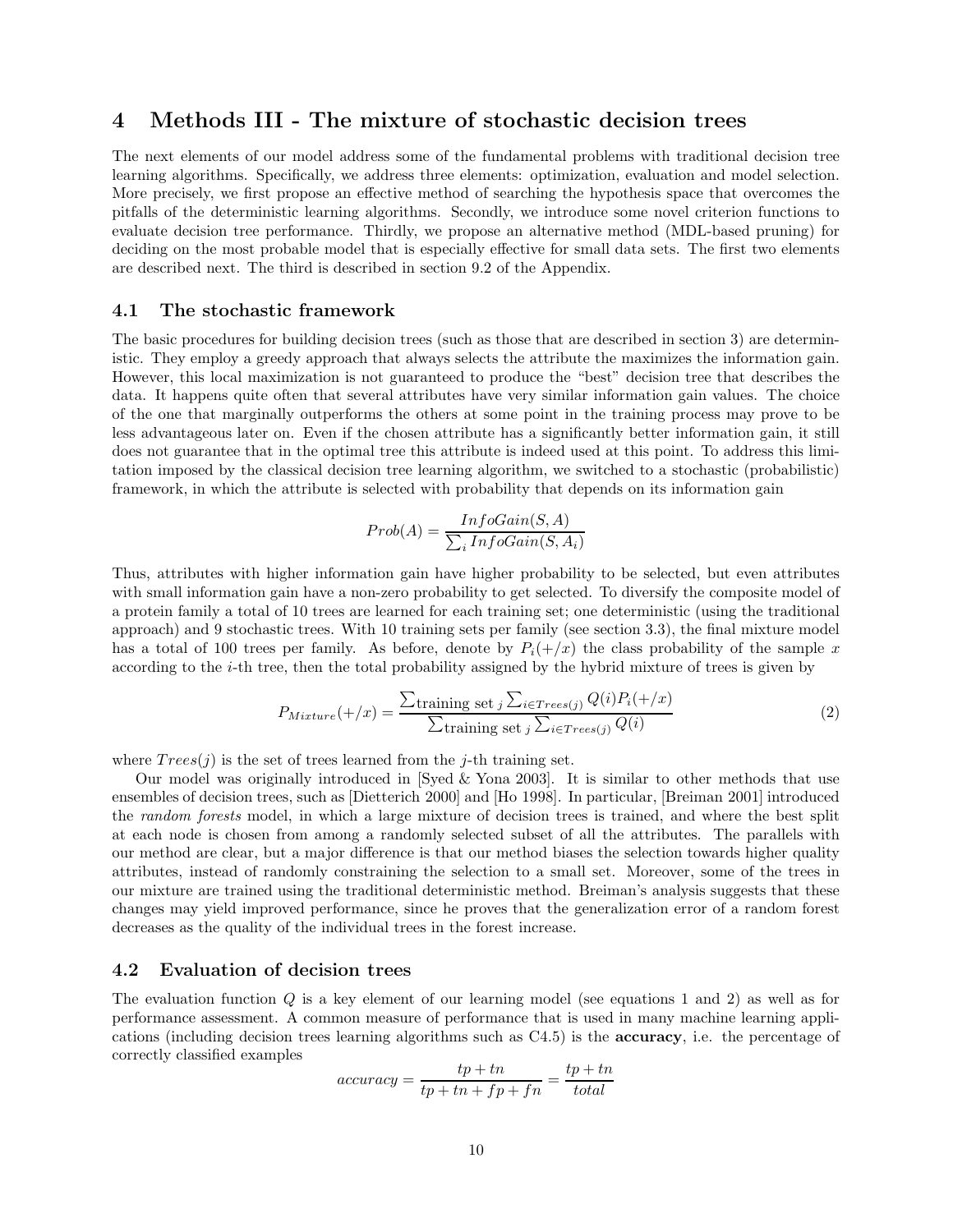## 4 Methods III - The mixture of stochastic decision trees

The next elements of our model address some of the fundamental problems with traditional decision tree learning algorithms. Specifically, we address three elements: optimization, evaluation and model selection. More precisely, we first propose an effective method of searching the hypothesis space that overcomes the pitfalls of the deterministic learning algorithms. Secondly, we introduce some novel criterion functions to evaluate decision tree performance. Thirdly, we propose an alternative method (MDL-based pruning) for deciding on the most probable model that is especially effective for small data sets. The first two elements are described next. The third is described in section 9.2 of the Appendix.

### 4.1 The stochastic framework

The basic procedures for building decision trees (such as those that are described in section 3) are deterministic. They employ a greedy approach that always selects the attribute the maximizes the information gain. However, this local maximization is not guaranteed to produce the "best" decision tree that describes the data. It happens quite often that several attributes have very similar information gain values. The choice of the one that marginally outperforms the others at some point in the training process may prove to be less advantageous later on. Even if the chosen attribute has a significantly better information gain, it still does not guarantee that in the optimal tree this attribute is indeed used at this point. To address this limitation imposed by the classical decision tree learning algorithm, we switched to a stochastic (probabilistic) framework, in which the attribute is selected with probability that depends on its information gain

$$
Prob(A) = \frac{InfoGain(S, A)}{\sum_{i} InfoGain(S, A_{i})}
$$

Thus, attributes with higher information gain have higher probability to be selected, but even attributes with small information gain have a non-zero probability to get selected. To diversify the composite model of a protein family a total of 10 trees are learned for each training set; one deterministic (using the traditional approach) and 9 stochastic trees. With 10 training sets per family (see section 3.3), the final mixture model has a total of 100 trees per family. As before, denote by  $P_i(+x)$  the class probability of the sample x according to the i-th tree, then the total probability assigned by the hybrid mixture of trees is given by

$$
P_{Mixture}(+/x) = \frac{\sum_{\text{training set } j} \sum_{i \in Trees(j)} Q(i) P_i(+/x)}{\sum_{\text{training set } j} \sum_{i \in Trees(j)} Q(i)} \tag{2}
$$

where  $Trees(j)$  is the set of trees learned from the j-th training set.

Our model was originally introduced in [Syed & Yona 2003]. It is similar to other methods that use ensembles of decision trees, such as [Dietterich 2000] and [Ho 1998]. In particular, [Breiman 2001] introduced the random forests model, in which a large mixture of decision trees is trained, and where the best split at each node is chosen from among a randomly selected subset of all the attributes. The parallels with our method are clear, but a major difference is that our method biases the selection towards higher quality attributes, instead of randomly constraining the selection to a small set. Moreover, some of the trees in our mixture are trained using the traditional deterministic method. Breiman's analysis suggests that these changes may yield improved performance, since he proves that the generalization error of a random forest decreases as the quality of the individual trees in the forest increase.

### 4.2 Evaluation of decision trees

The evaluation function  $Q$  is a key element of our learning model (see equations 1 and 2) as well as for performance assessment. A common measure of performance that is used in many machine learning applications (including decision trees learning algorithms such as C4.5) is the accuracy, i.e. the percentage of correctly classified examples

$$
accuracy = \frac{tp + tn}{tp + tn + fp + fn} = \frac{tp + tn}{total}
$$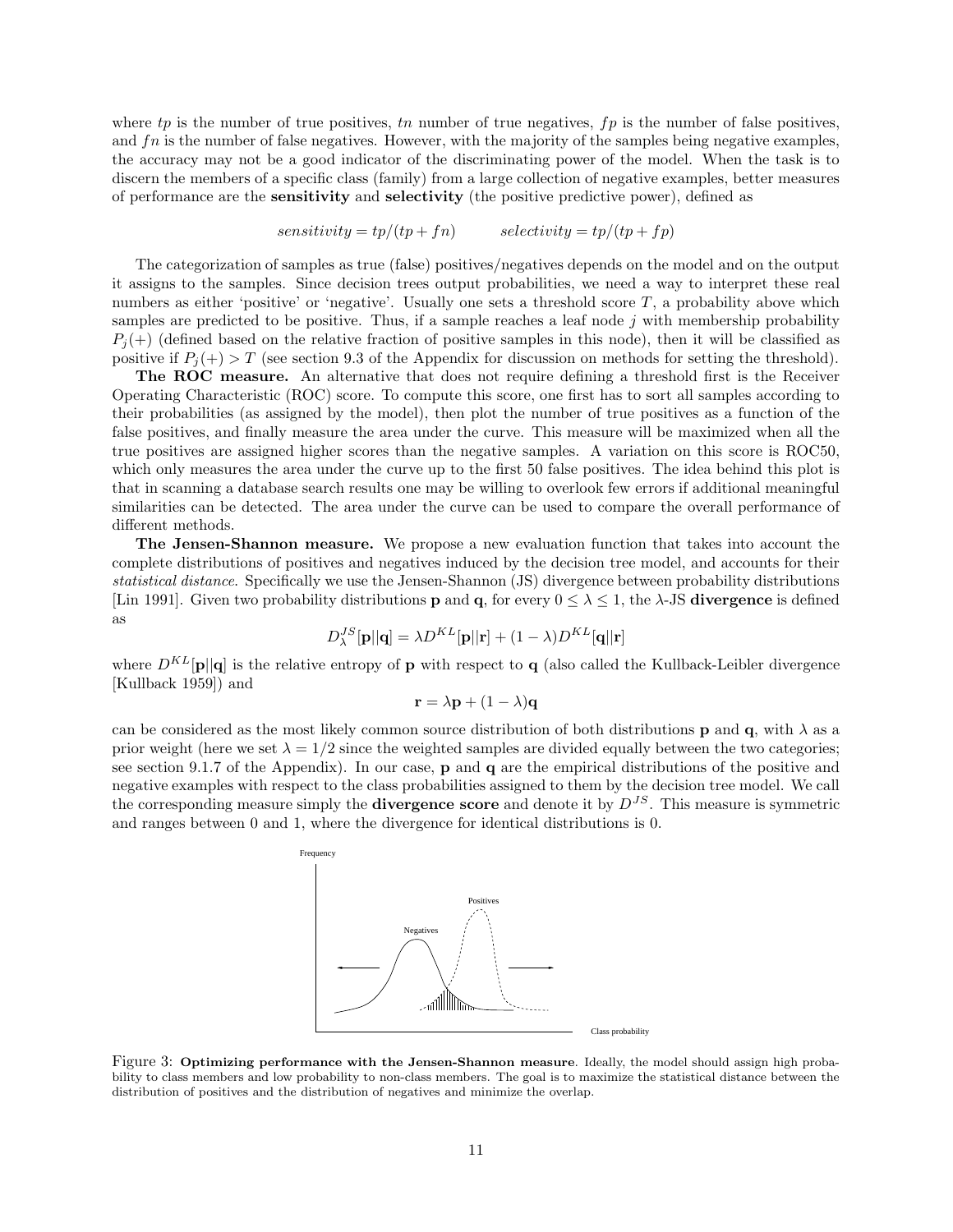where tp is the number of true positives, the number of true negatives,  $fp$  is the number of false positives, and  $fn$  is the number of false negatives. However, with the majority of the samples being negative examples, the accuracy may not be a good indicator of the discriminating power of the model. When the task is to discern the members of a specific class (family) from a large collection of negative examples, better measures of performance are the sensitivity and selectivity (the positive predictive power), defined as

$$
sensitivity = tp/(tp + fn) \qquad \quad \text{selectivity} = tp/(tp + fp)
$$

The categorization of samples as true (false) positives/negatives depends on the model and on the output it assigns to the samples. Since decision trees output probabilities, we need a way to interpret these real numbers as either 'positive' or 'negative'. Usually one sets a threshold score  $T$ , a probability above which samples are predicted to be positive. Thus, if a sample reaches a leaf node  $j$  with membership probability  $P_i(+)$  (defined based on the relative fraction of positive samples in this node), then it will be classified as positive if  $P_i(+) > T$  (see section 9.3 of the Appendix for discussion on methods for setting the threshold).

The ROC measure. An alternative that does not require defining a threshold first is the Receiver Operating Characteristic (ROC) score. To compute this score, one first has to sort all samples according to their probabilities (as assigned by the model), then plot the number of true positives as a function of the false positives, and finally measure the area under the curve. This measure will be maximized when all the true positives are assigned higher scores than the negative samples. A variation on this score is ROC50, which only measures the area under the curve up to the first 50 false positives. The idea behind this plot is that in scanning a database search results one may be willing to overlook few errors if additional meaningful similarities can be detected. The area under the curve can be used to compare the overall performance of different methods.

The Jensen-Shannon measure. We propose a new evaluation function that takes into account the complete distributions of positives and negatives induced by the decision tree model, and accounts for their statistical distance. Specifically we use the Jensen-Shannon (JS) divergence between probability distributions [Lin 1991]. Given two probability distributions **p** and **q**, for every  $0 \leq \lambda \leq 1$ , the  $\lambda$ -JS **divergence** is defined as

$$
D_{\lambda}^{JS}[\mathbf{p}||\mathbf{q}] = \lambda D^{KL}[\mathbf{p}||\mathbf{r}] + (1 - \lambda)D^{KL}[\mathbf{q}||\mathbf{r}]
$$

where  $D^{KL}[\mathbf{p}||\mathbf{q}]$  is the relative entropy of **p** with respect to **q** (also called the Kullback-Leibler divergence [Kullback 1959]) and

$$
\mathbf{r} = \lambda \mathbf{p} + (1 - \lambda) \mathbf{q}
$$

can be considered as the most likely common source distribution of both distributions **p** and **q**, with  $\lambda$  as a prior weight (here we set  $\lambda = 1/2$  since the weighted samples are divided equally between the two categories; see section 9.1.7 of the Appendix). In our case, p and q are the empirical distributions of the positive and negative examples with respect to the class probabilities assigned to them by the decision tree model. We call the corresponding measure simply the **divergence score** and denote it by  $D^{JS}$ . This measure is symmetric and ranges between 0 and 1, where the divergence for identical distributions is 0.



Figure 3: Optimizing performance with the Jensen-Shannon measure. Ideally, the model should assign high probability to class members and low probability to non-class members. The goal is to maximize the statistical distance between the distribution of positives and the distribution of negatives and minimize the overlap.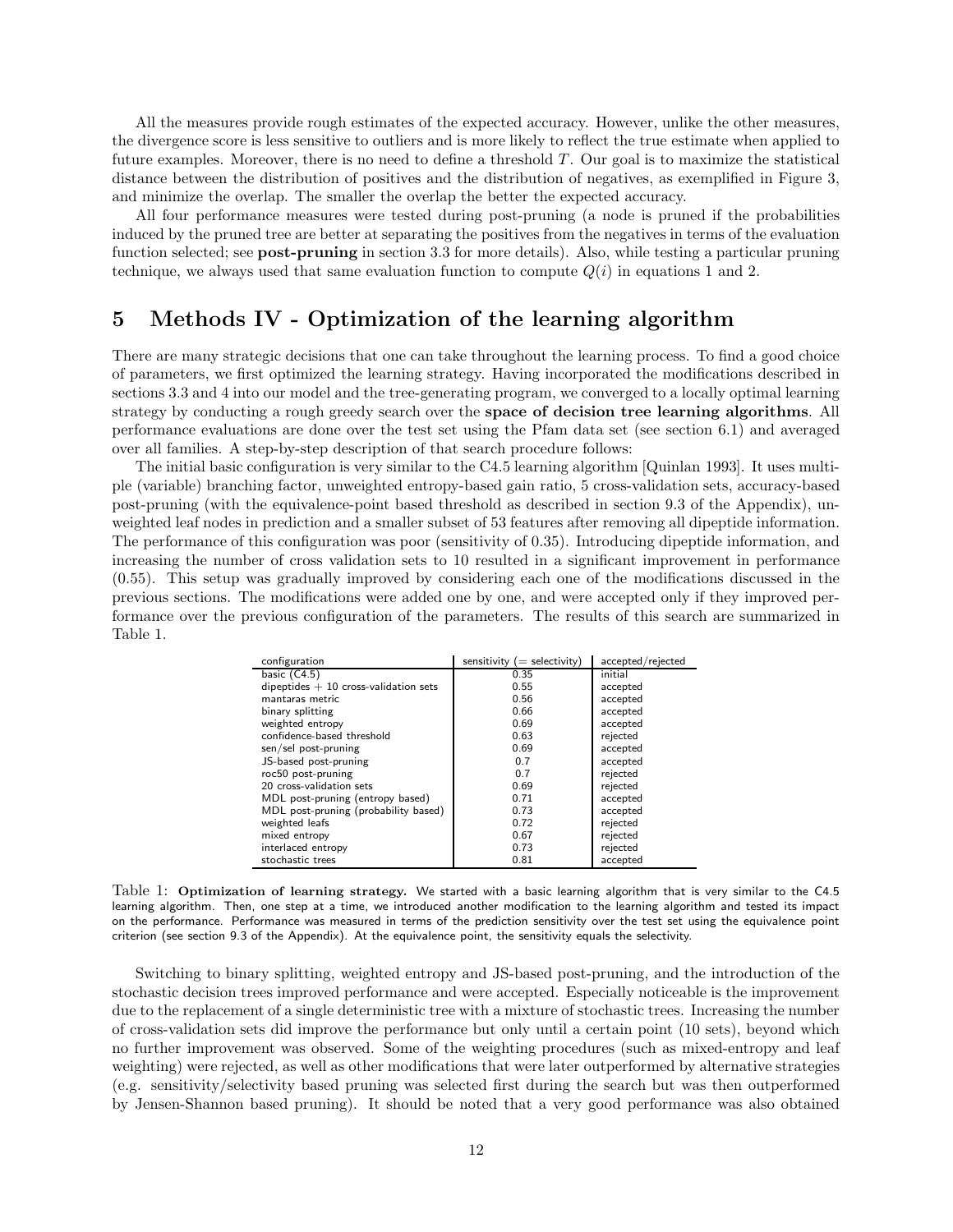All the measures provide rough estimates of the expected accuracy. However, unlike the other measures, the divergence score is less sensitive to outliers and is more likely to reflect the true estimate when applied to future examples. Moreover, there is no need to define a threshold T. Our goal is to maximize the statistical distance between the distribution of positives and the distribution of negatives, as exemplified in Figure 3, and minimize the overlap. The smaller the overlap the better the expected accuracy.

All four performance measures were tested during post-pruning (a node is pruned if the probabilities induced by the pruned tree are better at separating the positives from the negatives in terms of the evaluation function selected; see post-pruning in section 3.3 for more details). Also, while testing a particular pruning technique, we always used that same evaluation function to compute  $Q(i)$  in equations 1 and 2.

## 5 Methods IV - Optimization of the learning algorithm

There are many strategic decisions that one can take throughout the learning process. To find a good choice of parameters, we first optimized the learning strategy. Having incorporated the modifications described in sections 3.3 and 4 into our model and the tree-generating program, we converged to a locally optimal learning strategy by conducting a rough greedy search over the **space of decision tree learning algorithms**. All performance evaluations are done over the test set using the Pfam data set (see section 6.1) and averaged over all families. A step-by-step description of that search procedure follows:

The initial basic configuration is very similar to the C4.5 learning algorithm [Quinlan 1993]. It uses multiple (variable) branching factor, unweighted entropy-based gain ratio, 5 cross-validation sets, accuracy-based post-pruning (with the equivalence-point based threshold as described in section 9.3 of the Appendix), unweighted leaf nodes in prediction and a smaller subset of 53 features after removing all dipeptide information. The performance of this configuration was poor (sensitivity of 0.35). Introducing dipeptide information, and increasing the number of cross validation sets to 10 resulted in a significant improvement in performance (0.55). This setup was gradually improved by considering each one of the modifications discussed in the previous sections. The modifications were added one by one, and were accepted only if they improved performance over the previous configuration of the parameters. The results of this search are summarized in Table 1.

| configuration                          | sensitivity $($ = selectivity) | accepted/rejected |
|----------------------------------------|--------------------------------|-------------------|
| basic $(C4.5)$                         | 0.35                           | initial           |
| dipeptides $+10$ cross-validation sets | 0.55                           | accepted          |
| mantaras metric                        | 0.56                           | accepted          |
| binary splitting                       | 0.66                           | accepted          |
| weighted entropy                       | 0.69                           | accepted          |
| confidence-based threshold             | 0.63                           | rejected          |
| sen/sel post-pruning                   | 0.69                           | accepted          |
| JS-based post-pruning                  | 0.7                            | accepted          |
| roc50 post-pruning                     | 0.7                            | rejected          |
| 20 cross-validation sets               | 0.69                           | rejected          |
| MDL post-pruning (entropy based)       | 0.71                           | accepted          |
| MDL post-pruning (probability based)   | 0.73                           | accepted          |
| weighted leafs                         | 0.72                           | rejected          |
| mixed entropy                          | 0.67                           | rejected          |
| interlaced entropy                     | 0.73                           | rejected          |
| stochastic trees                       | 0.81                           | accepted          |

Table 1: Optimization of learning strategy. We started with a basic learning algorithm that is very similar to the C4.5 learning algorithm. Then, one step at a time, we introduced another modification to the learning algorithm and tested its impact on the performance. Performance was measured in terms of the prediction sensitivity over the test set using the equivalence point criterion (see section 9.3 of the Appendix). At the equivalence point, the sensitivity equals the selectivity.

Switching to binary splitting, weighted entropy and JS-based post-pruning, and the introduction of the stochastic decision trees improved performance and were accepted. Especially noticeable is the improvement due to the replacement of a single deterministic tree with a mixture of stochastic trees. Increasing the number of cross-validation sets did improve the performance but only until a certain point (10 sets), beyond which no further improvement was observed. Some of the weighting procedures (such as mixed-entropy and leaf weighting) were rejected, as well as other modifications that were later outperformed by alternative strategies (e.g. sensitivity/selectivity based pruning was selected first during the search but was then outperformed by Jensen-Shannon based pruning). It should be noted that a very good performance was also obtained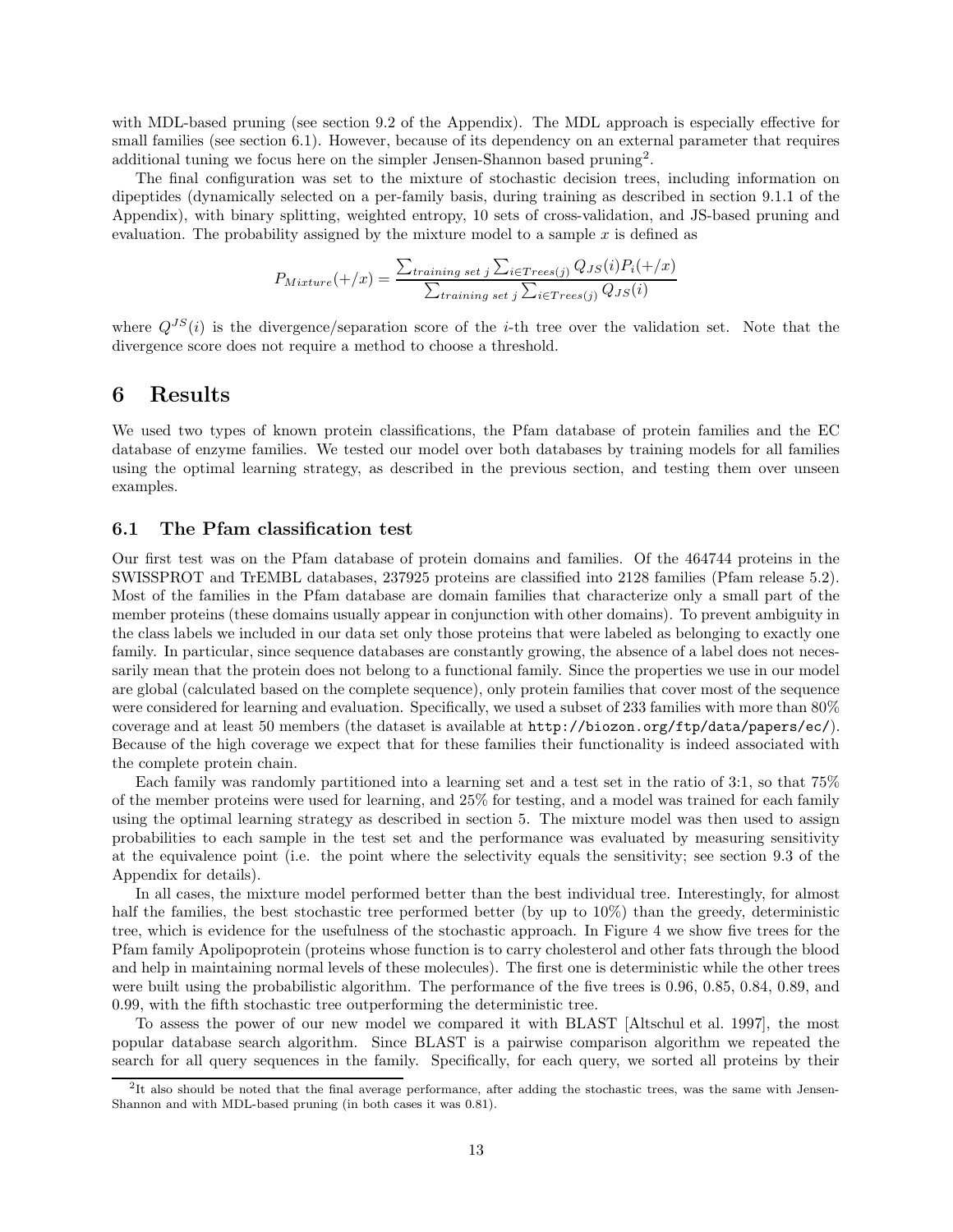with MDL-based pruning (see section 9.2 of the Appendix). The MDL approach is especially effective for small families (see section 6.1). However, because of its dependency on an external parameter that requires additional tuning we focus here on the simpler Jensen-Shannon based pruning<sup>2</sup>.

The final configuration was set to the mixture of stochastic decision trees, including information on dipeptides (dynamically selected on a per-family basis, during training as described in section 9.1.1 of the Appendix), with binary splitting, weighted entropy, 10 sets of cross-validation, and JS-based pruning and evaluation. The probability assigned by the mixture model to a sample  $x$  is defined as

$$
P_{Mixture}(+/x) = \frac{\sum_{training \ set j} \sum_{i \in Trees(j)} Q_{JS}(i) P_i(+/x)}{\sum_{training \ set j} \sum_{i \in Trees(j)} Q_{JS}(i)}
$$

where  $Q^{JS}(i)$  is the divergence/separation score of the *i*-th tree over the validation set. Note that the divergence score does not require a method to choose a threshold.

## 6 Results

We used two types of known protein classifications, the Pfam database of protein families and the EC database of enzyme families. We tested our model over both databases by training models for all families using the optimal learning strategy, as described in the previous section, and testing them over unseen examples.

## 6.1 The Pfam classification test

Our first test was on the Pfam database of protein domains and families. Of the 464744 proteins in the SWISSPROT and TrEMBL databases, 237925 proteins are classified into 2128 families (Pfam release 5.2). Most of the families in the Pfam database are domain families that characterize only a small part of the member proteins (these domains usually appear in conjunction with other domains). To prevent ambiguity in the class labels we included in our data set only those proteins that were labeled as belonging to exactly one family. In particular, since sequence databases are constantly growing, the absence of a label does not necessarily mean that the protein does not belong to a functional family. Since the properties we use in our model are global (calculated based on the complete sequence), only protein families that cover most of the sequence were considered for learning and evaluation. Specifically, we used a subset of 233 families with more than 80% coverage and at least 50 members (the dataset is available at http://biozon.org/ftp/data/papers/ec/). Because of the high coverage we expect that for these families their functionality is indeed associated with the complete protein chain.

Each family was randomly partitioned into a learning set and a test set in the ratio of 3:1, so that 75% of the member proteins were used for learning, and 25% for testing, and a model was trained for each family using the optimal learning strategy as described in section 5. The mixture model was then used to assign probabilities to each sample in the test set and the performance was evaluated by measuring sensitivity at the equivalence point (i.e. the point where the selectivity equals the sensitivity; see section 9.3 of the Appendix for details).

In all cases, the mixture model performed better than the best individual tree. Interestingly, for almost half the families, the best stochastic tree performed better (by up to  $10\%$ ) than the greedy, deterministic tree, which is evidence for the usefulness of the stochastic approach. In Figure 4 we show five trees for the Pfam family Apolipoprotein (proteins whose function is to carry cholesterol and other fats through the blood and help in maintaining normal levels of these molecules). The first one is deterministic while the other trees were built using the probabilistic algorithm. The performance of the five trees is 0.96, 0.85, 0.84, 0.89, and 0.99, with the fifth stochastic tree outperforming the deterministic tree.

To assess the power of our new model we compared it with BLAST [Altschul et al. 1997], the most popular database search algorithm. Since BLAST is a pairwise comparison algorithm we repeated the search for all query sequences in the family. Specifically, for each query, we sorted all proteins by their

<sup>&</sup>lt;sup>2</sup>It also should be noted that the final average performance, after adding the stochastic trees, was the same with Jensen-Shannon and with MDL-based pruning (in both cases it was 0.81).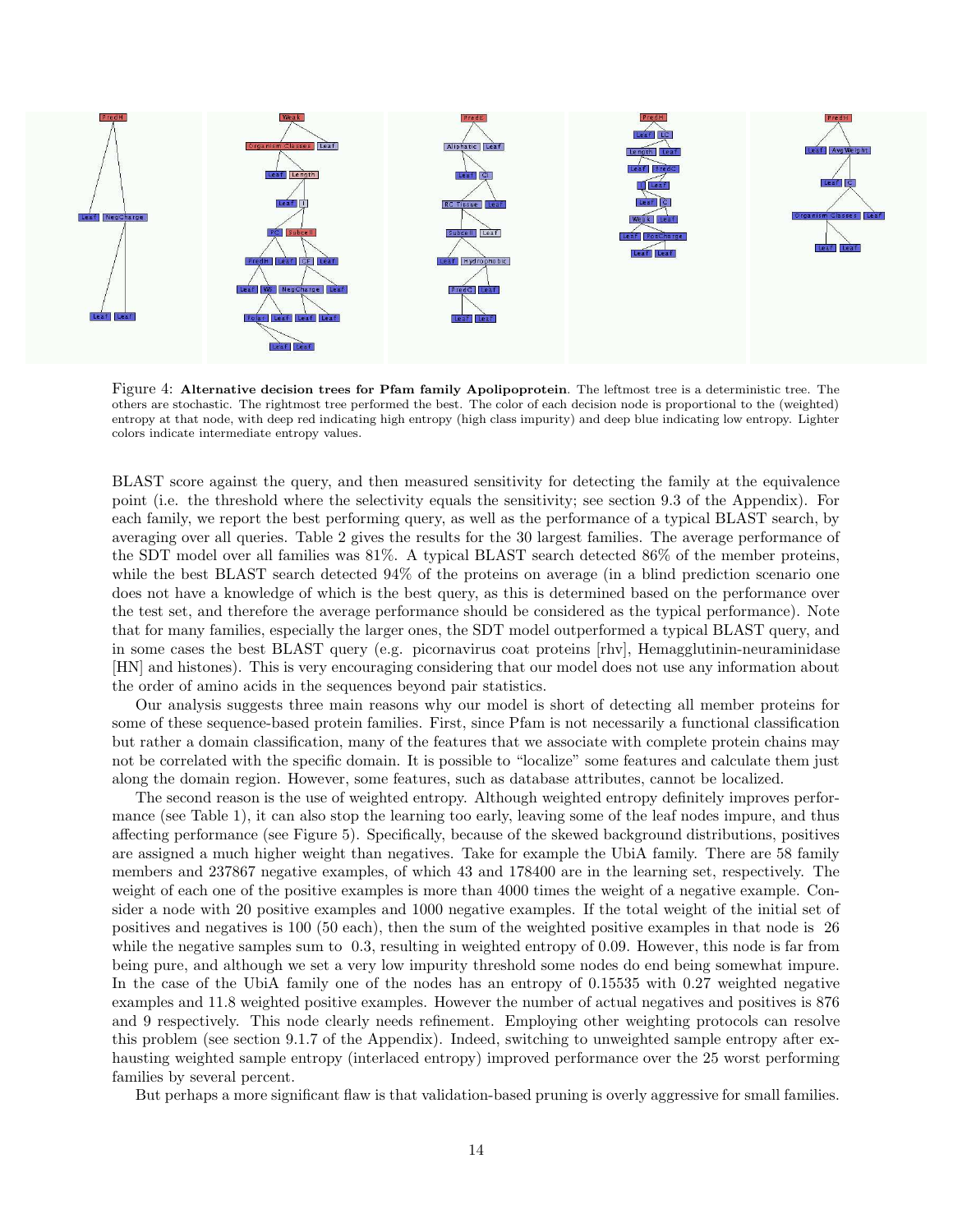

Figure 4: Alternative decision trees for Pfam family Apolipoprotein. The leftmost tree is a deterministic tree. The others are stochastic. The rightmost tree performed the best. The color of each decision node is proportional to the (weighted) entropy at that node, with deep red indicating high entropy (high class impurity) and deep blue indicating low entropy. Lighter colors indicate intermediate entropy values.

BLAST score against the query, and then measured sensitivity for detecting the family at the equivalence point (i.e. the threshold where the selectivity equals the sensitivity; see section 9.3 of the Appendix). For each family, we report the best performing query, as well as the performance of a typical BLAST search, by averaging over all queries. Table 2 gives the results for the 30 largest families. The average performance of the SDT model over all families was 81%. A typical BLAST search detected 86% of the member proteins, while the best BLAST search detected  $94\%$  of the proteins on average (in a blind prediction scenario one does not have a knowledge of which is the best query, as this is determined based on the performance over the test set, and therefore the average performance should be considered as the typical performance). Note that for many families, especially the larger ones, the SDT model outperformed a typical BLAST query, and in some cases the best BLAST query (e.g. picornavirus coat proteins [rhv], Hemagglutinin-neuraminidase [HN] and histones). This is very encouraging considering that our model does not use any information about the order of amino acids in the sequences beyond pair statistics.

Our analysis suggests three main reasons why our model is short of detecting all member proteins for some of these sequence-based protein families. First, since Pfam is not necessarily a functional classification but rather a domain classification, many of the features that we associate with complete protein chains may not be correlated with the specific domain. It is possible to "localize" some features and calculate them just along the domain region. However, some features, such as database attributes, cannot be localized.

The second reason is the use of weighted entropy. Although weighted entropy definitely improves performance (see Table 1), it can also stop the learning too early, leaving some of the leaf nodes impure, and thus affecting performance (see Figure 5). Specifically, because of the skewed background distributions, positives are assigned a much higher weight than negatives. Take for example the UbiA family. There are 58 family members and 237867 negative examples, of which 43 and 178400 are in the learning set, respectively. The weight of each one of the positive examples is more than 4000 times the weight of a negative example. Consider a node with 20 positive examples and 1000 negative examples. If the total weight of the initial set of positives and negatives is 100 (50 each), then the sum of the weighted positive examples in that node is 26 while the negative samples sum to 0.3, resulting in weighted entropy of 0.09. However, this node is far from being pure, and although we set a very low impurity threshold some nodes do end being somewhat impure. In the case of the UbiA family one of the nodes has an entropy of 0.15535 with 0.27 weighted negative examples and 11.8 weighted positive examples. However the number of actual negatives and positives is 876 and 9 respectively. This node clearly needs refinement. Employing other weighting protocols can resolve this problem (see section 9.1.7 of the Appendix). Indeed, switching to unweighted sample entropy after exhausting weighted sample entropy (interlaced entropy) improved performance over the 25 worst performing families by several percent.

But perhaps a more significant flaw is that validation-based pruning is overly aggressive for small families.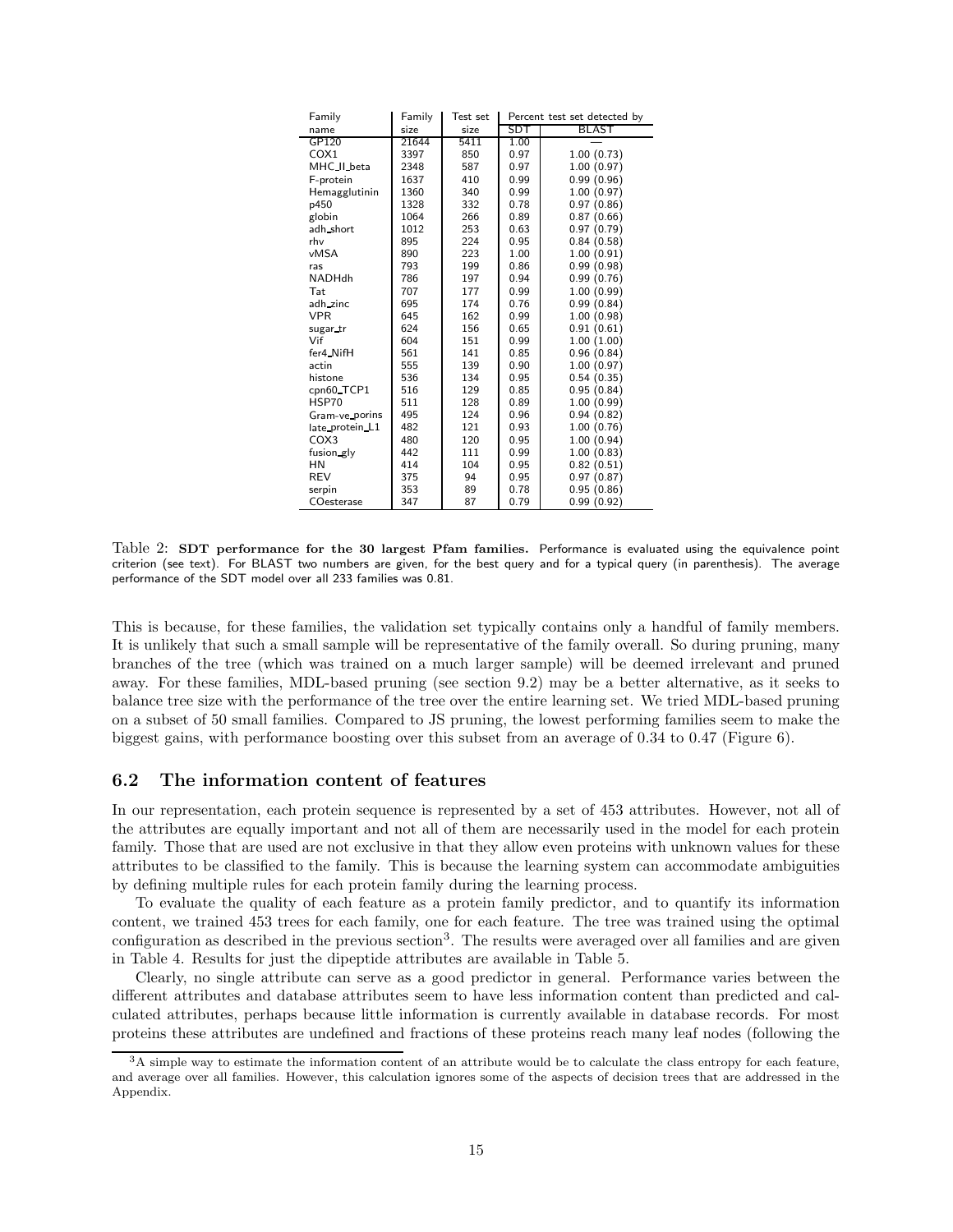| Family           | Family | Test set | Percent test set detected by |            |
|------------------|--------|----------|------------------------------|------------|
| name             | size   | size     | SDT                          | BLAST      |
| GP120            | 21644  | 5411     | 1.00                         |            |
| COX1             | 3397   | 850      | 0.97                         | 1.00(0.73) |
| MHC_II_beta      | 2348   | 587      | 0.97                         | 1.00(0.97) |
| F-protein        | 1637   | 410      | 0.99                         | 0.99(0.96) |
| Hemagglutinin    | 1360   | 340      | 0.99                         | 1.00(0.97) |
| p450             | 1328   | 332      | 0.78                         | 0.97(0.86) |
| globin           | 1064   | 266      | 0.89                         | 0.87(0.66) |
| adh_short        | 1012   | 253      | 0.63                         | 0.97(0.79) |
| rhv              | 895    | 224      | 0.95                         | 0.84(0.58) |
| vMSA             | 890    | 223      | 1.00                         | 1.00(0.91) |
| ras              | 793    | 199      | 0.86                         | 0.99(0.98) |
| <b>NADHdh</b>    | 786    | 197      | 0.94                         | 0.99(0.76) |
| Tat              | 707    | 177      | 0.99                         | 1.00(0.99) |
| adh_zinc         | 695    | 174      | 0.76                         | 0.99(0.84) |
| <b>VPR</b>       | 645    | 162      | 0.99                         | 1.00(0.98) |
| sugar tr         | 624    | 156      | 0.65                         | 0.91(0.61) |
| Vif              | 604    | 151      | 0.99                         | 1.00(1.00) |
| fer4_NifH        | 561    | 141      | 0.85                         | 0.96(0.84) |
| actin            | 555    | 139      | 0.90                         | 1.00(0.97) |
| histone          | 536    | 134      | 0.95                         | 0.54(0.35) |
| cpn60_TCP1       | 516    | 129      | 0.85                         | 0.95(0.84) |
| <b>HSP70</b>     | 511    | 128      | 0.89                         | 1.00(0.99) |
| Gram-ve_porins   | 495    | 124      | 0.96                         | 0.94(0.82) |
| late_protein_L1  | 482    | 121      | 0.93                         | 1.00(0.76) |
| COX <sub>3</sub> | 480    | 120      | 0.95                         | 1.00(0.94) |
| fusion gly       | 442    | 111      | 0.99                         | 1.00(0.83) |
| HN               | 414    | 104      | 0.95                         | 0.82(0.51) |
| <b>REV</b>       | 375    | 94       | 0.95                         | 0.97(0.87) |
| serpin           | 353    | 89       | 0.78                         | 0.95(0.86) |
| COesterase       | 347    | 87       | 0.79                         | 0.99(0.92) |

Table 2: SDT performance for the 30 largest Pfam families. Performance is evaluated using the equivalence point criterion (see text). For BLAST two numbers are given, for the best query and for a typical query (in parenthesis). The average performance of the SDT model over all 233 families was 0.81.

This is because, for these families, the validation set typically contains only a handful of family members. It is unlikely that such a small sample will be representative of the family overall. So during pruning, many branches of the tree (which was trained on a much larger sample) will be deemed irrelevant and pruned away. For these families, MDL-based pruning (see section 9.2) may be a better alternative, as it seeks to balance tree size with the performance of the tree over the entire learning set. We tried MDL-based pruning on a subset of 50 small families. Compared to JS pruning, the lowest performing families seem to make the biggest gains, with performance boosting over this subset from an average of 0.34 to 0.47 (Figure 6).

### 6.2 The information content of features

In our representation, each protein sequence is represented by a set of 453 attributes. However, not all of the attributes are equally important and not all of them are necessarily used in the model for each protein family. Those that are used are not exclusive in that they allow even proteins with unknown values for these attributes to be classified to the family. This is because the learning system can accommodate ambiguities by defining multiple rules for each protein family during the learning process.

To evaluate the quality of each feature as a protein family predictor, and to quantify its information content, we trained 453 trees for each family, one for each feature. The tree was trained using the optimal configuration as described in the previous section<sup>3</sup>. The results were averaged over all families and are given in Table 4. Results for just the dipeptide attributes are available in Table 5.

Clearly, no single attribute can serve as a good predictor in general. Performance varies between the different attributes and database attributes seem to have less information content than predicted and calculated attributes, perhaps because little information is currently available in database records. For most proteins these attributes are undefined and fractions of these proteins reach many leaf nodes (following the

 $3A$  simple way to estimate the information content of an attribute would be to calculate the class entropy for each feature, and average over all families. However, this calculation ignores some of the aspects of decision trees that are addressed in the Appendix.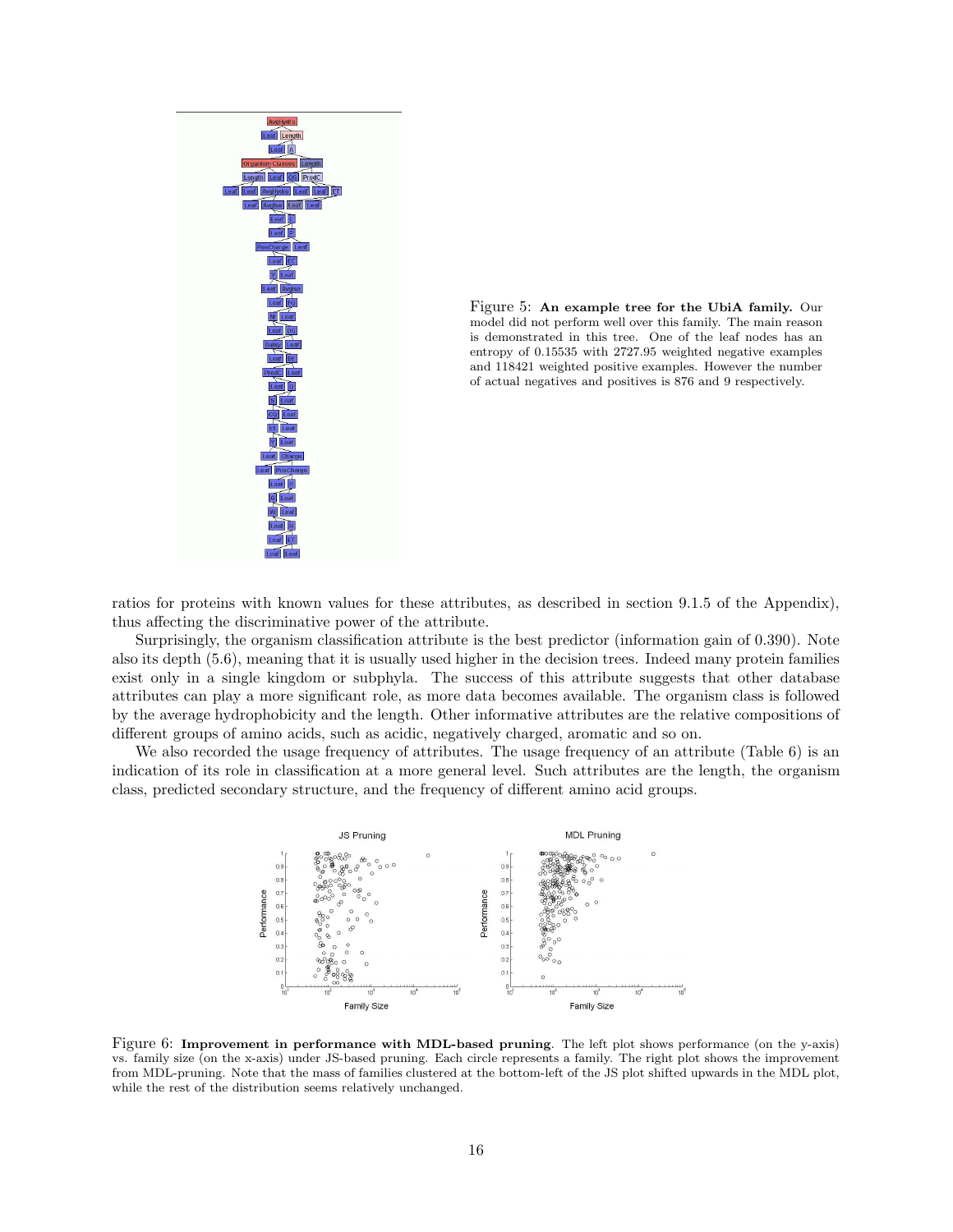



ratios for proteins with known values for these attributes, as described in section 9.1.5 of the Appendix), thus affecting the discriminative power of the attribute.

Surprisingly, the organism classification attribute is the best predictor (information gain of 0.390). Note also its depth (5.6), meaning that it is usually used higher in the decision trees. Indeed many protein families exist only in a single kingdom or subphyla. The success of this attribute suggests that other database attributes can play a more significant role, as more data becomes available. The organism class is followed by the average hydrophobicity and the length. Other informative attributes are the relative compositions of different groups of amino acids, such as acidic, negatively charged, aromatic and so on.

We also recorded the usage frequency of attributes. The usage frequency of an attribute (Table 6) is an indication of its role in classification at a more general level. Such attributes are the length, the organism class, predicted secondary structure, and the frequency of different amino acid groups.



Figure 6: Improvement in performance with MDL-based pruning. The left plot shows performance (on the y-axis) vs. family size (on the x-axis) under JS-based pruning. Each circle represents a family. The right plot shows the improvement from MDL-pruning. Note that the mass of families clustered at the bottom-left of the JS plot shifted upwards in the MDL plot, while the rest of the distribution seems relatively unchanged.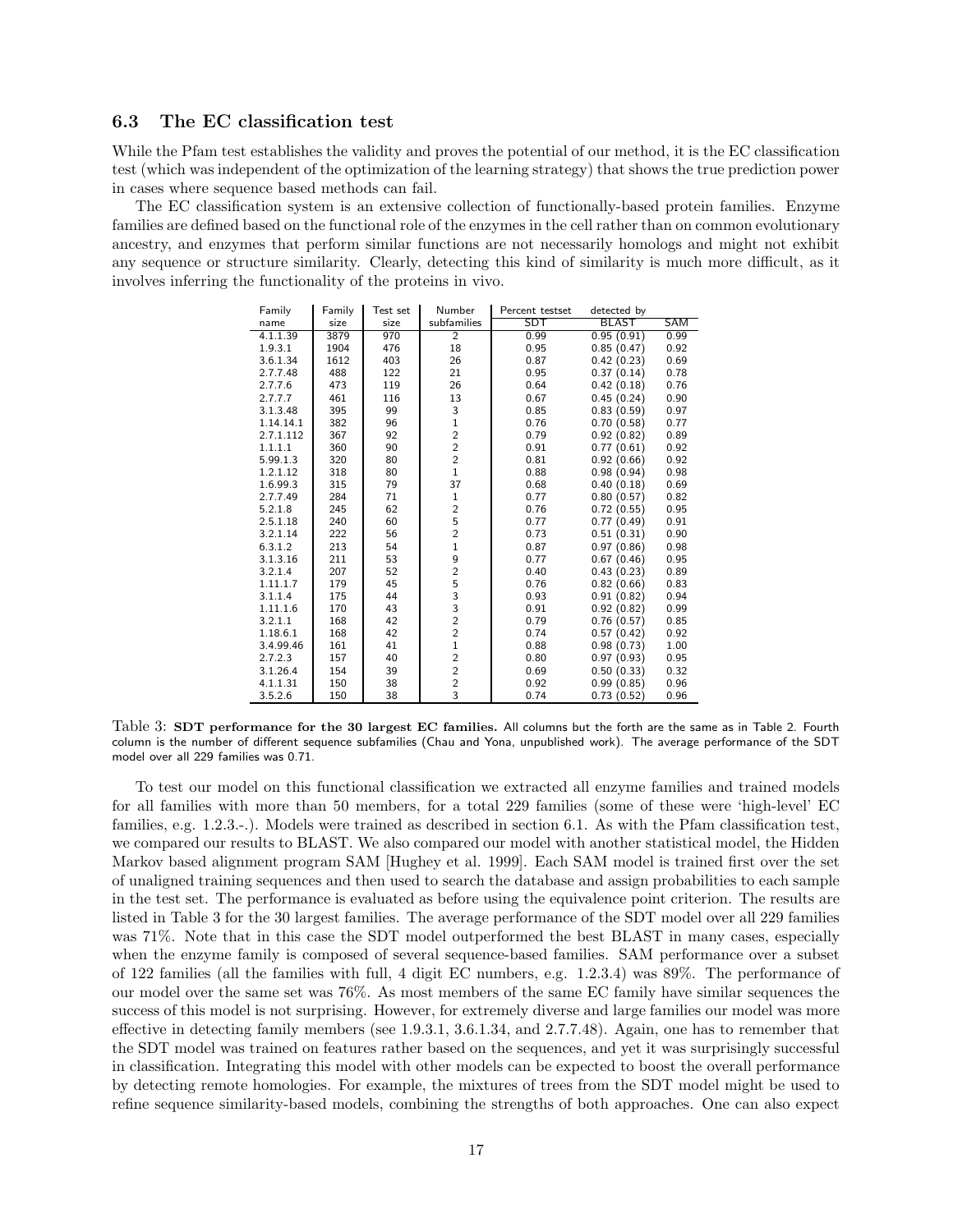### 6.3 The EC classification test

While the Pfam test establishes the validity and proves the potential of our method, it is the EC classification test (which was independent of the optimization of the learning strategy) that shows the true prediction power in cases where sequence based methods can fail.

The EC classification system is an extensive collection of functionally-based protein families. Enzyme families are defined based on the functional role of the enzymes in the cell rather than on common evolutionary ancestry, and enzymes that perform similar functions are not necessarily homologs and might not exhibit any sequence or structure similarity. Clearly, detecting this kind of similarity is much more difficult, as it involves inferring the functionality of the proteins in vivo.

| Family    | Family | Test set | Number                                     | Percent testset | detected by |      |
|-----------|--------|----------|--------------------------------------------|-----------------|-------------|------|
| name      | size   | size     | subfamilies                                | SDT             | BLAST       | SAM  |
| 4.1.1.39  | 3879   | 970      | $\overline{2}$                             | 0.99            | 0.95(0.91)  | 0.99 |
| 1.9.3.1   | 1904   | 476      | 18                                         | 0.95            | 0.85(0.47)  | 0.92 |
| 3.6.1.34  | 1612   | 403      | 26                                         | 0.87            | 0.42(0.23)  | 0.69 |
| 2.7.7.48  | 488    | 122      | 21                                         | 0.95            | 0.37(0.14)  | 0.78 |
| 2.7.7.6   | 473    | 119      | 26                                         | 0.64            | 0.42(0.18)  | 0.76 |
| 2.7.7.7   | 461    | 116      | 13                                         | 0.67            | 0.45(0.24)  | 0.90 |
| 3.1.3.48  | 395    | 99       | 3                                          | 0.85            | 0.83(0.59)  | 0.97 |
| 1.14.14.1 | 382    | 96       | $\mathbf{1}$                               | 0.76            | 0.70(0.58)  | 0.77 |
| 2.7.1.112 | 367    | 92       | $\overline{\mathbf{c}}$                    | 0.79            | 0.92(0.82)  | 0.89 |
| 1.1.1.1   | 360    | 90       | $\overline{2}$                             | 0.91            | 0.77(0.61)  | 0.92 |
| 5.99.1.3  | 320    | 80       | $\overline{c}$                             | 0.81            | 0.92(0.66)  | 0.92 |
| 1.2.1.12  | 318    | 80       | $\mathbf{1}$                               | 0.88            | 0.98(0.94)  | 0.98 |
| 1.6.99.3  | 315    | 79       | 37                                         | 0.68            | 0.40(0.18)  | 0.69 |
| 2.7.7.49  | 284    | 71       | 1                                          | 0.77            | 0.80(0.57)  | 0.82 |
| 5.2.1.8   | 245    | 62       | $\overline{c}$                             | 0.76            | 0.72(0.55)  | 0.95 |
| 2.5.1.18  | 240    | 60       | 5                                          | 0.77            | 0.77(0.49)  | 0.91 |
| 3.2.1.14  | 222    | 56       | $\overline{c}$                             | 0.73            | 0.51(0.31)  | 0.90 |
| 6.3.1.2   | 213    | 54       | $\mathbf{1}$                               | 0.87            | 0.97(0.86)  | 0.98 |
| 3.1.3.16  | 211    | 53       | 9                                          | 0.77            | 0.67(0.46)  | 0.95 |
| 3.2.1.4   | 207    | 52       |                                            | 0.40            | 0.43(0.23)  | 0.89 |
| 1.11.1.7  | 179    | 45       | $\begin{array}{c} 2 \\ 5 \\ 3 \end{array}$ | 0.76            | 0.82(0.66)  | 0.83 |
| 3.1.1.4   | 175    | 44       |                                            | 0.93            | 0.91(0.82)  | 0.94 |
| 1.11.1.6  | 170    | 43       | $\frac{3}{2}$                              | 0.91            | 0.92(0.82)  | 0.99 |
| 3.2.1.1   | 168    | 42       |                                            | 0.79            | 0.76(0.57)  | 0.85 |
| 1.18.6.1  | 168    | 42       | $\overline{c}$                             | 0.74            | 0.57(0.42)  | 0.92 |
| 3.4.99.46 | 161    | 41       | $\overline{1}$                             | 0.88            | 0.98(0.73)  | 1.00 |
| 2.7.2.3   | 157    | 40       | $\overline{c}$                             | 0.80            | 0.97(0.93)  | 0.95 |
| 3.1.26.4  | 154    | 39       | $\overline{c}$                             | 0.69            | 0.50(0.33)  | 0.32 |
| 4.1.1.31  | 150    | 38       | $\overline{c}$                             | 0.92            | 0.99(0.85)  | 0.96 |
| 3.5.2.6   | 150    | 38       | 3                                          | 0.74            | 0.73(0.52)  | 0.96 |

Table 3: SDT performance for the 30 largest EC families. All columns but the forth are the same as in Table 2. Fourth column is the number of different sequence subfamilies (Chau and Yona, unpublished work). The average performance of the SDT model over all 229 families was 0.71.

To test our model on this functional classification we extracted all enzyme families and trained models for all families with more than 50 members, for a total 229 families (some of these were 'high-level' EC families, e.g. 1.2.3.-.). Models were trained as described in section 6.1. As with the Pfam classification test, we compared our results to BLAST. We also compared our model with another statistical model, the Hidden Markov based alignment program SAM [Hughey et al. 1999]. Each SAM model is trained first over the set of unaligned training sequences and then used to search the database and assign probabilities to each sample in the test set. The performance is evaluated as before using the equivalence point criterion. The results are listed in Table 3 for the 30 largest families. The average performance of the SDT model over all 229 families was 71%. Note that in this case the SDT model outperformed the best BLAST in many cases, especially when the enzyme family is composed of several sequence-based families. SAM performance over a subset of 122 families (all the families with full, 4 digit EC numbers, e.g. 1.2.3.4) was 89%. The performance of our model over the same set was 76%. As most members of the same EC family have similar sequences the success of this model is not surprising. However, for extremely diverse and large families our model was more effective in detecting family members (see 1.9.3.1, 3.6.1.34, and 2.7.7.48). Again, one has to remember that the SDT model was trained on features rather based on the sequences, and yet it was surprisingly successful in classification. Integrating this model with other models can be expected to boost the overall performance by detecting remote homologies. For example, the mixtures of trees from the SDT model might be used to refine sequence similarity-based models, combining the strengths of both approaches. One can also expect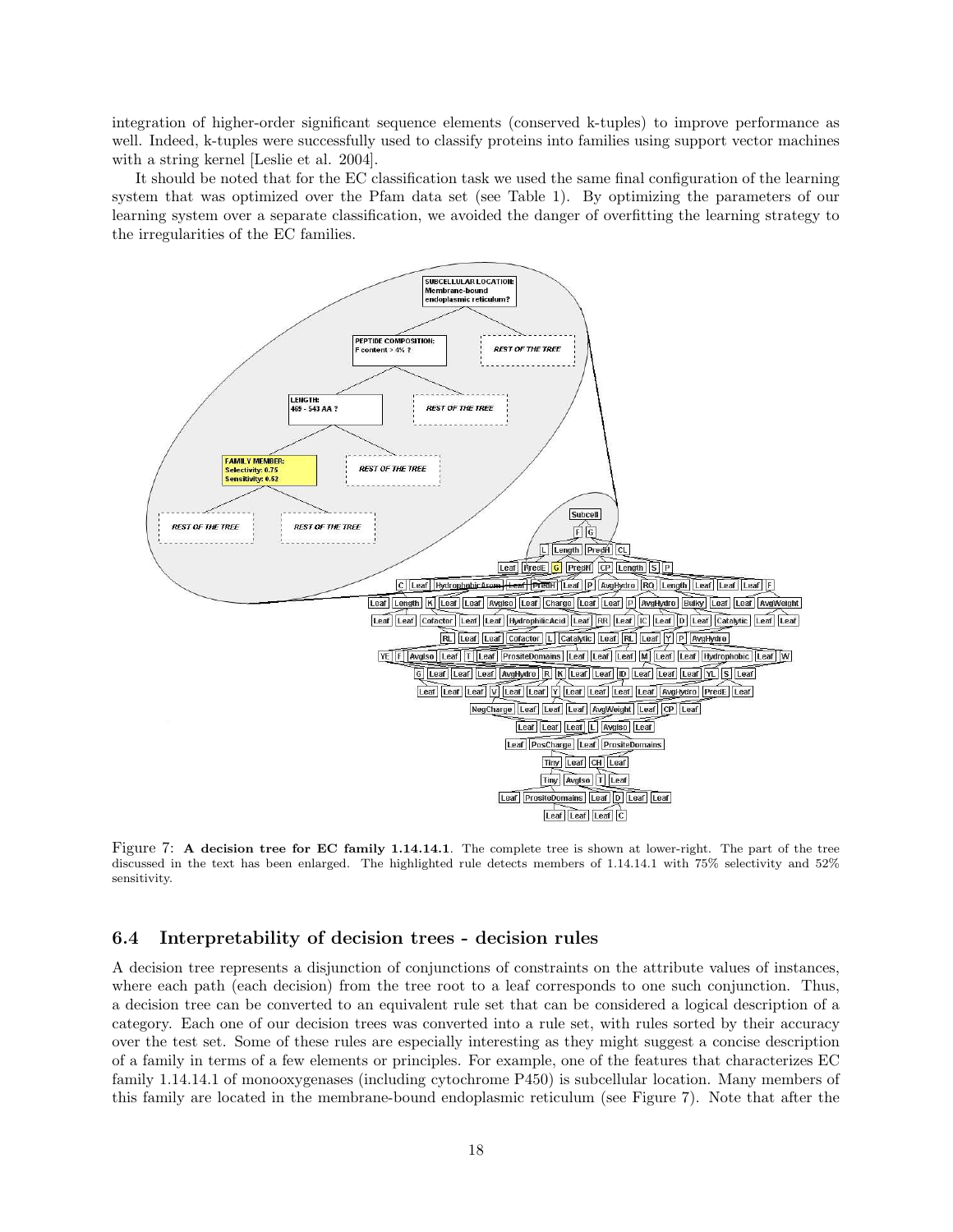integration of higher-order significant sequence elements (conserved k-tuples) to improve performance as well. Indeed, k-tuples were successfully used to classify proteins into families using support vector machines with a string kernel [Leslie et al. 2004].

It should be noted that for the EC classification task we used the same final configuration of the learning system that was optimized over the Pfam data set (see Table 1). By optimizing the parameters of our learning system over a separate classification, we avoided the danger of overfitting the learning strategy to the irregularities of the EC families.



Figure 7: A decision tree for EC family 1.14.14.1. The complete tree is shown at lower-right. The part of the tree discussed in the text has been enlarged. The highlighted rule detects members of 1.14.14.1 with 75% selectivity and 52% sensitivity.

### 6.4 Interpretability of decision trees - decision rules

A decision tree represents a disjunction of conjunctions of constraints on the attribute values of instances, where each path (each decision) from the tree root to a leaf corresponds to one such conjunction. Thus, a decision tree can be converted to an equivalent rule set that can be considered a logical description of a category. Each one of our decision trees was converted into a rule set, with rules sorted by their accuracy over the test set. Some of these rules are especially interesting as they might suggest a concise description of a family in terms of a few elements or principles. For example, one of the features that characterizes EC family 1.14.14.1 of monooxygenases (including cytochrome P450) is subcellular location. Many members of this family are located in the membrane-bound endoplasmic reticulum (see Figure 7). Note that after the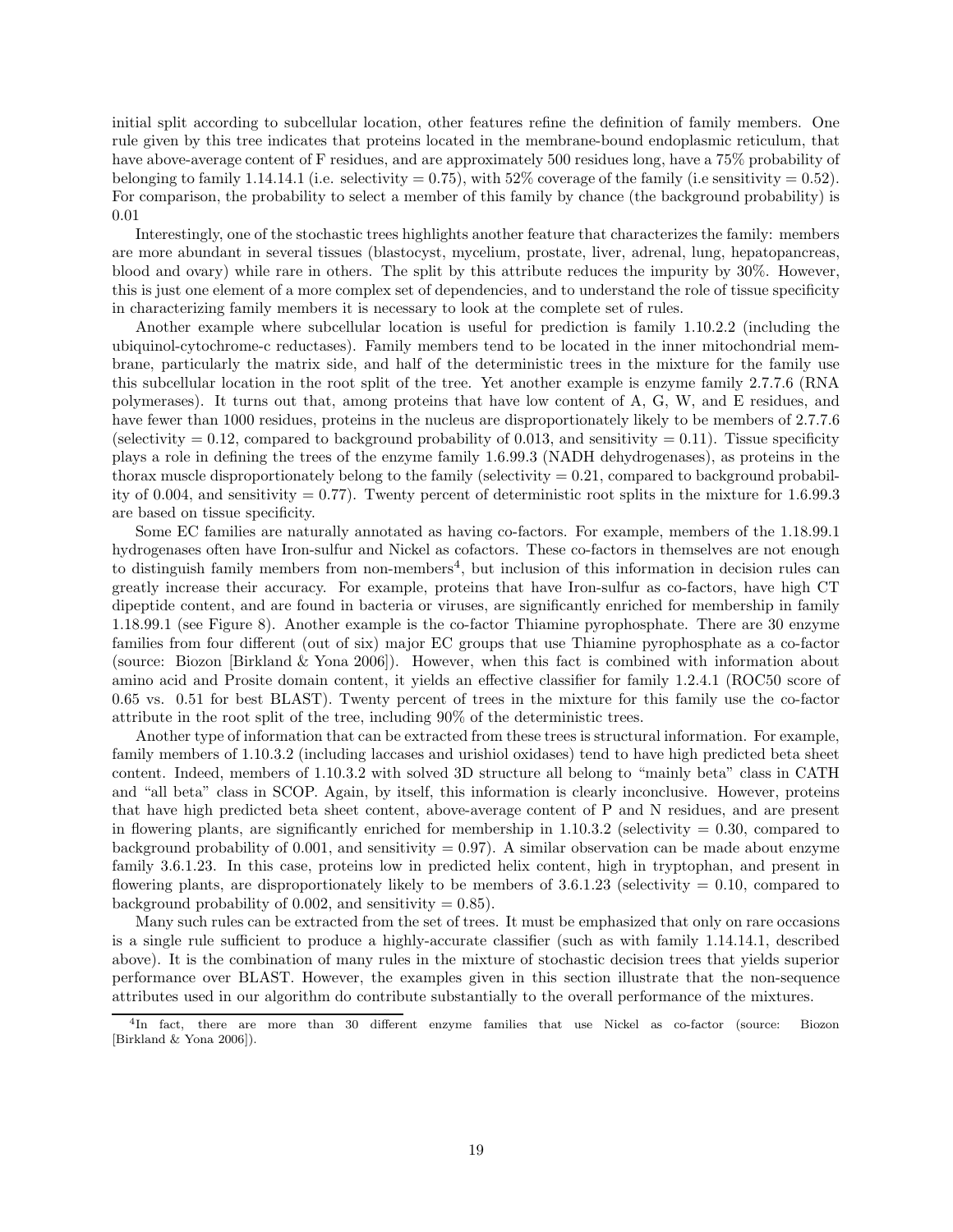initial split according to subcellular location, other features refine the definition of family members. One rule given by this tree indicates that proteins located in the membrane-bound endoplasmic reticulum, that have above-average content of F residues, and are approximately 500 residues long, have a 75% probability of belonging to family 1.14.14.1 (i.e. selectivity = 0.75), with 52% coverage of the family (i.e sensitivity = 0.52). For comparison, the probability to select a member of this family by chance (the background probability) is 0.01

Interestingly, one of the stochastic trees highlights another feature that characterizes the family: members are more abundant in several tissues (blastocyst, mycelium, prostate, liver, adrenal, lung, hepatopancreas, blood and ovary) while rare in others. The split by this attribute reduces the impurity by 30%. However, this is just one element of a more complex set of dependencies, and to understand the role of tissue specificity in characterizing family members it is necessary to look at the complete set of rules.

Another example where subcellular location is useful for prediction is family 1.10.2.2 (including the ubiquinol-cytochrome-c reductases). Family members tend to be located in the inner mitochondrial membrane, particularly the matrix side, and half of the deterministic trees in the mixture for the family use this subcellular location in the root split of the tree. Yet another example is enzyme family 2.7.7.6 (RNA polymerases). It turns out that, among proteins that have low content of A, G, W, and E residues, and have fewer than 1000 residues, proteins in the nucleus are disproportionately likely to be members of 2.7.7.6 (selectivity  $= 0.12$ , compared to background probability of 0.013, and sensitivity  $= 0.11$ ). Tissue specificity plays a role in defining the trees of the enzyme family 1.6.99.3 (NADH dehydrogenases), as proteins in the thorax muscle disproportionately belong to the family (selectivity  $= 0.21$ , compared to background probability of 0.004, and sensitivity  $= 0.77$ . Twenty percent of deterministic root splits in the mixture for 1.6.99.3 are based on tissue specificity.

Some EC families are naturally annotated as having co-factors. For example, members of the 1.18.99.1 hydrogenases often have Iron-sulfur and Nickel as cofactors. These co-factors in themselves are not enough to distinguish family members from non-members<sup>4</sup>, but inclusion of this information in decision rules can greatly increase their accuracy. For example, proteins that have Iron-sulfur as co-factors, have high CT dipeptide content, and are found in bacteria or viruses, are significantly enriched for membership in family 1.18.99.1 (see Figure 8). Another example is the co-factor Thiamine pyrophosphate. There are 30 enzyme families from four different (out of six) major EC groups that use Thiamine pyrophosphate as a co-factor (source: Biozon [Birkland & Yona 2006]). However, when this fact is combined with information about amino acid and Prosite domain content, it yields an effective classifier for family 1.2.4.1 (ROC50 score of 0.65 vs. 0.51 for best BLAST). Twenty percent of trees in the mixture for this family use the co-factor attribute in the root split of the tree, including 90% of the deterministic trees.

Another type of information that can be extracted from these trees is structural information. For example, family members of 1.10.3.2 (including laccases and urishiol oxidases) tend to have high predicted beta sheet content. Indeed, members of 1.10.3.2 with solved 3D structure all belong to "mainly beta" class in CATH and "all beta" class in SCOP. Again, by itself, this information is clearly inconclusive. However, proteins that have high predicted beta sheet content, above-average content of P and N residues, and are present in flowering plants, are significantly enriched for membership in  $1.10.3.2$  (selectivity  $= 0.30$ , compared to background probability of 0.001, and sensitivity  $= 0.97$ . A similar observation can be made about enzyme family 3.6.1.23. In this case, proteins low in predicted helix content, high in tryptophan, and present in flowering plants, are disproportionately likely to be members of  $3.6.1.23$  (selectivity  $= 0.10$ , compared to background probability of 0.002, and sensitivity  $= 0.85$ ).

Many such rules can be extracted from the set of trees. It must be emphasized that only on rare occasions is a single rule sufficient to produce a highly-accurate classifier (such as with family 1.14.14.1, described above). It is the combination of many rules in the mixture of stochastic decision trees that yields superior performance over BLAST. However, the examples given in this section illustrate that the non-sequence attributes used in our algorithm do contribute substantially to the overall performance of the mixtures.

 ${}^{4}\text{In}$  fact, there are more than 30 different enzyme families that use Nickel as co-factor (source: Biozon [Birkland & Yona 2006]).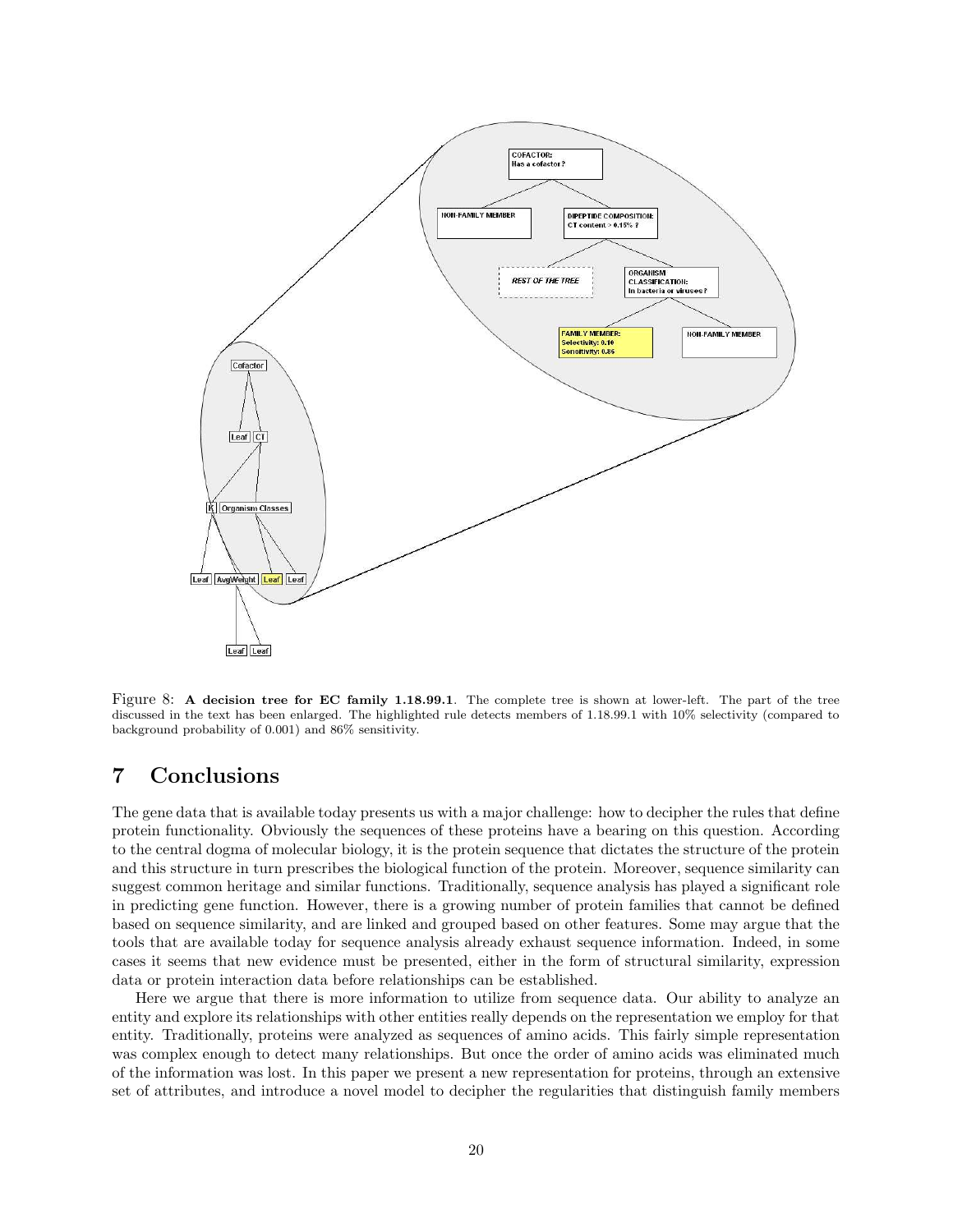

Figure 8: A decision tree for EC family 1.18.99.1. The complete tree is shown at lower-left. The part of the tree discussed in the text has been enlarged. The highlighted rule detects members of 1.18.99.1 with 10% selectivity (compared to background probability of 0.001) and 86% sensitivity.

## 7 Conclusions

The gene data that is available today presents us with a major challenge: how to decipher the rules that define protein functionality. Obviously the sequences of these proteins have a bearing on this question. According to the central dogma of molecular biology, it is the protein sequence that dictates the structure of the protein and this structure in turn prescribes the biological function of the protein. Moreover, sequence similarity can suggest common heritage and similar functions. Traditionally, sequence analysis has played a significant role in predicting gene function. However, there is a growing number of protein families that cannot be defined based on sequence similarity, and are linked and grouped based on other features. Some may argue that the tools that are available today for sequence analysis already exhaust sequence information. Indeed, in some cases it seems that new evidence must be presented, either in the form of structural similarity, expression data or protein interaction data before relationships can be established.

Here we argue that there is more information to utilize from sequence data. Our ability to analyze an entity and explore its relationships with other entities really depends on the representation we employ for that entity. Traditionally, proteins were analyzed as sequences of amino acids. This fairly simple representation was complex enough to detect many relationships. But once the order of amino acids was eliminated much of the information was lost. In this paper we present a new representation for proteins, through an extensive set of attributes, and introduce a novel model to decipher the regularities that distinguish family members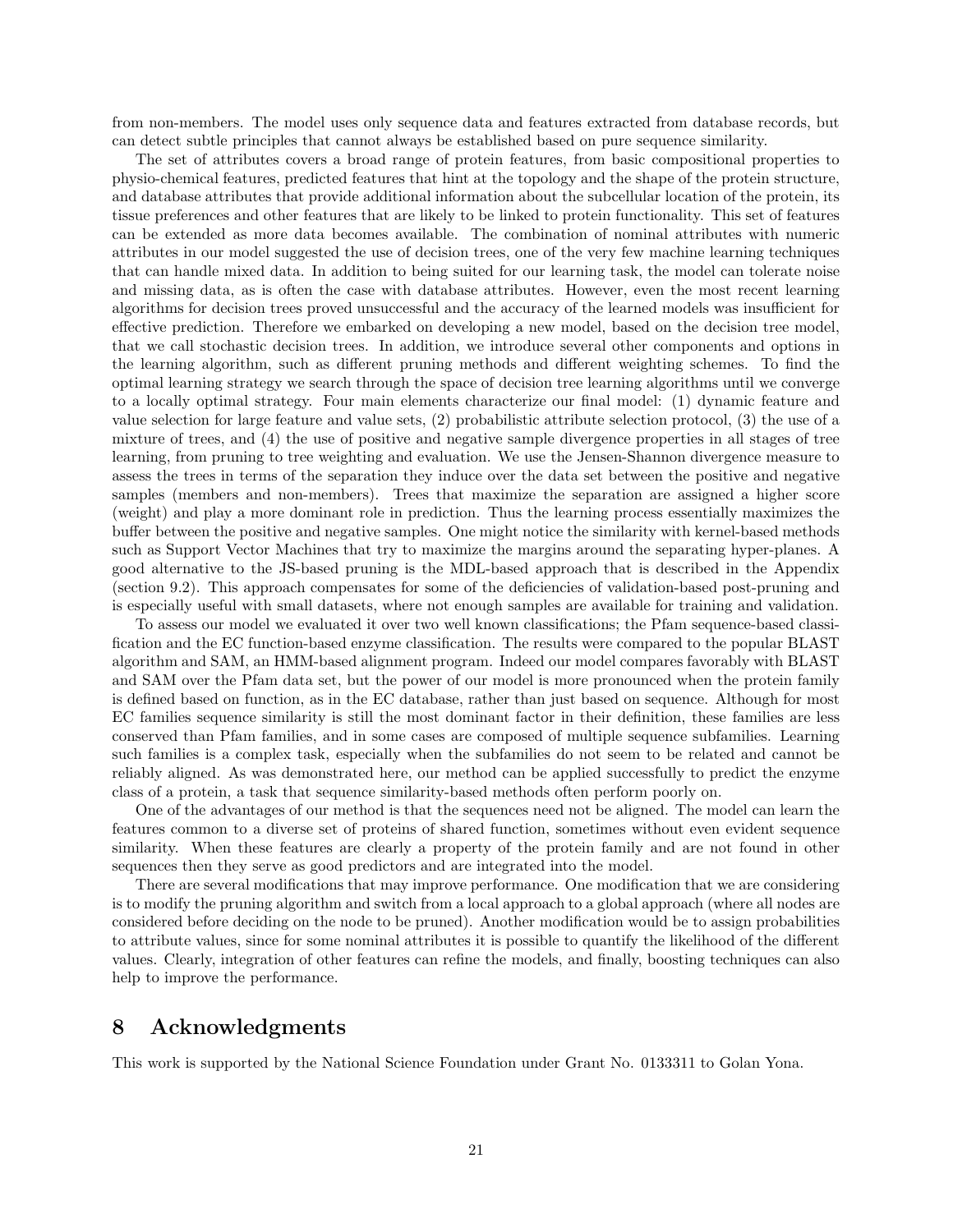from non-members. The model uses only sequence data and features extracted from database records, but can detect subtle principles that cannot always be established based on pure sequence similarity.

The set of attributes covers a broad range of protein features, from basic compositional properties to physio-chemical features, predicted features that hint at the topology and the shape of the protein structure, and database attributes that provide additional information about the subcellular location of the protein, its tissue preferences and other features that are likely to be linked to protein functionality. This set of features can be extended as more data becomes available. The combination of nominal attributes with numeric attributes in our model suggested the use of decision trees, one of the very few machine learning techniques that can handle mixed data. In addition to being suited for our learning task, the model can tolerate noise and missing data, as is often the case with database attributes. However, even the most recent learning algorithms for decision trees proved unsuccessful and the accuracy of the learned models was insufficient for effective prediction. Therefore we embarked on developing a new model, based on the decision tree model, that we call stochastic decision trees. In addition, we introduce several other components and options in the learning algorithm, such as different pruning methods and different weighting schemes. To find the optimal learning strategy we search through the space of decision tree learning algorithms until we converge to a locally optimal strategy. Four main elements characterize our final model: (1) dynamic feature and value selection for large feature and value sets, (2) probabilistic attribute selection protocol, (3) the use of a mixture of trees, and (4) the use of positive and negative sample divergence properties in all stages of tree learning, from pruning to tree weighting and evaluation. We use the Jensen-Shannon divergence measure to assess the trees in terms of the separation they induce over the data set between the positive and negative samples (members and non-members). Trees that maximize the separation are assigned a higher score (weight) and play a more dominant role in prediction. Thus the learning process essentially maximizes the buffer between the positive and negative samples. One might notice the similarity with kernel-based methods such as Support Vector Machines that try to maximize the margins around the separating hyper-planes. A good alternative to the JS-based pruning is the MDL-based approach that is described in the Appendix (section 9.2). This approach compensates for some of the deficiencies of validation-based post-pruning and is especially useful with small datasets, where not enough samples are available for training and validation.

To assess our model we evaluated it over two well known classifications; the Pfam sequence-based classification and the EC function-based enzyme classification. The results were compared to the popular BLAST algorithm and SAM, an HMM-based alignment program. Indeed our model compares favorably with BLAST and SAM over the Pfam data set, but the power of our model is more pronounced when the protein family is defined based on function, as in the EC database, rather than just based on sequence. Although for most EC families sequence similarity is still the most dominant factor in their definition, these families are less conserved than Pfam families, and in some cases are composed of multiple sequence subfamilies. Learning such families is a complex task, especially when the subfamilies do not seem to be related and cannot be reliably aligned. As was demonstrated here, our method can be applied successfully to predict the enzyme class of a protein, a task that sequence similarity-based methods often perform poorly on.

One of the advantages of our method is that the sequences need not be aligned. The model can learn the features common to a diverse set of proteins of shared function, sometimes without even evident sequence similarity. When these features are clearly a property of the protein family and are not found in other sequences then they serve as good predictors and are integrated into the model.

There are several modifications that may improve performance. One modification that we are considering is to modify the pruning algorithm and switch from a local approach to a global approach (where all nodes are considered before deciding on the node to be pruned). Another modification would be to assign probabilities to attribute values, since for some nominal attributes it is possible to quantify the likelihood of the different values. Clearly, integration of other features can refine the models, and finally, boosting techniques can also help to improve the performance.

## 8 Acknowledgments

This work is supported by the National Science Foundation under Grant No. 0133311 to Golan Yona.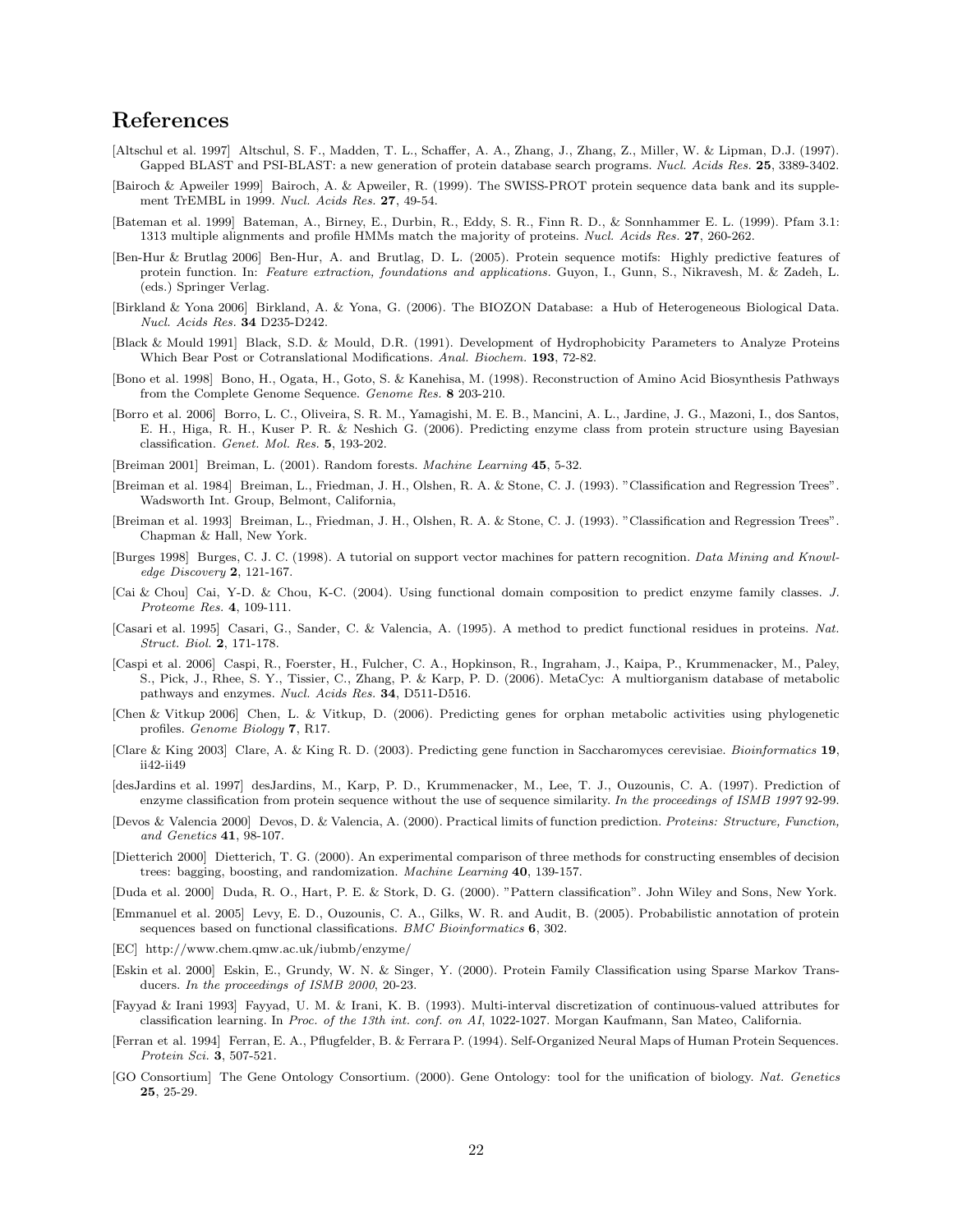## References

- [Altschul et al. 1997] Altschul, S. F., Madden, T. L., Schaffer, A. A., Zhang, J., Zhang, Z., Miller, W. & Lipman, D.J. (1997). Gapped BLAST and PSI-BLAST: a new generation of protein database search programs. Nucl. Acids Res. 25, 3389-3402.
- [Bairoch & Apweiler 1999] Bairoch, A. & Apweiler, R. (1999). The SWISS-PROT protein sequence data bank and its supplement TrEMBL in 1999. Nucl. Acids Res. 27, 49-54.
- [Bateman et al. 1999] Bateman, A., Birney, E., Durbin, R., Eddy, S. R., Finn R. D., & Sonnhammer E. L. (1999). Pfam 3.1: 1313 multiple alignments and profile HMMs match the majority of proteins. Nucl. Acids Res. 27, 260-262.
- [Ben-Hur & Brutlag 2006] Ben-Hur, A. and Brutlag, D. L. (2005). Protein sequence motifs: Highly predictive features of protein function. In: Feature extraction, foundations and applications. Guyon, I., Gunn, S., Nikravesh, M. & Zadeh, L. (eds.) Springer Verlag.
- [Birkland & Yona 2006] Birkland, A. & Yona, G. (2006). The BIOZON Database: a Hub of Heterogeneous Biological Data. Nucl. Acids Res. 34 D235-D242.
- [Black & Mould 1991] Black, S.D. & Mould, D.R. (1991). Development of Hydrophobicity Parameters to Analyze Proteins Which Bear Post or Cotranslational Modifications. Anal. Biochem. 193, 72-82.
- [Bono et al. 1998] Bono, H., Ogata, H., Goto, S. & Kanehisa, M. (1998). Reconstruction of Amino Acid Biosynthesis Pathways from the Complete Genome Sequence. Genome Res. 8 203-210.
- [Borro et al. 2006] Borro, L. C., Oliveira, S. R. M., Yamagishi, M. E. B., Mancini, A. L., Jardine, J. G., Mazoni, I., dos Santos, E. H., Higa, R. H., Kuser P. R. & Neshich G. (2006). Predicting enzyme class from protein structure using Bayesian classification. Genet. Mol. Res. 5, 193-202.
- [Breiman 2001] Breiman, L. (2001). Random forests. Machine Learning 45, 5-32.
- [Breiman et al. 1984] Breiman, L., Friedman, J. H., Olshen, R. A. & Stone, C. J. (1993). "Classification and Regression Trees". Wadsworth Int. Group, Belmont, California,
- [Breiman et al. 1993] Breiman, L., Friedman, J. H., Olshen, R. A. & Stone, C. J. (1993). "Classification and Regression Trees". Chapman & Hall, New York.
- [Burges 1998] Burges, C. J. C. (1998). A tutorial on support vector machines for pattern recognition. Data Mining and Knowledge Discovery 2, 121-167.
- [Cai & Chou] Cai, Y-D. & Chou, K-C. (2004). Using functional domain composition to predict enzyme family classes. J. Proteome Res. 4, 109-111.
- [Casari et al. 1995] Casari, G., Sander, C. & Valencia, A. (1995). A method to predict functional residues in proteins. Nat. Struct. Biol. 2, 171-178.
- [Caspi et al. 2006] Caspi, R., Foerster, H., Fulcher, C. A., Hopkinson, R., Ingraham, J., Kaipa, P., Krummenacker, M., Paley, S., Pick, J., Rhee, S. Y., Tissier, C., Zhang, P. & Karp, P. D. (2006). MetaCyc: A multiorganism database of metabolic pathways and enzymes. Nucl. Acids Res. 34, D511-D516.
- [Chen & Vitkup 2006] Chen, L. & Vitkup, D. (2006). Predicting genes for orphan metabolic activities using phylogenetic profiles. Genome Biology 7, R17.
- [Clare & King 2003] Clare, A. & King R. D. (2003). Predicting gene function in Saccharomyces cerevisiae. Bioinformatics 19, ii42-ii49
- [desJardins et al. 1997] desJardins, M., Karp, P. D., Krummenacker, M., Lee, T. J., Ouzounis, C. A. (1997). Prediction of enzyme classification from protein sequence without the use of sequence similarity. In the proceedings of ISMB 1997 92-99.
- [Devos & Valencia 2000] Devos, D. & Valencia, A. (2000). Practical limits of function prediction. Proteins: Structure, Function, and Genetics 41, 98-107.
- [Dietterich 2000] Dietterich, T. G. (2000). An experimental comparison of three methods for constructing ensembles of decision trees: bagging, boosting, and randomization. Machine Learning 40, 139-157.
- [Duda et al. 2000] Duda, R. O., Hart, P. E. & Stork, D. G. (2000). "Pattern classification". John Wiley and Sons, New York.
- [Emmanuel et al. 2005] Levy, E. D., Ouzounis, C. A., Gilks, W. R. and Audit, B. (2005). Probabilistic annotation of protein sequences based on functional classifications. BMC Bioinformatics 6, 302.
- [EC] http://www.chem.qmw.ac.uk/iubmb/enzyme/
- [Eskin et al. 2000] Eskin, E., Grundy, W. N. & Singer, Y. (2000). Protein Family Classification using Sparse Markov Transducers. In the proceedings of ISMB 2000, 20-23.
- [Fayyad & Irani 1993] Fayyad, U. M. & Irani, K. B. (1993). Multi-interval discretization of continuous-valued attributes for classification learning. In Proc. of the 13th int. conf. on AI, 1022-1027. Morgan Kaufmann, San Mateo, California.
- [Ferran et al. 1994] Ferran, E. A., Pflugfelder, B. & Ferrara P. (1994). Self-Organized Neural Maps of Human Protein Sequences. Protein Sci. 3, 507-521.
- [GO Consortium] The Gene Ontology Consortium. (2000). Gene Ontology: tool for the unification of biology. Nat. Genetics 25, 25-29.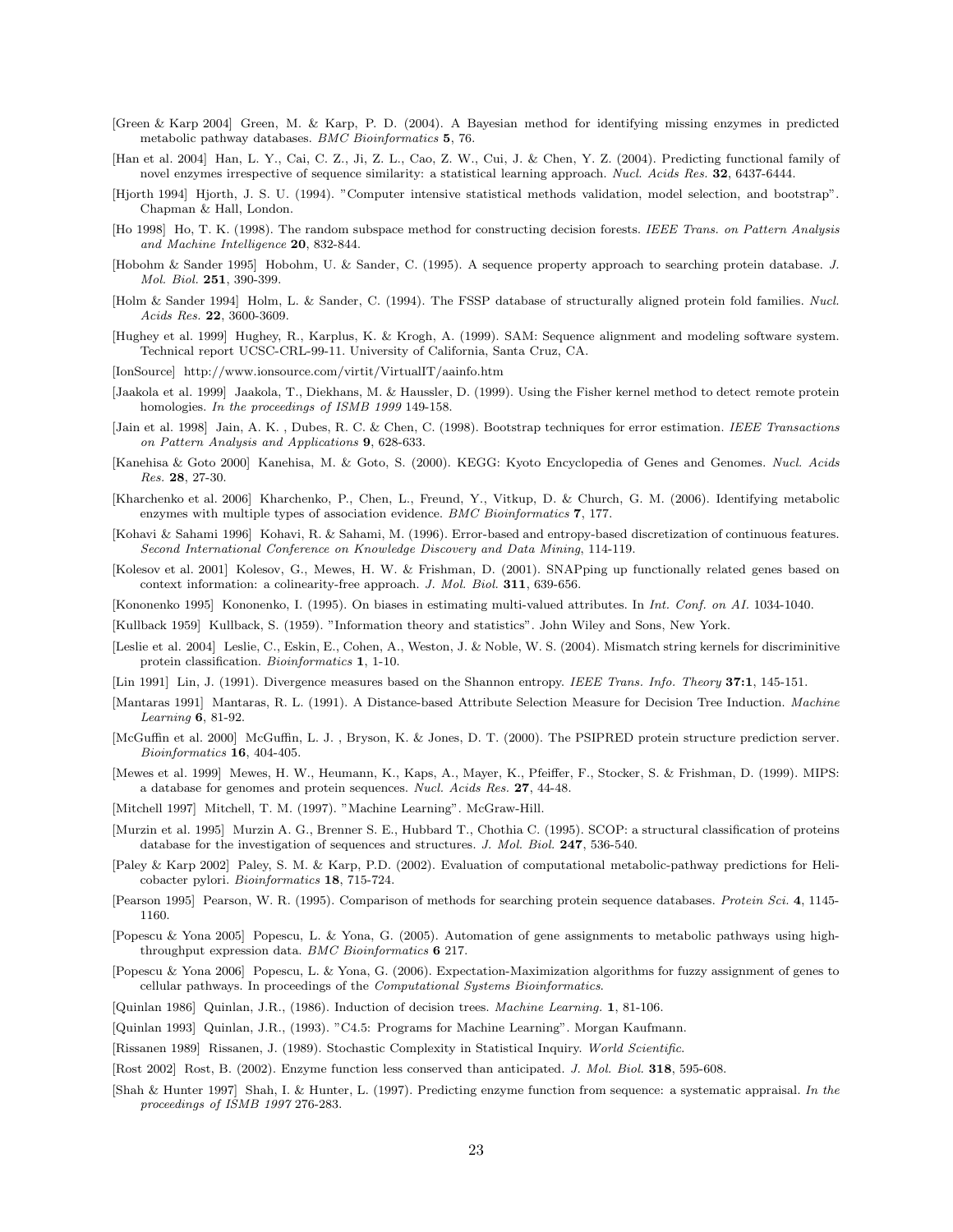- [Green & Karp 2004] Green, M. & Karp, P. D. (2004). A Bayesian method for identifying missing enzymes in predicted metabolic pathway databases. BMC Bioinformatics 5, 76.
- [Han et al. 2004] Han, L. Y., Cai, C. Z., Ji, Z. L., Cao, Z. W., Cui, J. & Chen, Y. Z. (2004). Predicting functional family of novel enzymes irrespective of sequence similarity: a statistical learning approach. Nucl. Acids Res. 32, 6437-6444.
- [Hjorth 1994] Hjorth, J. S. U. (1994). "Computer intensive statistical methods validation, model selection, and bootstrap". Chapman & Hall, London.
- [Ho 1998] Ho, T. K. (1998). The random subspace method for constructing decision forests. IEEE Trans. on Pattern Analysis and Machine Intelligence 20, 832-844.
- [Hobohm & Sander 1995] Hobohm, U. & Sander, C. (1995). A sequence property approach to searching protein database. J. Mol. Biol. 251, 390-399.
- [Holm & Sander 1994] Holm, L. & Sander, C. (1994). The FSSP database of structurally aligned protein fold families. Nucl. Acids Res. 22, 3600-3609.
- [Hughey et al. 1999] Hughey, R., Karplus, K. & Krogh, A. (1999). SAM: Sequence alignment and modeling software system. Technical report UCSC-CRL-99-11. University of California, Santa Cruz, CA.
- [IonSource] http://www.ionsource.com/virtit/VirtualIT/aainfo.htm
- [Jaakola et al. 1999] Jaakola, T., Diekhans, M. & Haussler, D. (1999). Using the Fisher kernel method to detect remote protein homologies. In the proceedings of ISMB 1999 149-158.
- [Jain et al. 1998] Jain, A. K. , Dubes, R. C. & Chen, C. (1998). Bootstrap techniques for error estimation. IEEE Transactions on Pattern Analysis and Applications 9, 628-633.
- [Kanehisa & Goto 2000] Kanehisa, M. & Goto, S. (2000). KEGG: Kyoto Encyclopedia of Genes and Genomes. Nucl. Acids Res. 28, 27-30.
- [Kharchenko et al. 2006] Kharchenko, P., Chen, L., Freund, Y., Vitkup, D. & Church, G. M. (2006). Identifying metabolic enzymes with multiple types of association evidence. BMC Bioinformatics 7, 177.
- [Kohavi & Sahami 1996] Kohavi, R. & Sahami, M. (1996). Error-based and entropy-based discretization of continuous features. Second International Conference on Knowledge Discovery and Data Mining, 114-119.
- [Kolesov et al. 2001] Kolesov, G., Mewes, H. W. & Frishman, D. (2001). SNAPping up functionally related genes based on context information: a colinearity-free approach. J. Mol. Biol. 311, 639-656.
- [Kononenko 1995] Kononenko, I. (1995). On biases in estimating multi-valued attributes. In Int. Conf. on AI. 1034-1040.
- [Kullback 1959] Kullback, S. (1959). "Information theory and statistics". John Wiley and Sons, New York.
- [Leslie et al. 2004] Leslie, C., Eskin, E., Cohen, A., Weston, J. & Noble, W. S. (2004). Mismatch string kernels for discriminitive protein classification. Bioinformatics 1, 1-10.
- [Lin 1991] Lin, J. (1991). Divergence measures based on the Shannon entropy. IEEE Trans. Info. Theory 37:1, 145-151.
- [Mantaras 1991] Mantaras, R. L. (1991). A Distance-based Attribute Selection Measure for Decision Tree Induction. Machine Learning 6, 81-92.
- [McGuffin et al. 2000] McGuffin, L. J. , Bryson, K. & Jones, D. T. (2000). The PSIPRED protein structure prediction server. Bioinformatics 16, 404-405.
- [Mewes et al. 1999] Mewes, H. W., Heumann, K., Kaps, A., Mayer, K., Pfeiffer, F., Stocker, S. & Frishman, D. (1999). MIPS: a database for genomes and protein sequences. Nucl. Acids Res. 27, 44-48.
- [Mitchell 1997] Mitchell, T. M. (1997). "Machine Learning". McGraw-Hill.
- [Murzin et al. 1995] Murzin A. G., Brenner S. E., Hubbard T., Chothia C. (1995). SCOP: a structural classification of proteins database for the investigation of sequences and structures. J. Mol. Biol. 247, 536-540.
- [Paley & Karp 2002] Paley, S. M. & Karp, P.D. (2002). Evaluation of computational metabolic-pathway predictions for Helicobacter pylori. Bioinformatics 18, 715-724.
- [Pearson 1995] Pearson, W. R. (1995). Comparison of methods for searching protein sequence databases. Protein Sci. 4, 1145-1160.
- [Popescu & Yona 2005] Popescu, L. & Yona, G. (2005). Automation of gene assignments to metabolic pathways using highthroughput expression data. BMC Bioinformatics 6 217.
- [Popescu & Yona 2006] Popescu, L. & Yona, G. (2006). Expectation-Maximization algorithms for fuzzy assignment of genes to cellular pathways. In proceedings of the Computational Systems Bioinformatics.
- [Quinlan 1986] Quinlan, J.R., (1986). Induction of decision trees. Machine Learning. 1, 81-106.
- [Quinlan 1993] Quinlan, J.R., (1993). "C4.5: Programs for Machine Learning". Morgan Kaufmann.
- [Rissanen 1989] Rissanen, J. (1989). Stochastic Complexity in Statistical Inquiry. World Scientific.
- [Rost 2002] Rost, B. (2002). Enzyme function less conserved than anticipated. J. Mol. Biol. 318, 595-608.
- [Shah & Hunter 1997] Shah, I. & Hunter, L. (1997). Predicting enzyme function from sequence: a systematic appraisal. In the proceedings of ISMB 1997 276-283.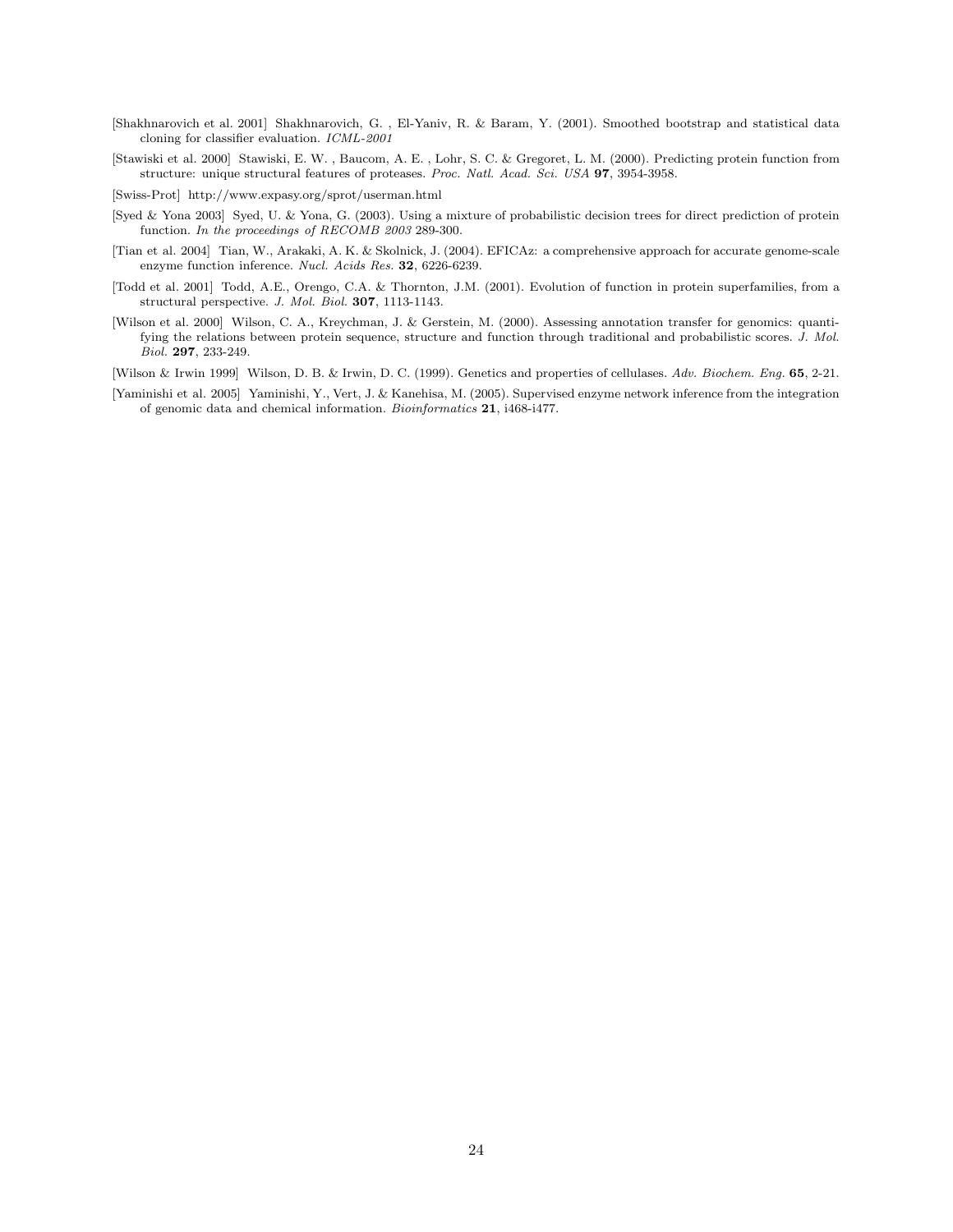- [Shakhnarovich et al. 2001] Shakhnarovich, G. , El-Yaniv, R. & Baram, Y. (2001). Smoothed bootstrap and statistical data cloning for classifier evaluation. ICML-2001
- [Stawiski et al. 2000] Stawiski, E. W. , Baucom, A. E. , Lohr, S. C. & Gregoret, L. M. (2000). Predicting protein function from structure: unique structural features of proteases. Proc. Natl. Acad. Sci. USA 97, 3954-3958.

[Swiss-Prot] http://www.expasy.org/sprot/userman.html

- [Syed & Yona 2003] Syed, U. & Yona, G. (2003). Using a mixture of probabilistic decision trees for direct prediction of protein function. In the proceedings of RECOMB 2003 289-300.
- [Tian et al. 2004] Tian, W., Arakaki, A. K. & Skolnick, J. (2004). EFICAz: a comprehensive approach for accurate genome-scale enzyme function inference. Nucl. Acids Res. 32, 6226-6239.
- [Todd et al. 2001] Todd, A.E., Orengo, C.A. & Thornton, J.M. (2001). Evolution of function in protein superfamilies, from a structural perspective. J. Mol. Biol. 307, 1113-1143.
- [Wilson et al. 2000] Wilson, C. A., Kreychman, J. & Gerstein, M. (2000). Assessing annotation transfer for genomics: quantifying the relations between protein sequence, structure and function through traditional and probabilistic scores. J. Mol. Biol. 297, 233-249.
- [Wilson & Irwin 1999] Wilson, D. B. & Irwin, D. C. (1999). Genetics and properties of cellulases. Adv. Biochem. Eng. 65, 2-21.
- [Yaminishi et al. 2005] Yaminishi, Y., Vert, J. & Kanehisa, M. (2005). Supervised enzyme network inference from the integration of genomic data and chemical information. Bioinformatics 21, i468-i477.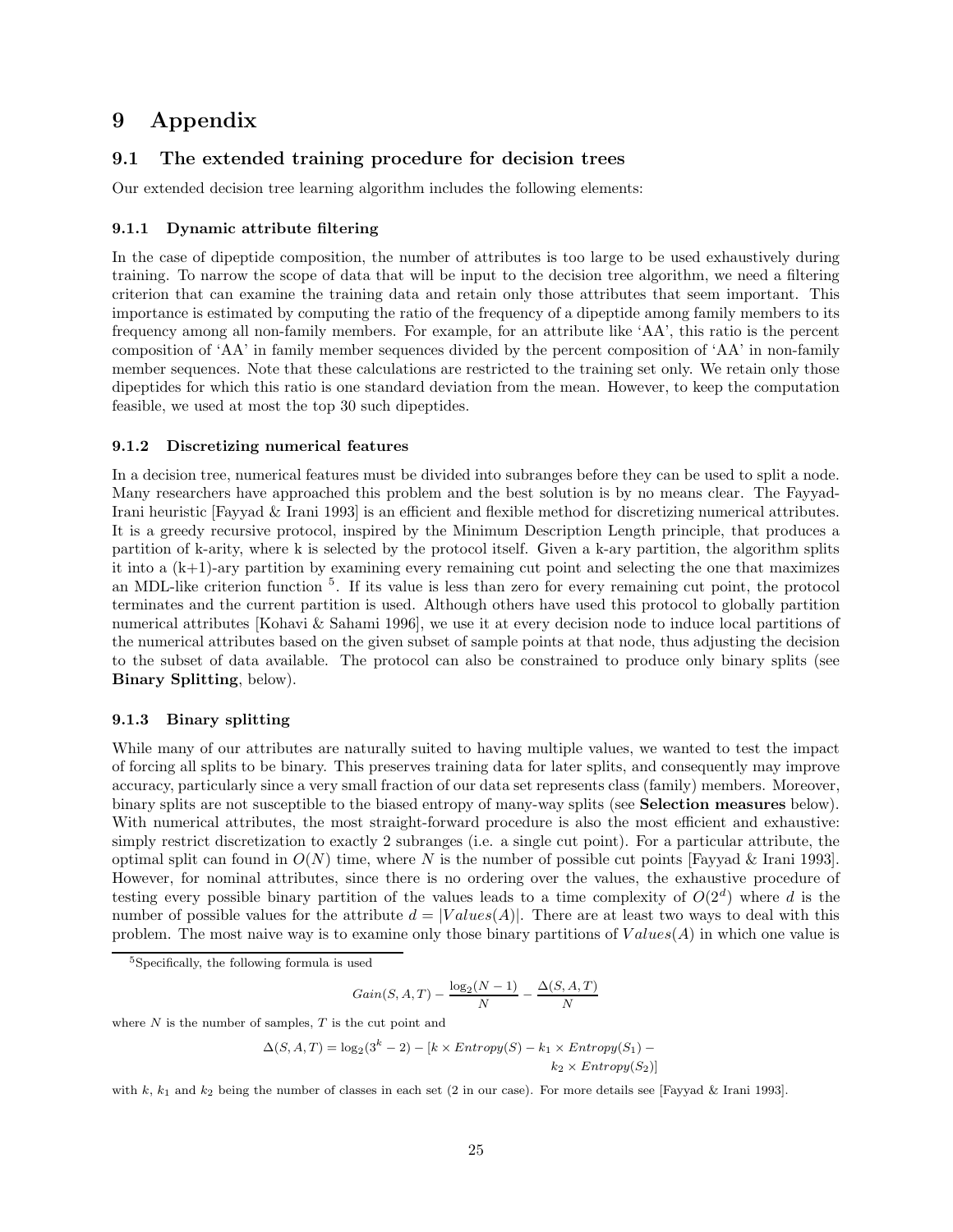## 9 Appendix

## 9.1 The extended training procedure for decision trees

Our extended decision tree learning algorithm includes the following elements:

#### 9.1.1 Dynamic attribute filtering

In the case of dipeptide composition, the number of attributes is too large to be used exhaustively during training. To narrow the scope of data that will be input to the decision tree algorithm, we need a filtering criterion that can examine the training data and retain only those attributes that seem important. This importance is estimated by computing the ratio of the frequency of a dipeptide among family members to its frequency among all non-family members. For example, for an attribute like 'AA', this ratio is the percent composition of 'AA' in family member sequences divided by the percent composition of 'AA' in non-family member sequences. Note that these calculations are restricted to the training set only. We retain only those dipeptides for which this ratio is one standard deviation from the mean. However, to keep the computation feasible, we used at most the top 30 such dipeptides.

#### 9.1.2 Discretizing numerical features

In a decision tree, numerical features must be divided into subranges before they can be used to split a node. Many researchers have approached this problem and the best solution is by no means clear. The Fayyad-Irani heuristic [Fayyad & Irani 1993] is an efficient and flexible method for discretizing numerical attributes. It is a greedy recursive protocol, inspired by the Minimum Description Length principle, that produces a partition of k-arity, where k is selected by the protocol itself. Given a k-ary partition, the algorithm splits it into a  $(k+1)$ -ary partition by examining every remaining cut point and selecting the one that maximizes an MDL-like criterion function <sup>5</sup>. If its value is less than zero for every remaining cut point, the protocol terminates and the current partition is used. Although others have used this protocol to globally partition numerical attributes [Kohavi & Sahami 1996], we use it at every decision node to induce local partitions of the numerical attributes based on the given subset of sample points at that node, thus adjusting the decision to the subset of data available. The protocol can also be constrained to produce only binary splits (see Binary Splitting, below).

#### 9.1.3 Binary splitting

While many of our attributes are naturally suited to having multiple values, we wanted to test the impact of forcing all splits to be binary. This preserves training data for later splits, and consequently may improve accuracy, particularly since a very small fraction of our data set represents class (family) members. Moreover, binary splits are not susceptible to the biased entropy of many-way splits (see Selection measures below). With numerical attributes, the most straight-forward procedure is also the most efficient and exhaustive: simply restrict discretization to exactly 2 subranges (i.e. a single cut point). For a particular attribute, the optimal split can found in  $O(N)$  time, where N is the number of possible cut points [Fayyad & Irani 1993]. However, for nominal attributes, since there is no ordering over the values, the exhaustive procedure of testing every possible binary partition of the values leads to a time complexity of  $O(2^d)$  where d is the number of possible values for the attribute  $d = |Values(A)|$ . There are at least two ways to deal with this problem. The most naive way is to examine only those binary partitions of  $Values(A)$  in which one value is

$$
Gain(S, A, T) - \frac{\log_2(N - 1)}{N} - \frac{\Delta(S, A, T)}{N}
$$

where  $N$  is the number of samples,  $T$  is the cut point and

$$
\Delta(S, A, T) = \log_2(3^k - 2) - [k \times Entropy(S) - k_1 \times Entropy(S_1) - k_2 \times Entropy(S_2)]
$$

with k,  $k_1$  and  $k_2$  being the number of classes in each set (2 in our case). For more details see [Fayyad & Irani 1993].

<sup>5</sup>Specifically, the following formula is used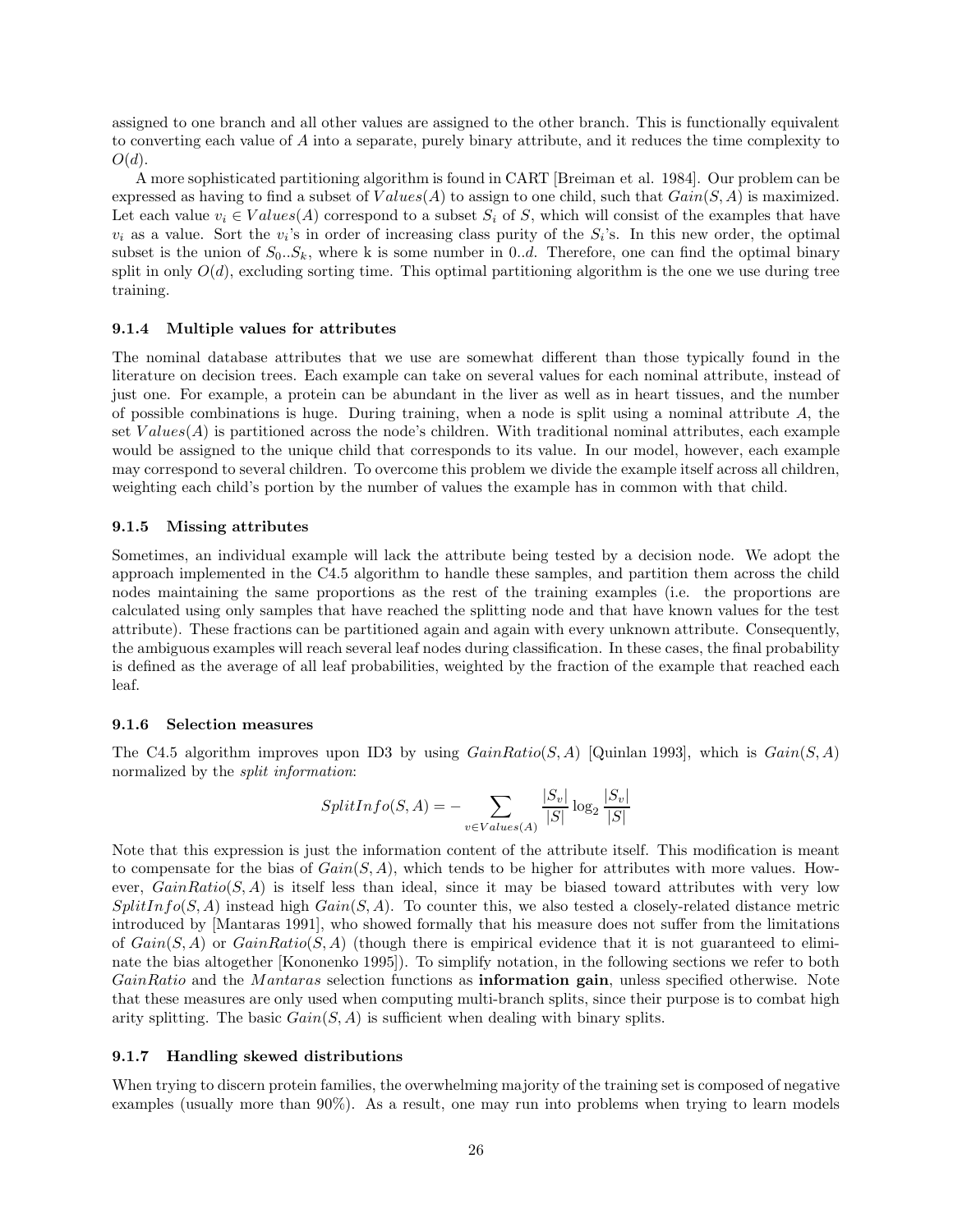assigned to one branch and all other values are assigned to the other branch. This is functionally equivalent to converting each value of A into a separate, purely binary attribute, and it reduces the time complexity to  $O(d).$ 

A more sophisticated partitioning algorithm is found in CART [Breiman et al. 1984]. Our problem can be expressed as having to find a subset of  $Values(A)$  to assign to one child, such that  $Gain(S, A)$  is maximized. Let each value  $v_i \in Values(A)$  correspond to a subset  $S_i$  of S, which will consist of the examples that have  $v_i$  as a value. Sort the  $v_i$ 's in order of increasing class purity of the  $S_i$ 's. In this new order, the optimal subset is the union of  $S_0...S_k$ , where k is some number in 0.d. Therefore, one can find the optimal binary split in only  $O(d)$ , excluding sorting time. This optimal partitioning algorithm is the one we use during tree training.

#### 9.1.4 Multiple values for attributes

The nominal database attributes that we use are somewhat different than those typically found in the literature on decision trees. Each example can take on several values for each nominal attribute, instead of just one. For example, a protein can be abundant in the liver as well as in heart tissues, and the number of possible combinations is huge. During training, when a node is split using a nominal attribute  $A$ , the set  $Values(A)$  is partitioned across the node's children. With traditional nominal attributes, each example would be assigned to the unique child that corresponds to its value. In our model, however, each example may correspond to several children. To overcome this problem we divide the example itself across all children, weighting each child's portion by the number of values the example has in common with that child.

#### 9.1.5 Missing attributes

Sometimes, an individual example will lack the attribute being tested by a decision node. We adopt the approach implemented in the C4.5 algorithm to handle these samples, and partition them across the child nodes maintaining the same proportions as the rest of the training examples (i.e. the proportions are calculated using only samples that have reached the splitting node and that have known values for the test attribute). These fractions can be partitioned again and again with every unknown attribute. Consequently, the ambiguous examples will reach several leaf nodes during classification. In these cases, the final probability is defined as the average of all leaf probabilities, weighted by the fraction of the example that reached each leaf.

#### 9.1.6 Selection measures

The C4.5 algorithm improves upon ID3 by using  $GainRatio(S, A)$  [Quinlan 1993], which is  $Gain(S, A)$ normalized by the split information:

$$
SplitInfo(S, A) = -\sum_{v \in Values(A)} \frac{|S_v|}{|S|} \log_2 \frac{|S_v|}{|S|}
$$

Note that this expression is just the information content of the attribute itself. This modification is meant to compensate for the bias of  $Gain(S, A)$ , which tends to be higher for attributes with more values. However,  $GainRatio(S, A)$  is itself less than ideal, since it may be biased toward attributes with very low  $SplitInfo(S, A)$  instead high  $Gain(S, A)$ . To counter this, we also tested a closely-related distance metric introduced by [Mantaras 1991], who showed formally that his measure does not suffer from the limitations of  $Gain(S, A)$  or  $GainRatio(S, A)$  (though there is empirical evidence that it is not guaranteed to eliminate the bias altogether [Kononenko 1995]). To simplify notation, in the following sections we refer to both  $GainRatio$  and the *Mantaras* selection functions as **information gain**, unless specified otherwise. Note that these measures are only used when computing multi-branch splits, since their purpose is to combat high arity splitting. The basic  $Gain(S, A)$  is sufficient when dealing with binary splits.

#### 9.1.7 Handling skewed distributions

When trying to discern protein families, the overwhelming majority of the training set is composed of negative examples (usually more than 90%). As a result, one may run into problems when trying to learn models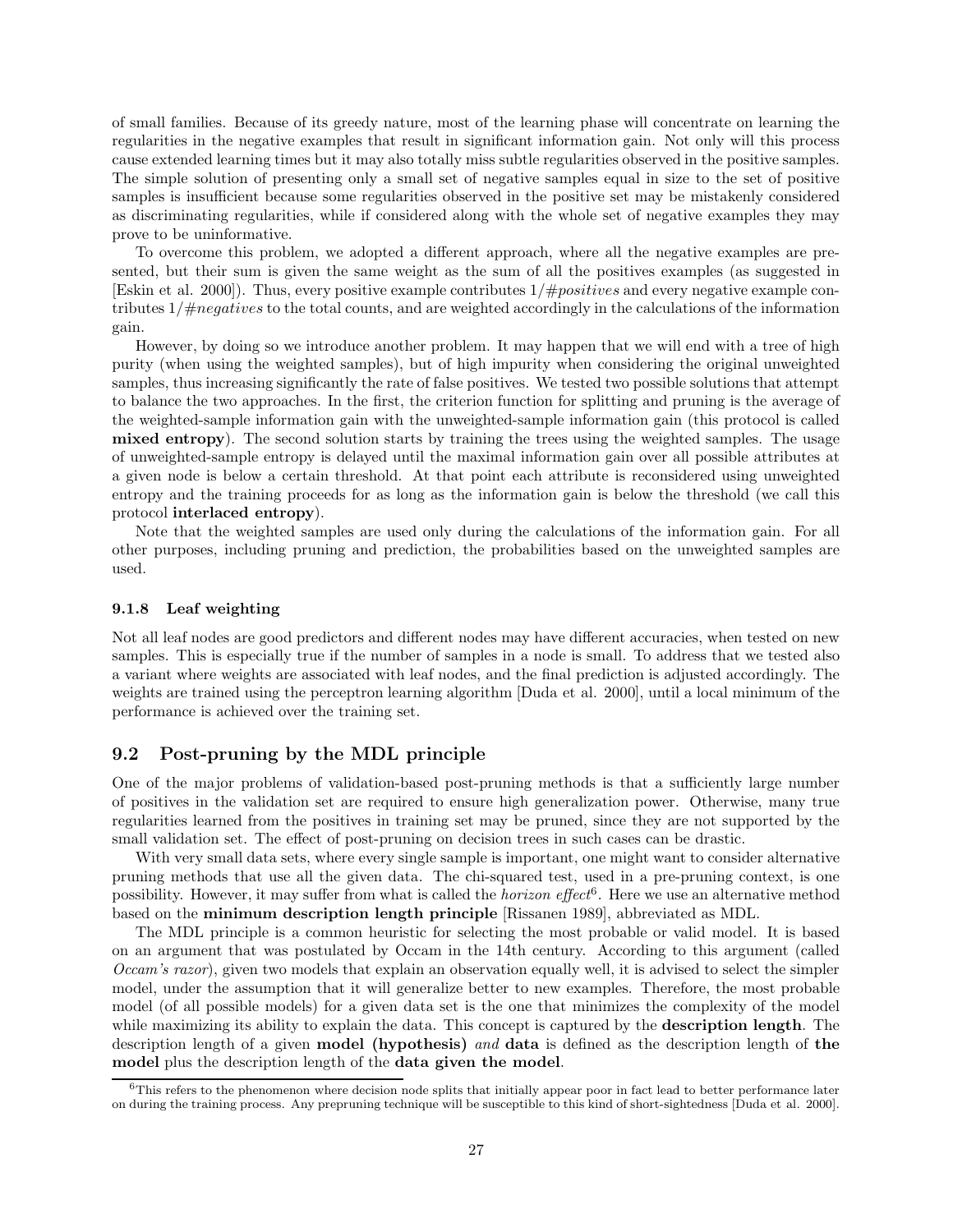of small families. Because of its greedy nature, most of the learning phase will concentrate on learning the regularities in the negative examples that result in significant information gain. Not only will this process cause extended learning times but it may also totally miss subtle regularities observed in the positive samples. The simple solution of presenting only a small set of negative samples equal in size to the set of positive samples is insufficient because some regularities observed in the positive set may be mistakenly considered as discriminating regularities, while if considered along with the whole set of negative examples they may prove to be uninformative.

To overcome this problem, we adopted a different approach, where all the negative examples are presented, but their sum is given the same weight as the sum of all the positives examples (as suggested in [Eskin et al. 2000]). Thus, every positive example contributes  $1/\text{\#positives}$  and every negative example contributes  $1/\text{\#negatives}$  to the total counts, and are weighted accordingly in the calculations of the information gain.

However, by doing so we introduce another problem. It may happen that we will end with a tree of high purity (when using the weighted samples), but of high impurity when considering the original unweighted samples, thus increasing significantly the rate of false positives. We tested two possible solutions that attempt to balance the two approaches. In the first, the criterion function for splitting and pruning is the average of the weighted-sample information gain with the unweighted-sample information gain (this protocol is called mixed entropy). The second solution starts by training the trees using the weighted samples. The usage of unweighted-sample entropy is delayed until the maximal information gain over all possible attributes at a given node is below a certain threshold. At that point each attribute is reconsidered using unweighted entropy and the training proceeds for as long as the information gain is below the threshold (we call this protocol interlaced entropy).

Note that the weighted samples are used only during the calculations of the information gain. For all other purposes, including pruning and prediction, the probabilities based on the unweighted samples are used.

#### 9.1.8 Leaf weighting

Not all leaf nodes are good predictors and different nodes may have different accuracies, when tested on new samples. This is especially true if the number of samples in a node is small. To address that we tested also a variant where weights are associated with leaf nodes, and the final prediction is adjusted accordingly. The weights are trained using the perceptron learning algorithm [Duda et al. 2000], until a local minimum of the performance is achieved over the training set.

## 9.2 Post-pruning by the MDL principle

One of the major problems of validation-based post-pruning methods is that a sufficiently large number of positives in the validation set are required to ensure high generalization power. Otherwise, many true regularities learned from the positives in training set may be pruned, since they are not supported by the small validation set. The effect of post-pruning on decision trees in such cases can be drastic.

With very small data sets, where every single sample is important, one might want to consider alternative pruning methods that use all the given data. The chi-squared test, used in a pre-pruning context, is one possibility. However, it may suffer from what is called the *horizon effect*<sup>6</sup>. Here we use an alternative method based on the minimum description length principle [Rissanen 1989], abbreviated as MDL.

The MDL principle is a common heuristic for selecting the most probable or valid model. It is based on an argument that was postulated by Occam in the 14th century. According to this argument (called Occam's razor), given two models that explain an observation equally well, it is advised to select the simpler model, under the assumption that it will generalize better to new examples. Therefore, the most probable model (of all possible models) for a given data set is the one that minimizes the complexity of the model while maximizing its ability to explain the data. This concept is captured by the **description length**. The description length of a given **model** (hypothesis) and data is defined as the description length of the model plus the description length of the data given the model.

 $6$ This refers to the phenomenon where decision node splits that initially appear poor in fact lead to better performance later on during the training process. Any prepruning technique will be susceptible to this kind of short-sightedness [Duda et al. 2000].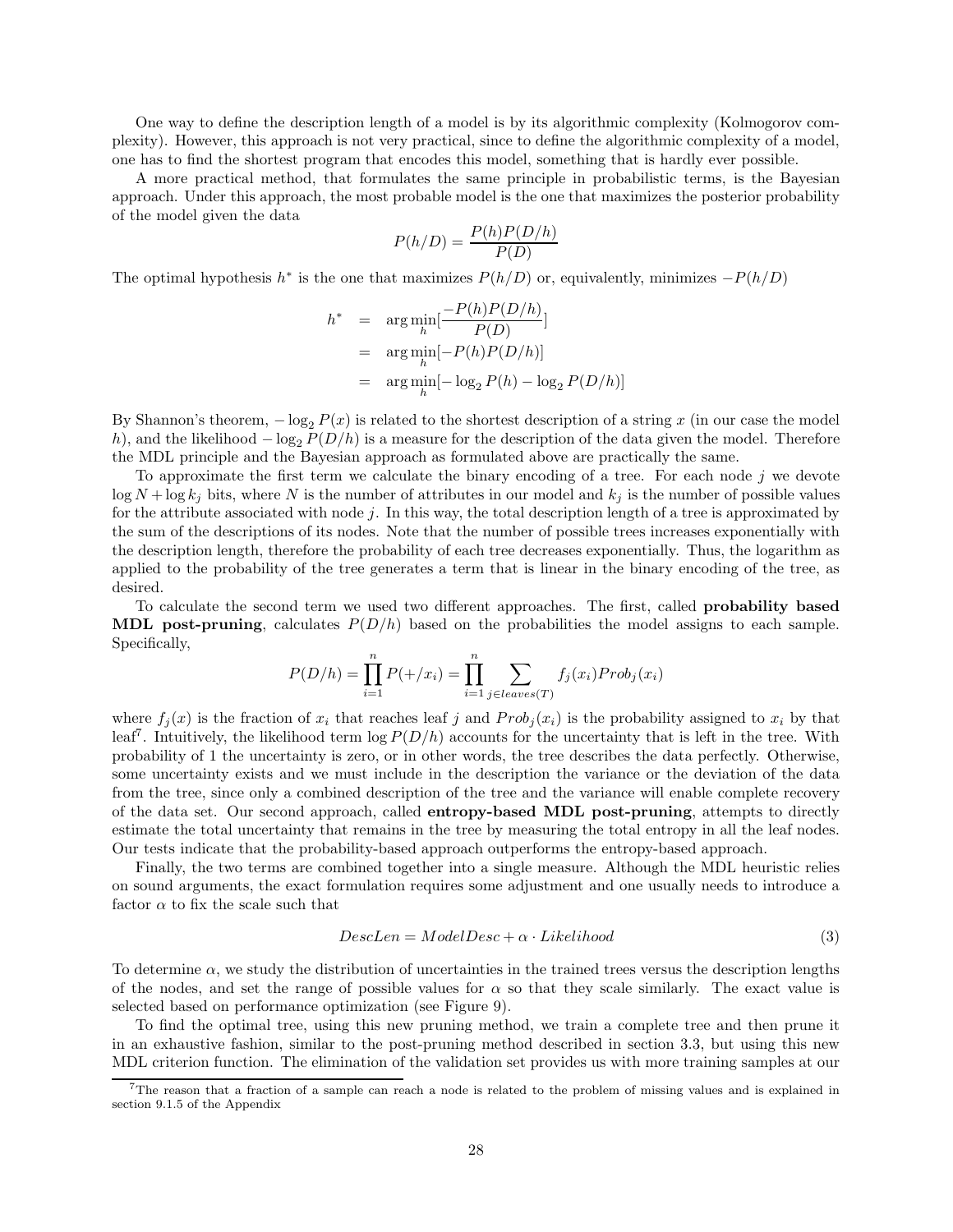One way to define the description length of a model is by its algorithmic complexity (Kolmogorov complexity). However, this approach is not very practical, since to define the algorithmic complexity of a model, one has to find the shortest program that encodes this model, something that is hardly ever possible.

A more practical method, that formulates the same principle in probabilistic terms, is the Bayesian approach. Under this approach, the most probable model is the one that maximizes the posterior probability of the model given the data

$$
P(h/D) = \frac{P(h)P(D/h)}{P(D)}
$$

The optimal hypothesis  $h^*$  is the one that maximizes  $P(h/D)$  or, equivalently, minimizes  $-P(h/D)$ 

$$
h^* = \underset{h}{\arg \min} \left[ \frac{-P(h)P(D/h)}{P(D)} \right]
$$
  
= 
$$
\underset{h}{\arg \min} \left[ -P(h)P(D/h) \right]
$$
  
= 
$$
\underset{h}{\arg \min} \left[ -\log_2 P(h) - \log_2 P(D/h) \right]
$$

By Shannon's theorem,  $-\log_2 P(x)$  is related to the shortest description of a string x (in our case the model h), and the likelihood  $-\log_2 P(D/h)$  is a measure for the description of the data given the model. Therefore the MDL principle and the Bayesian approach as formulated above are practically the same.

To approximate the first term we calculate the binary encoding of a tree. For each node  $j$  we devote  $\log N + \log k_j$  bits, where N is the number of attributes in our model and  $k_j$  is the number of possible values for the attribute associated with node j. In this way, the total description length of a tree is approximated by the sum of the descriptions of its nodes. Note that the number of possible trees increases exponentially with the description length, therefore the probability of each tree decreases exponentially. Thus, the logarithm as applied to the probability of the tree generates a term that is linear in the binary encoding of the tree, as desired.

To calculate the second term we used two different approaches. The first, called probability based **MDL post-pruning**, calculates  $P(D/h)$  based on the probabilities the model assigns to each sample. Specifically,

$$
P(D/h) = \prod_{i=1}^{n} P(+/x_i) = \prod_{i=1}^{n} \sum_{j \in leaves(T)} f_j(x_i) Prob_j(x_i)
$$

where  $f_i(x)$  is the fraction of  $x_i$  that reaches leaf j and  $Prob_i(x_i)$  is the probability assigned to  $x_i$  by that leaf<sup>7</sup>. Intuitively, the likelihood term  $\log P(D/h)$  accounts for the uncertainty that is left in the tree. With probability of 1 the uncertainty is zero, or in other words, the tree describes the data perfectly. Otherwise, some uncertainty exists and we must include in the description the variance or the deviation of the data from the tree, since only a combined description of the tree and the variance will enable complete recovery of the data set. Our second approach, called entropy-based MDL post-pruning, attempts to directly estimate the total uncertainty that remains in the tree by measuring the total entropy in all the leaf nodes. Our tests indicate that the probability-based approach outperforms the entropy-based approach.

Finally, the two terms are combined together into a single measure. Although the MDL heuristic relies on sound arguments, the exact formulation requires some adjustment and one usually needs to introduce a factor  $\alpha$  to fix the scale such that

$$
DescLen = ModelDesc + \alpha \cdot Likelihood \tag{3}
$$

To determine  $\alpha$ , we study the distribution of uncertainties in the trained trees versus the description lengths of the nodes, and set the range of possible values for  $\alpha$  so that they scale similarly. The exact value is selected based on performance optimization (see Figure 9).

To find the optimal tree, using this new pruning method, we train a complete tree and then prune it in an exhaustive fashion, similar to the post-pruning method described in section 3.3, but using this new MDL criterion function. The elimination of the validation set provides us with more training samples at our

 $7$ The reason that a fraction of a sample can reach a node is related to the problem of missing values and is explained in section 9.1.5 of the Appendix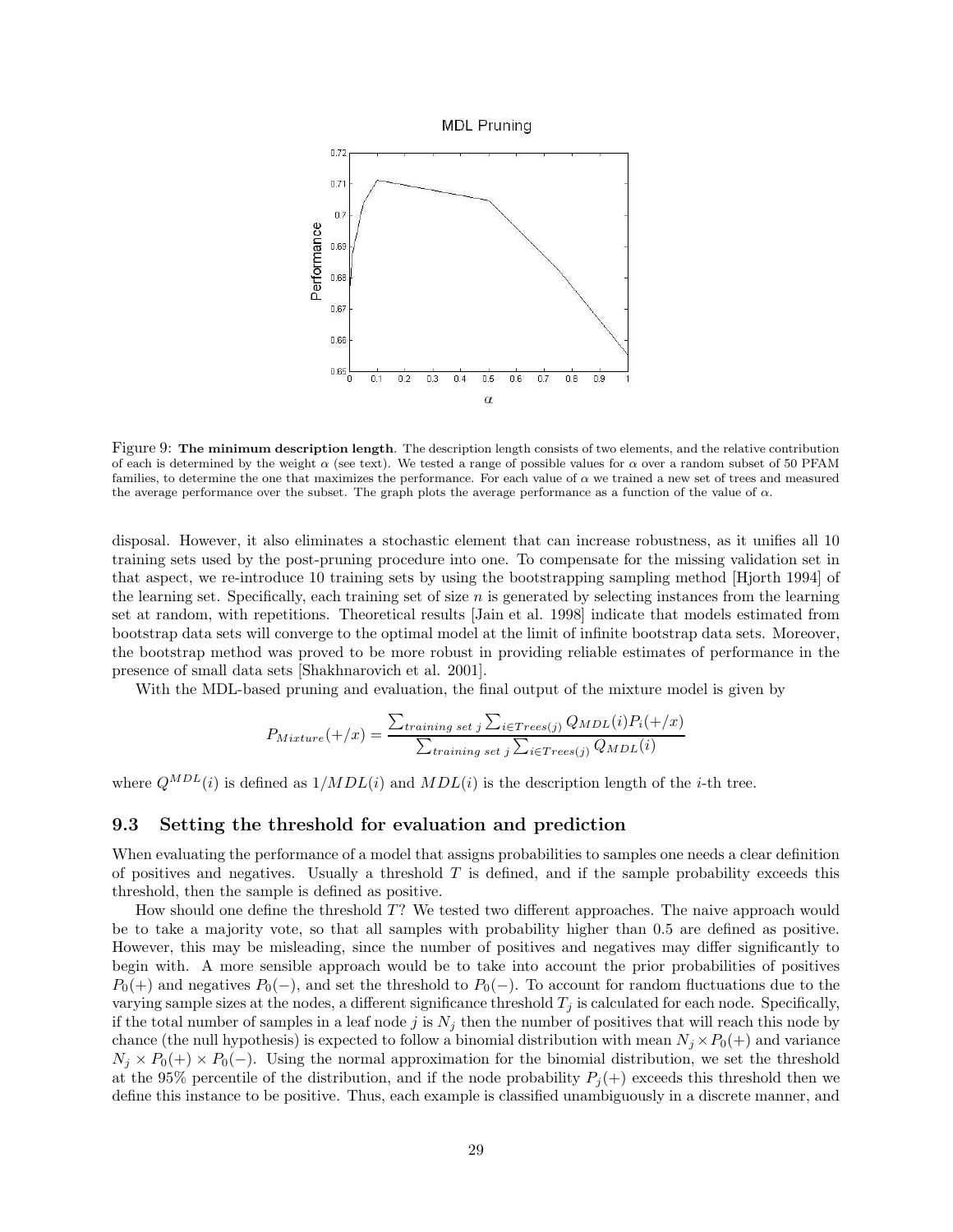



Figure 9: The minimum description length. The description length consists of two elements, and the relative contribution of each is determined by the weight  $\alpha$  (see text). We tested a range of possible values for  $\alpha$  over a random subset of 50 PFAM families, to determine the one that maximizes the performance. For each value of  $\alpha$  we trained a new set of trees and measured the average performance over the subset. The graph plots the average performance as a function of the value of  $\alpha$ .

disposal. However, it also eliminates a stochastic element that can increase robustness, as it unifies all 10 training sets used by the post-pruning procedure into one. To compensate for the missing validation set in that aspect, we re-introduce 10 training sets by using the bootstrapping sampling method [Hjorth 1994] of the learning set. Specifically, each training set of size  $n$  is generated by selecting instances from the learning set at random, with repetitions. Theoretical results [Jain et al. 1998] indicate that models estimated from bootstrap data sets will converge to the optimal model at the limit of infinite bootstrap data sets. Moreover, the bootstrap method was proved to be more robust in providing reliable estimates of performance in the presence of small data sets [Shakhnarovich et al. 2001].

With the MDL-based pruning and evaluation, the final output of the mixture model is given by

$$
P_{Mixture}(+/x) = \frac{\sum_{training\ set\ j} \sum_{i \in Trees(j)} Q_{MDL}(i) P_i(+/x)}{\sum_{training\ set\ j} \sum_{i \in Trees(j)} Q_{MDL}(i)}
$$

where  $Q^{MDL}(i)$  is defined as  $1/MDL(i)$  and  $MDL(i)$  is the description length of the *i*-th tree.

## 9.3 Setting the threshold for evaluation and prediction

When evaluating the performance of a model that assigns probabilities to samples one needs a clear definition of positives and negatives. Usually a threshold  $T$  is defined, and if the sample probability exceeds this threshold, then the sample is defined as positive.

How should one define the threshold T? We tested two different approaches. The naive approach would be to take a majority vote, so that all samples with probability higher than 0.5 are defined as positive. However, this may be misleading, since the number of positives and negatives may differ significantly to begin with. A more sensible approach would be to take into account the prior probabilities of positives  $P_0(+)$  and negatives  $P_0(-)$ , and set the threshold to  $P_0(-)$ . To account for random fluctuations due to the varying sample sizes at the nodes, a different significance threshold  $T_j$  is calculated for each node. Specifically, if the total number of samples in a leaf node j is  $N_j$  then the number of positives that will reach this node by chance (the null hypothesis) is expected to follow a binomial distribution with mean  $N_j \times P_0(+)$  and variance  $N_j \times P_0(+) \times P_0(-)$ . Using the normal approximation for the binomial distribution, we set the threshold at the 95% percentile of the distribution, and if the node probability  $P_i(+)$  exceeds this threshold then we define this instance to be positive. Thus, each example is classified unambiguously in a discrete manner, and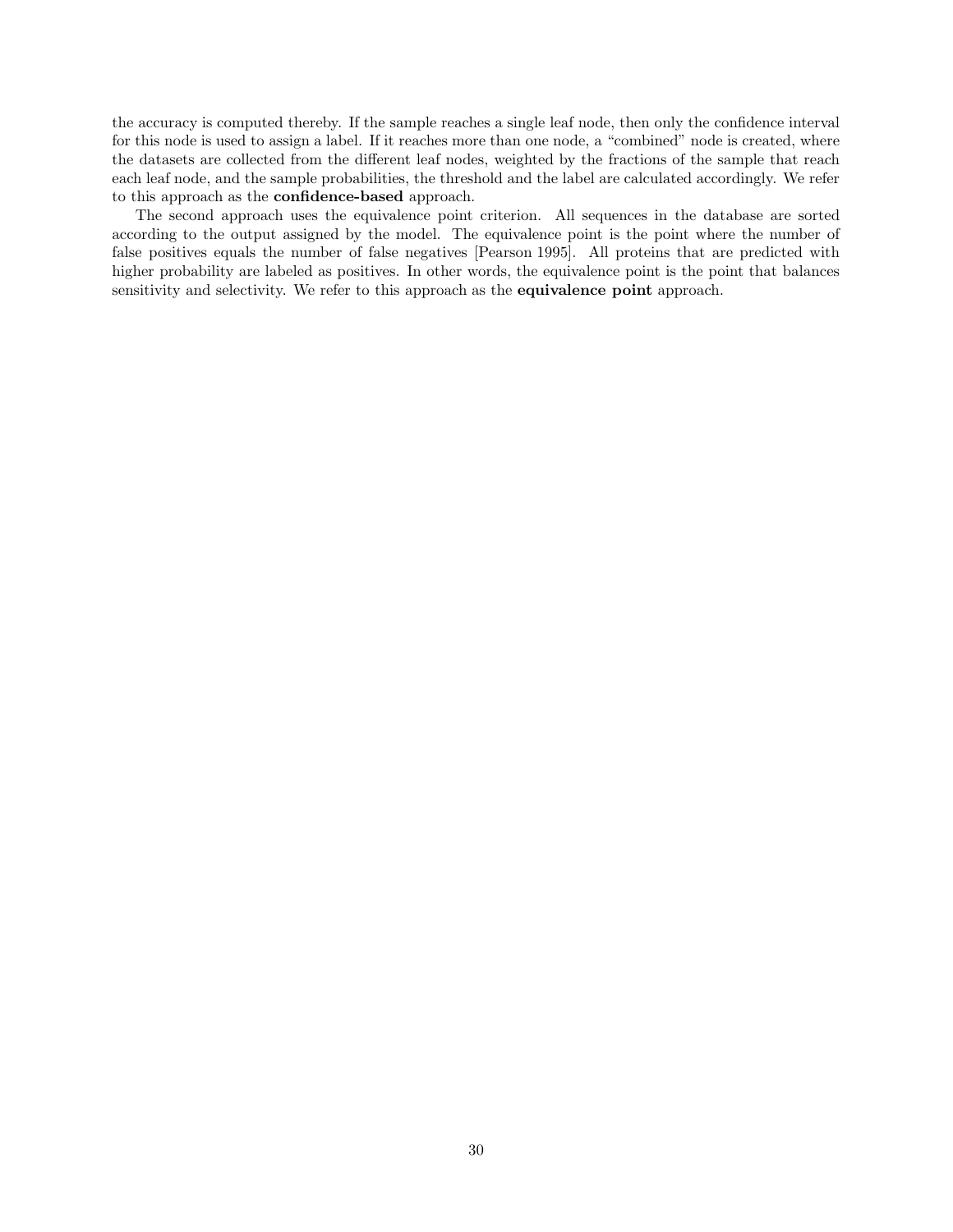the accuracy is computed thereby. If the sample reaches a single leaf node, then only the confidence interval for this node is used to assign a label. If it reaches more than one node, a "combined" node is created, where the datasets are collected from the different leaf nodes, weighted by the fractions of the sample that reach each leaf node, and the sample probabilities, the threshold and the label are calculated accordingly. We refer to this approach as the confidence-based approach.

The second approach uses the equivalence point criterion. All sequences in the database are sorted according to the output assigned by the model. The equivalence point is the point where the number of false positives equals the number of false negatives [Pearson 1995]. All proteins that are predicted with higher probability are labeled as positives. In other words, the equivalence point is the point that balances sensitivity and selectivity. We refer to this approach as the **equivalence point** approach.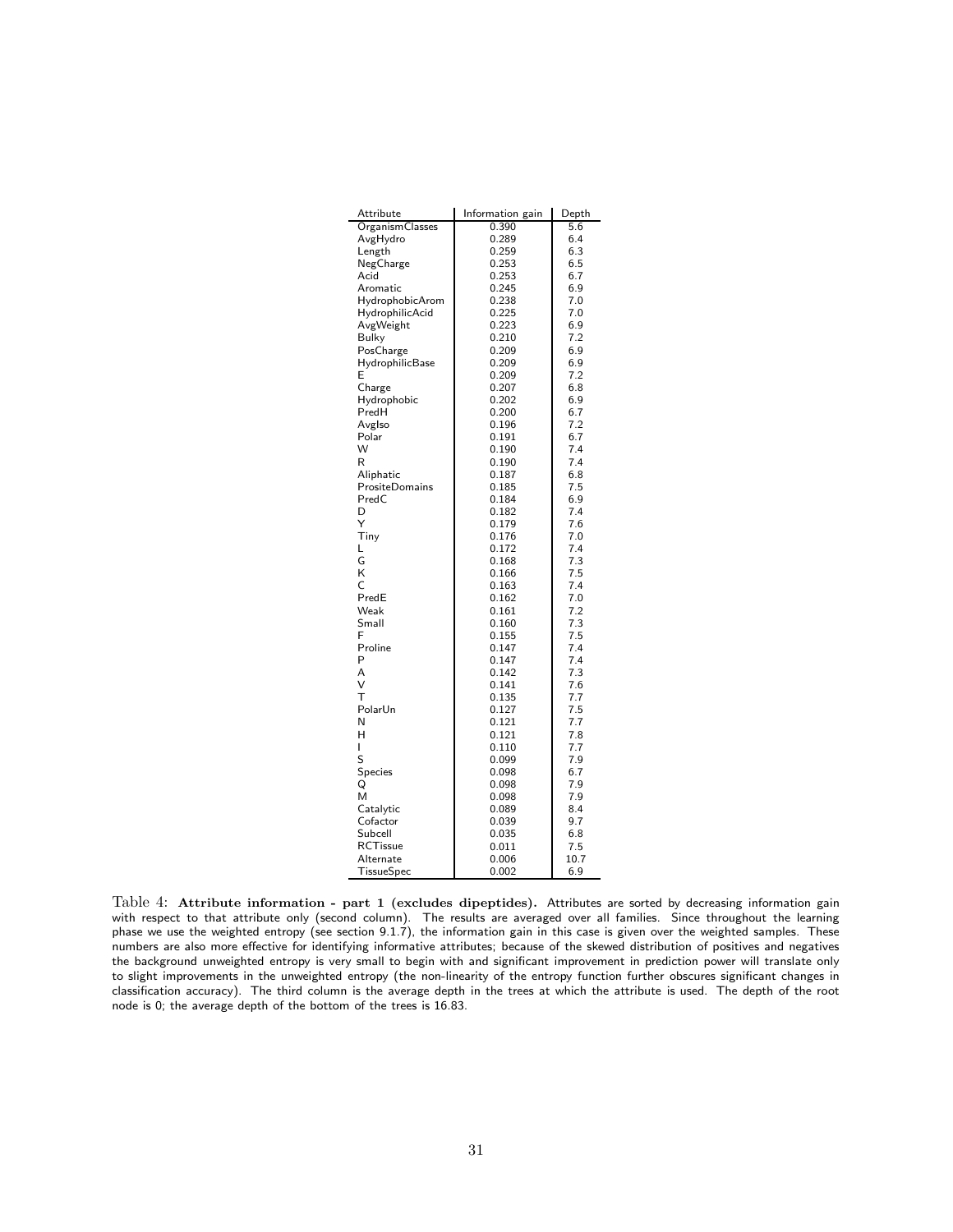| Attribute         | Information gain | Depth |
|-------------------|------------------|-------|
| Organism Classes  | 0.390            | 5.6   |
| AvgHydro          | 0.289            | 6.4   |
| Length            | 0.259            | 6.3   |
| NegCharge         | 0.253            | 6.5   |
| Acid              | 0.253            | 6.7   |
| Aromatic          | 0.245            | 6.9   |
| HydrophobicArom   | 0.238            | 7.0   |
| HydrophilicAcid   | 0.225            | 7.0   |
| AvgWeight         | 0.223            | 6.9   |
| <b>Bulky</b>      | 0.210            | 7.2   |
| PosCharge         | 0.209            | 6.9   |
| HydrophilicBase   | 0.209            | 6.9   |
| E                 | 0.209            | 7.2   |
| Charge            | 0.207            | 6.8   |
| Hydrophobic       | 0.202            | 6.9   |
| PredH             | 0.200            | 6.7   |
| Avglso            | 0.196            | 7.2   |
| Polar             | 0.191            | 6.7   |
| W                 | 0.190            | 7.4   |
| R                 | 0.190            | 7.4   |
| Aliphatic         | 0.187            | 6.8   |
| PrositeDomains    | 0.185            | 7.5   |
| PredC             | 0.184            | 6.9   |
| D                 | 0.182            | 7.4   |
| Υ                 | 0.179            | 7.6   |
| Tiny              | 0.176            | 7.0   |
| L                 | 0.172            | 7.4   |
| G                 | 0.168            | 7.3   |
| K                 | 0.166            | 7.5   |
| C                 | 0.163            | 7.4   |
| PredE             | 0.162            | 7.0   |
| Weak              | 0.161            | 7.2   |
| Small             | 0.160            | 7.3   |
| F                 | 0.155            | 7.5   |
| Proline           | 0.147            | 7.4   |
| P                 | 0.147            | 7.4   |
| A                 | 0.142            | 7.3   |
| V                 | 0.141            | 7.6   |
| т                 | 0.135            | 7.7   |
| PolarUn           | 0.127            | 7.5   |
| Ν                 | 0.121            | 7.7   |
| н                 | 0.121            | 7.8   |
| I                 | 0.110            | 7.7   |
| S                 | 0.099            | 7.9   |
| Species           | 0.098            | 6.7   |
| Q                 | 0.098            | 7.9   |
| M                 | 0.098            | 7.9   |
| Catalytic         | 0.089            | 8.4   |
| Cofactor          | 0.039            | 9.7   |
| Subcell           | 0.035            | 6.8   |
| <b>RCTissue</b>   | 0.011            | 7.5   |
| Alternate         | 0.006            | 10.7  |
| <b>TissueSpec</b> | 0.002            | 6.9   |
|                   |                  |       |

Table 4: Attribute information - part 1 (excludes dipeptides). Attributes are sorted by decreasing information gain with respect to that attribute only (second column). The results are averaged over all families. Since throughout the learning phase we use the weighted entropy (see section 9.1.7), the information gain in this case is given over the weighted samples. These numbers are also more effective for identifying informative attributes; because of the skewed distribution of positives and negatives the background unweighted entropy is very small to begin with and significant improvement in prediction power will translate only to slight improvements in the unweighted entropy (the non-linearity of the entropy function further obscures significant changes in classification accuracy). The third column is the average depth in the trees at which the attribute is used. The depth of the root node is 0; the average depth of the bottom of the trees is 16.83.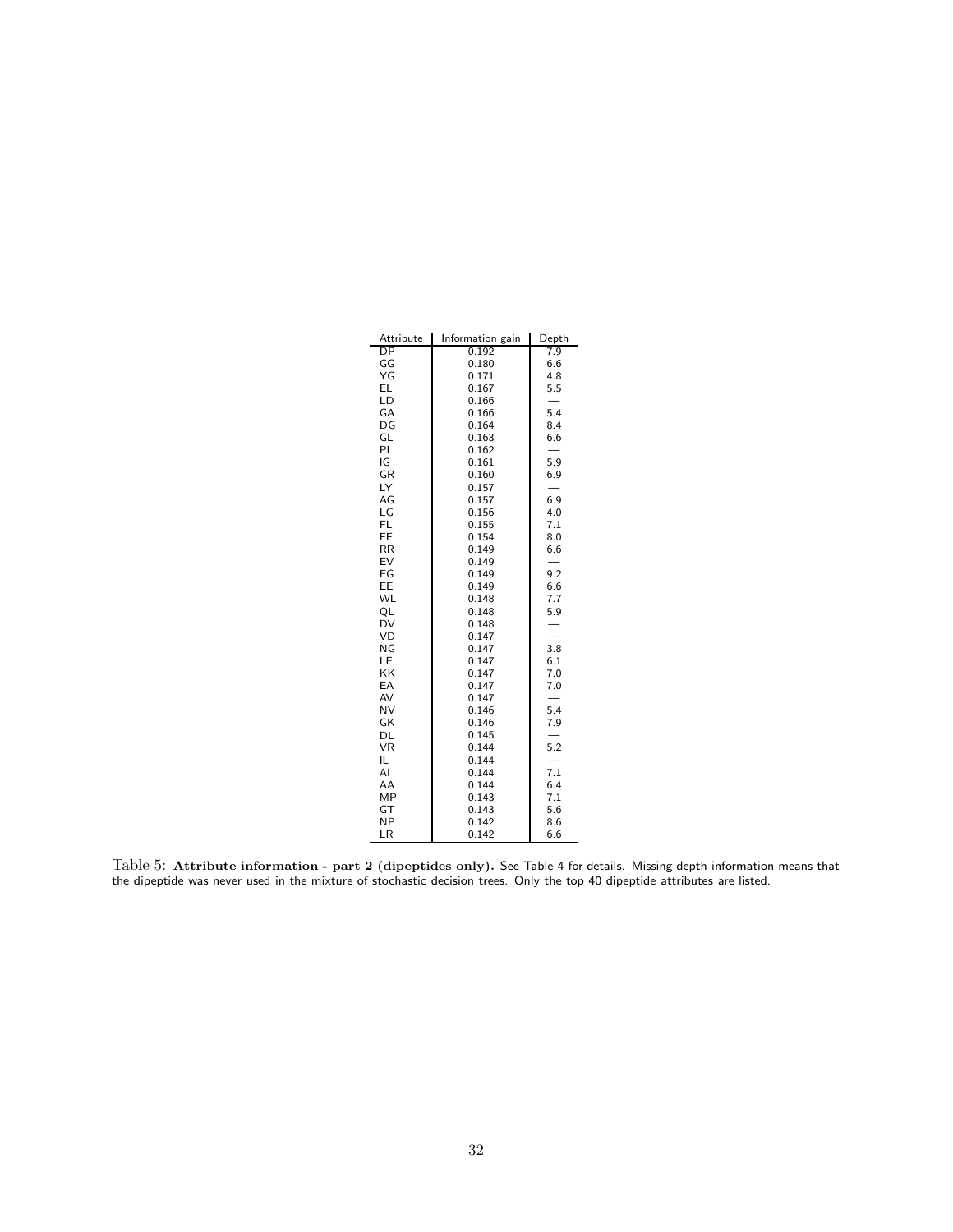| Attribute | Information gain | Depth |
|-----------|------------------|-------|
| DР        | 0.192            | 7.9   |
| GG        | 0.180            | 6.6   |
| YG        | 0.171            | 4.8   |
| EL        | 0.167            | 5.5   |
| LD        | 0.166            |       |
| GA        | 0.166            | 5.4   |
| DG        | 0.164            | 8.4   |
| GL        | 0.163            | 6.6   |
| PL        | 0.162            |       |
| IG        | 0.161            | 5.9   |
| GR        | 0.160            | 6.9   |
| LY        | 0.157            |       |
| AG        | 0.157            | 6.9   |
| LG        | 0.156            | 4.0   |
| <b>FL</b> | 0.155            | 7.1   |
| FF        | 0.154            | 8.0   |
| <b>RR</b> | 0.149            | 6.6   |
| EV        | 0.149            |       |
| EG        | 0.149            | 9.2   |
| EE        | 0.149            | 6.6   |
| <b>WL</b> | 0.148            | 7.7   |
| QL        | 0.148            | 5.9   |
| DV        | 0.148            |       |
| VD        | 0.147            |       |
| NG        | 0.147            | 3.8   |
| LE        | 0.147            | 6.1   |
| KK        | 0.147            | 7.0   |
| EA        | 0.147            | 7.0   |
| AV        | 0.147            |       |
| <b>NV</b> | 0.146            | 5.4   |
| GK        | 0.146            | 7.9   |
| DL        | 0.145            |       |
| <b>VR</b> | 0.144            | 5.2   |
| IL        | 0.144            |       |
| ΑI        | 0.144            | 7.1   |
| AA        | 0.144            | 6.4   |
| ΜP        | 0.143            | 7.1   |
| GT        | 0.143            | 5.6   |
| NΡ        | 0.142            | 8.6   |
| LR        | 0.142            | 6.6   |
|           |                  |       |

 ${\rm Table~5:~Attribute~information$  -  ${\rm part~2}$  (dipeptides only). See Table 4 for details. Missing depth information means that the dipeptide was never used in the mixture of stochastic decision trees. Only the top 40 dipeptide attributes are listed.